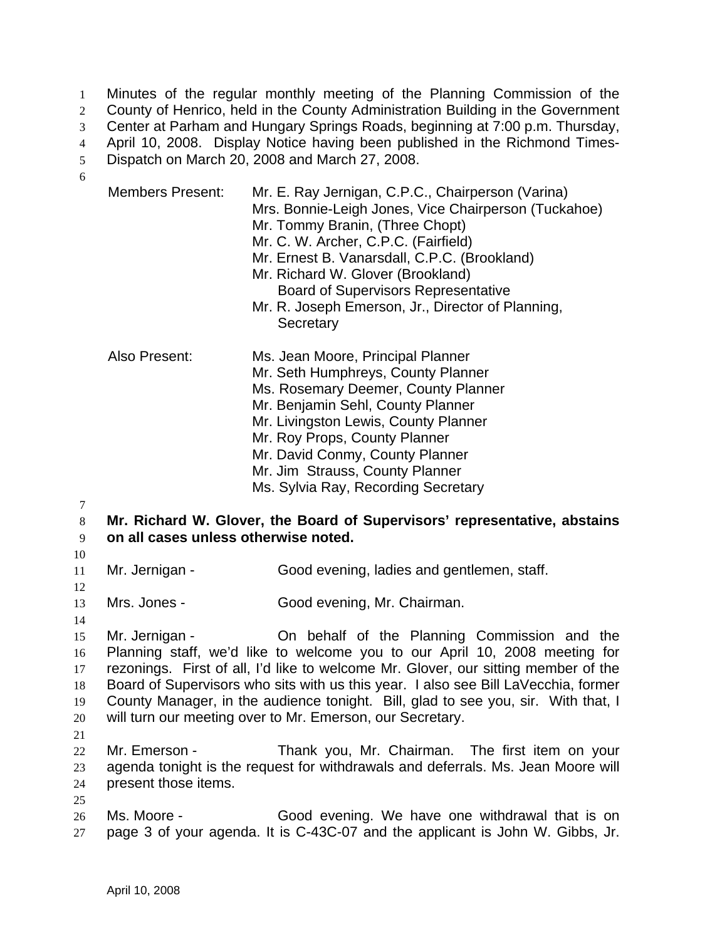Minutes of the regular monthly meeting of the Planning Commission of the County of Henrico, held in the County Administration Building in the Government Center at Parham and Hungary Springs Roads, beginning at 7:00 p.m. Thursday, April 10, 2008. Display Notice having been published in the Richmond Times-Dispatch on March 20, 2008 and March 27, 2008. 1 2 3 4 5 6

| <b>Members Present:</b>                                                                                                                                                                                                                                                                                                                                                                                                                                                    | Mr. E. Ray Jernigan, C.P.C., Chairperson (Varina)<br>Mrs. Bonnie-Leigh Jones, Vice Chairperson (Tuckahoe)<br>Mr. Tommy Branin, (Three Chopt)<br>Mr. C. W. Archer, C.P.C. (Fairfield)<br>Mr. Ernest B. Vanarsdall, C.P.C. (Brookland)<br>Mr. Richard W. Glover (Brookland)<br><b>Board of Supervisors Representative</b><br>Mr. R. Joseph Emerson, Jr., Director of Planning,<br>Secretary |  |  |
|----------------------------------------------------------------------------------------------------------------------------------------------------------------------------------------------------------------------------------------------------------------------------------------------------------------------------------------------------------------------------------------------------------------------------------------------------------------------------|-------------------------------------------------------------------------------------------------------------------------------------------------------------------------------------------------------------------------------------------------------------------------------------------------------------------------------------------------------------------------------------------|--|--|
| Also Present:                                                                                                                                                                                                                                                                                                                                                                                                                                                              | Ms. Jean Moore, Principal Planner<br>Mr. Seth Humphreys, County Planner<br>Ms. Rosemary Deemer, County Planner<br>Mr. Benjamin Sehl, County Planner<br>Mr. Livingston Lewis, County Planner<br>Mr. Roy Props, County Planner<br>Mr. David Conmy, County Planner<br>Mr. Jim Strauss, County Planner<br>Ms. Sylvia Ray, Recording Secretary                                                 |  |  |
| Mr. Richard W. Glover, the Board of Supervisors' representative, abstains<br>on all cases unless otherwise noted.                                                                                                                                                                                                                                                                                                                                                          |                                                                                                                                                                                                                                                                                                                                                                                           |  |  |
| Mr. Jernigan -                                                                                                                                                                                                                                                                                                                                                                                                                                                             | Good evening, ladies and gentlemen, staff.                                                                                                                                                                                                                                                                                                                                                |  |  |
| Mrs. Jones -                                                                                                                                                                                                                                                                                                                                                                                                                                                               | Good evening, Mr. Chairman.                                                                                                                                                                                                                                                                                                                                                               |  |  |
| On behalf of the Planning Commission and the<br>Mr. Jernigan -<br>Planning staff, we'd like to welcome you to our April 10, 2008 meeting for<br>rezonings. First of all, I'd like to welcome Mr. Glover, our sitting member of the<br>Board of Supervisors who sits with us this year. I also see Bill LaVecchia, former<br>County Manager, in the audience tonight. Bill, glad to see you, sir. With that, I<br>will turn our meeting over to Mr. Emerson, our Secretary. |                                                                                                                                                                                                                                                                                                                                                                                           |  |  |
| Mr. Emerson -<br>present those items.                                                                                                                                                                                                                                                                                                                                                                                                                                      | Thank you, Mr. Chairman. The first item on your<br>agenda tonight is the request for withdrawals and deferrals. Ms. Jean Moore will                                                                                                                                                                                                                                                       |  |  |
| Ms. Moore -                                                                                                                                                                                                                                                                                                                                                                                                                                                                | Good evening. We have one withdrawal that is on                                                                                                                                                                                                                                                                                                                                           |  |  |

26 27 page 3 of your agenda. It is C-43C-07 and the applicant is John W. Gibbs, Jr.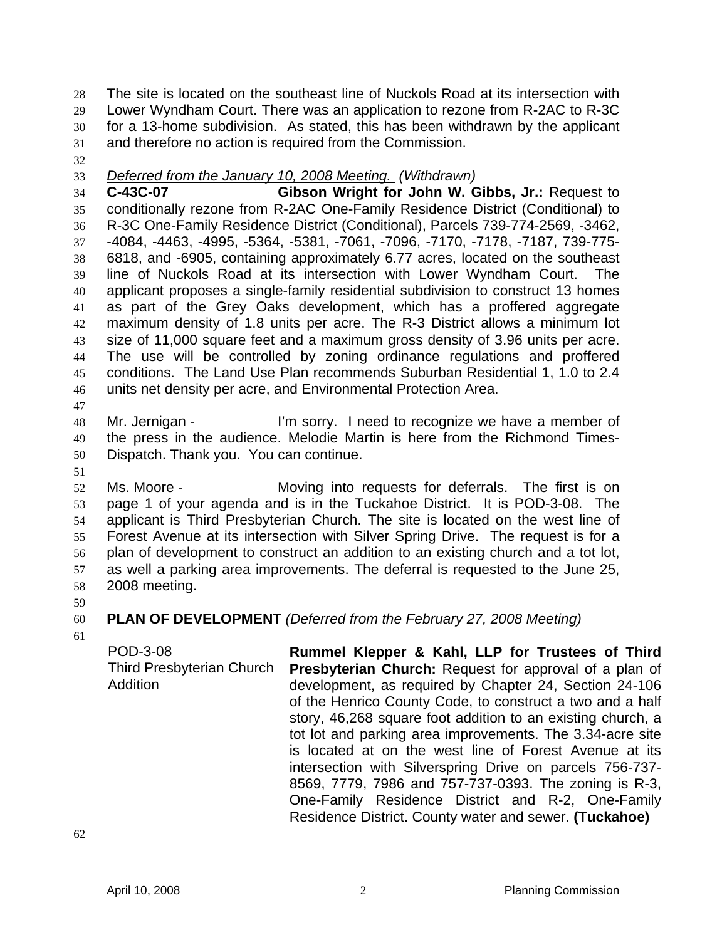The site is located on the southeast line of Nuckols Road at its intersection with Lower Wyndham Court. There was an application to rezone from R-2AC to R-3C for a 13-home subdivision. As stated, this has been withdrawn by the applicant and therefore no action is required from the Commission. 28 29 30 31

32

33 *Deferred from the January 10, 2008 Meeting. (Withdrawn)*

34 35 36 37 38 39 40 41 42 43 44 45 46 **C-43C-07 Gibson Wright for John W. Gibbs, Jr.:** Request to conditionally rezone from R-2AC One-Family Residence District (Conditional) to R-3C One-Family Residence District (Conditional), Parcels 739-774-2569, -3462, -4084, -4463, -4995, -5364, -5381, -7061, -7096, -7170, -7178, -7187, 739-775- 6818, and -6905, containing approximately 6.77 acres, located on the southeast line of Nuckols Road at its intersection with Lower Wyndham Court. The applicant proposes a single-family residential subdivision to construct 13 homes as part of the Grey Oaks development, which has a proffered aggregate maximum density of 1.8 units per acre. The R-3 District allows a minimum lot size of 11,000 square feet and a maximum gross density of 3.96 units per acre. The use will be controlled by zoning ordinance regulations and proffered conditions. The Land Use Plan recommends Suburban Residential 1, 1.0 to 2.4 units net density per acre, and Environmental Protection Area.

47

48 49 50 Mr. Jernigan - The Sorry. I need to recognize we have a member of the press in the audience. Melodie Martin is here from the Richmond Times-Dispatch. Thank you. You can continue.

51

52 53 54 55 56 57 58 Ms. Moore - Moving into requests for deferrals. The first is on page 1 of your agenda and is in the Tuckahoe District. It is POD-3-08. The applicant is Third Presbyterian Church. The site is located on the west line of Forest Avenue at its intersection with Silver Spring Drive. The request is for a plan of development to construct an addition to an existing church and a tot lot, as well a parking area improvements. The deferral is requested to the June 25, 2008 meeting.

- 59
- 60

## **PLAN OF DEVELOPMENT** *(Deferred from the February 27, 2008 Meeting)*

61

POD-3-08 Third Presbyterian Church **Addition** 

**Rummel Klepper & Kahl, LLP for Trustees of Third Presbyterian Church:** Request for approval of a plan of development, as required by Chapter 24, Section 24-106 of the Henrico County Code, to construct a two and a half story, 46,268 square foot addition to an existing church, a tot lot and parking area improvements. The 3.34-acre site is located at on the west line of Forest Avenue at its intersection with Silverspring Drive on parcels 756-737- 8569, 7779, 7986 and 757-737-0393. The zoning is R-3, One-Family Residence District and R-2, One-Family Residence District. County water and sewer. **(Tuckahoe)**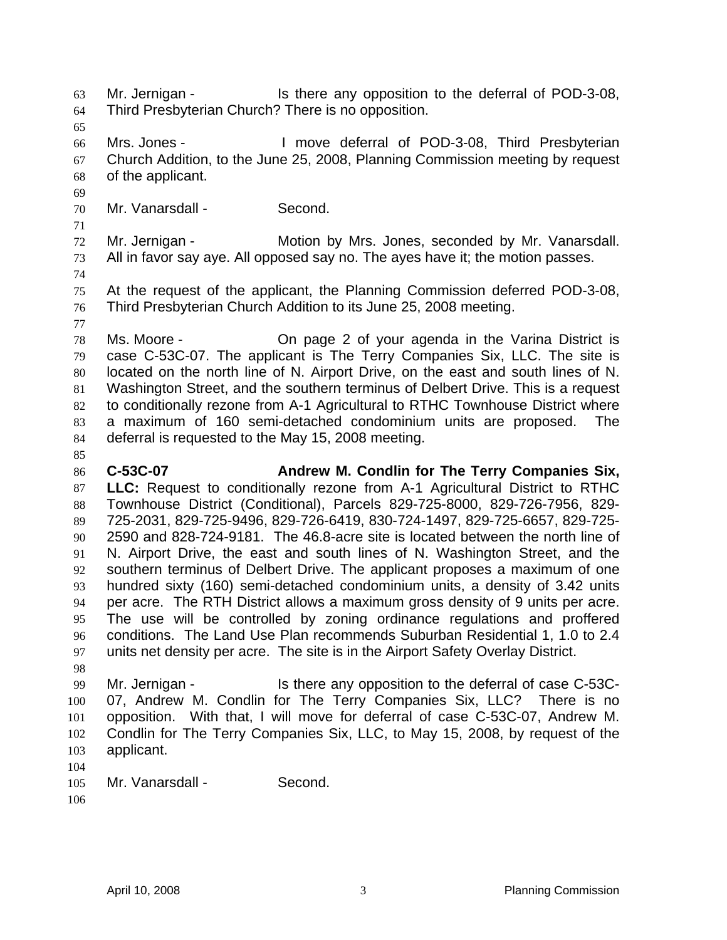Mr. Jernigan - Is there any opposition to the deferral of POD-3-08, Third Presbyterian Church? There is no opposition. 63 64

65

69

66 67 68 Mrs. Jones - The Move deferral of POD-3-08, Third Presbyterian Church Addition, to the June 25, 2008, Planning Commission meeting by request of the applicant.

70 Mr. Vanarsdall - Second.

71 72 73 Mr. Jernigan - **Motion by Mrs. Jones, seconded by Mr. Vanarsdall.** All in favor say aye. All opposed say no. The ayes have it; the motion passes.

74

75 76 At the request of the applicant, the Planning Commission deferred POD-3-08, Third Presbyterian Church Addition to its June 25, 2008 meeting.

77

85

78 79 80 81 82 83 84 Ms. Moore - The Continuity On page 2 of your agenda in the Varina District is case C-53C-07. The applicant is The Terry Companies Six, LLC. The site is located on the north line of N. Airport Drive, on the east and south lines of N. Washington Street, and the southern terminus of Delbert Drive. This is a request to conditionally rezone from A-1 Agricultural to RTHC Townhouse District where a maximum of 160 semi-detached condominium units are proposed. The deferral is requested to the May 15, 2008 meeting.

86 87 88 89 90 91 92 93 94 95 96 97 **C-53C-07 Andrew M. Condlin for The Terry Companies Six, LLC:** Request to conditionally rezone from A-1 Agricultural District to RTHC Townhouse District (Conditional), Parcels 829-725-8000, 829-726-7956, 829- 725-2031, 829-725-9496, 829-726-6419, 830-724-1497, 829-725-6657, 829-725- 2590 and 828-724-9181. The 46.8-acre site is located between the north line of N. Airport Drive, the east and south lines of N. Washington Street, and the southern terminus of Delbert Drive. The applicant proposes a maximum of one hundred sixty (160) semi-detached condominium units, a density of 3.42 units per acre. The RTH District allows a maximum gross density of 9 units per acre. The use will be controlled by zoning ordinance regulations and proffered conditions. The Land Use Plan recommends Suburban Residential 1, 1.0 to 2.4 units net density per acre. The site is in the Airport Safety Overlay District.

98

99 100 101 102 103 Mr. Jernigan - Is there any opposition to the deferral of case C-53C-07, Andrew M. Condlin for The Terry Companies Six, LLC? There is no opposition. With that, I will move for deferral of case C-53C-07, Andrew M. Condlin for The Terry Companies Six, LLC, to May 15, 2008, by request of the applicant.

104

```
105 
Mr. Vanarsdall - Second.
```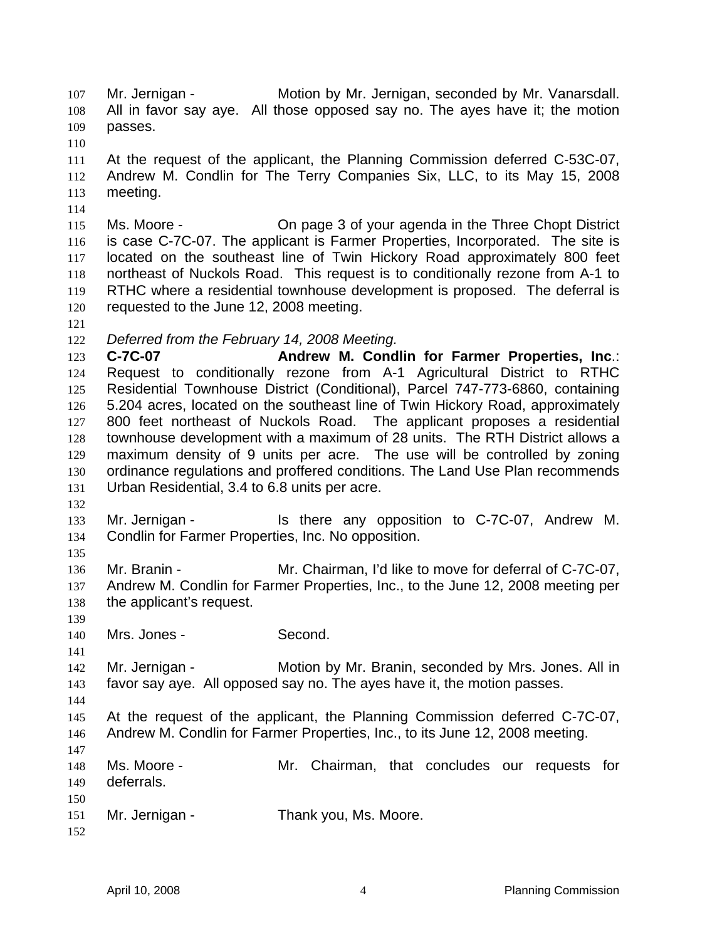Mr. Jernigan - **Motion by Mr. Jernigan, seconded by Mr. Vanarsdall.** All in favor say aye. All those opposed say no. The ayes have it; the motion passes. 107 108 109

110

114

111 112 113 At the request of the applicant, the Planning Commission deferred C-53C-07, Andrew M. Condlin for The Terry Companies Six, LLC, to its May 15, 2008 meeting.

115 116 117 118 119 120 Ms. Moore - On page 3 of your agenda in the Three Chopt District is case C-7C-07. The applicant is Farmer Properties, Incorporated. The site is located on the southeast line of Twin Hickory Road approximately 800 feet northeast of Nuckols Road. This request is to conditionally rezone from A-1 to RTHC where a residential townhouse development is proposed. The deferral is requested to the June 12, 2008 meeting.

121

132

135

139

144

122 *Deferred from the February 14, 2008 Meeting.* 

123 124 125 126 127 128 129 130 131 **C-7C-07 Andrew M. Condlin for Farmer Properties, Inc**.: Request to conditionally rezone from A-1 Agricultural District to RTHC Residential Townhouse District (Conditional), Parcel 747-773-6860, containing 5.204 acres, located on the southeast line of Twin Hickory Road, approximately 800 feet northeast of Nuckols Road. The applicant proposes a residential townhouse development with a maximum of 28 units. The RTH District allows a maximum density of 9 units per acre. The use will be controlled by zoning ordinance regulations and proffered conditions. The Land Use Plan recommends Urban Residential, 3.4 to 6.8 units per acre.

- 133 134 Mr. Jernigan - Is there any opposition to C-7C-07, Andrew M. Condlin for Farmer Properties, Inc. No opposition.
- 136 137 138 Mr. Branin - Mr. Chairman, I'd like to move for deferral of C-7C-07, Andrew M. Condlin for Farmer Properties, Inc., to the June 12, 2008 meeting per the applicant's request.
- 140 Mrs. Jones - Second.

141 142 143 Mr. Jernigan - Motion by Mr. Branin, seconded by Mrs. Jones. All in favor say aye. All opposed say no. The ayes have it, the motion passes.

145 146 147 At the request of the applicant, the Planning Commission deferred C-7C-07, Andrew M. Condlin for Farmer Properties, Inc., to its June 12, 2008 meeting.

- 148 149 150 151 Ms. Moore - The Mr. Chairman, that concludes our requests for deferrals. Mr. Jernigan - Thank you, Ms. Moore.
- 152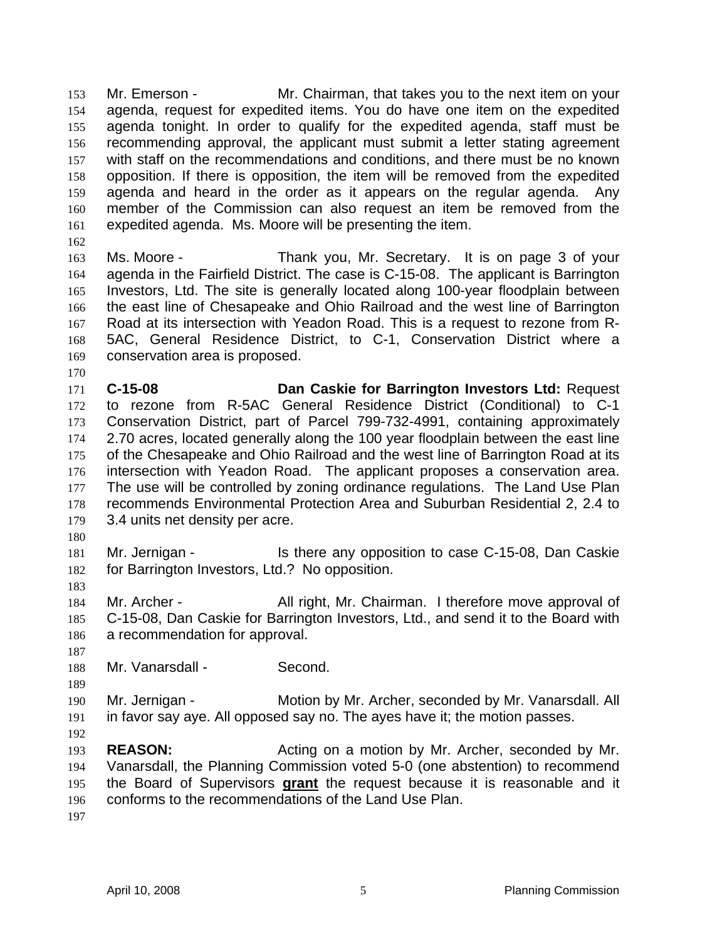Mr. Emerson - Mr. Chairman, that takes you to the next item on your agenda, request for expedited items. You do have one item on the expedited agenda tonight. In order to qualify for the expedited agenda, staff must be recommending approval, the applicant must submit a letter stating agreement with staff on the recommendations and conditions, and there must be no known opposition. If there is opposition, the item will be removed from the expedited agenda and heard in the order as it appears on the regular agenda. Any member of the Commission can also request an item be removed from the expedited agenda. Ms. Moore will be presenting the item. 153 154 155 156 157 158 159 160 161

162

170

163 164 165 166 167 168 169 Ms. Moore - Thank you, Mr. Secretary. It is on page 3 of your agenda in the Fairfield District. The case is C-15-08. The applicant is Barrington Investors, Ltd. The site is generally located along 100-year floodplain between the east line of Chesapeake and Ohio Railroad and the west line of Barrington Road at its intersection with Yeadon Road. This is a request to rezone from R-5AC, General Residence District, to C-1, Conservation District where a conservation area is proposed.

171 172 173 174 175 176 177 178 179 **C-15-08 Dan Caskie for Barrington Investors Ltd:** Request to rezone from R-5AC General Residence District (Conditional) to C-1 Conservation District, part of Parcel 799-732-4991, containing approximately 2.70 acres, located generally along the 100 year floodplain between the east line of the Chesapeake and Ohio Railroad and the west line of Barrington Road at its intersection with Yeadon Road. The applicant proposes a conservation area. The use will be controlled by zoning ordinance regulations. The Land Use Plan recommends Environmental Protection Area and Suburban Residential 2, 2.4 to 3.4 units net density per acre.

180

183

181 182 Mr. Jernigan - **Is there any opposition to case C-15-08**, Dan Caskie for Barrington Investors, Ltd.? No opposition.

184 185 186 Mr. Archer - All right, Mr. Chairman. I therefore move approval of C-15-08, Dan Caskie for Barrington Investors, Ltd., and send it to the Board with a recommendation for approval.

187 188

189

Mr. Vanarsdall - Second.

190 191 Mr. Jernigan - Motion by Mr. Archer, seconded by Mr. Vanarsdall. All in favor say aye. All opposed say no. The ayes have it; the motion passes.

192

193 194 **REASON:** Acting on a motion by Mr. Archer, seconded by Mr. Vanarsdall, the Planning Commission voted 5-0 (one abstention) to recommend the Board of Supervisors **grant** the request because it is reasonable and it conforms to the recommendations of the Land Use Plan. 195 196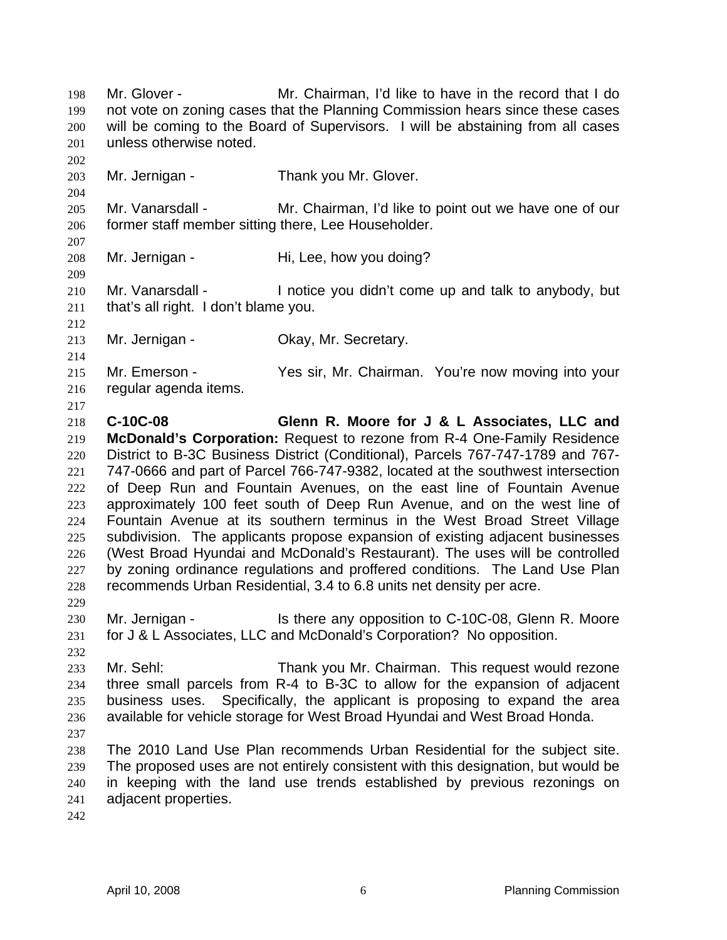Mr. Glover - Mr. Chairman, I'd like to have in the record that I do not vote on zoning cases that the Planning Commission hears since these cases will be coming to the Board of Supervisors. I will be abstaining from all cases unless otherwise noted. 198 199 200 201 202 203 204 205 206 207 208 209 210 211 212 213 214 215 216 217 218 219 220 221 222 223 224 225 226 227 228 229 230 231 232 233 234 235 236 237 238 239 240 241 Mr. Jernigan - Thank you Mr. Glover. Mr. Vanarsdall - Mr. Chairman, I'd like to point out we have one of our former staff member sitting there, Lee Householder. Mr. Jernigan - Hi, Lee, how you doing? Mr. Vanarsdall - The limit of limit of the up and talk to anybody, but that's all right. I don't blame you. Mr. Jernigan - Ckay, Mr. Secretary. Mr. Emerson - Yes sir, Mr. Chairman. You're now moving into your regular agenda items. **C-10C-08 Glenn R. Moore for J & L Associates, LLC and McDonald's Corporation:** Request to rezone from R-4 One-Family Residence District to B-3C Business District (Conditional), Parcels 767-747-1789 and 767- 747-0666 and part of Parcel 766-747-9382, located at the southwest intersection of Deep Run and Fountain Avenues, on the east line of Fountain Avenue approximately 100 feet south of Deep Run Avenue, and on the west line of Fountain Avenue at its southern terminus in the West Broad Street Village subdivision. The applicants propose expansion of existing adjacent businesses (West Broad Hyundai and McDonald's Restaurant). The uses will be controlled by zoning ordinance regulations and proffered conditions. The Land Use Plan recommends Urban Residential, 3.4 to 6.8 units net density per acre. Mr. Jernigan - Is there any opposition to C-10C-08, Glenn R. Moore for J & L Associates, LLC and McDonald's Corporation? No opposition. Mr. Sehl: Thank you Mr. Chairman. This request would rezone three small parcels from R-4 to B-3C to allow for the expansion of adjacent business uses. Specifically, the applicant is proposing to expand the area available for vehicle storage for West Broad Hyundai and West Broad Honda. The 2010 Land Use Plan recommends Urban Residential for the subject site. The proposed uses are not entirely consistent with this designation, but would be in keeping with the land use trends established by previous rezonings on adjacent properties.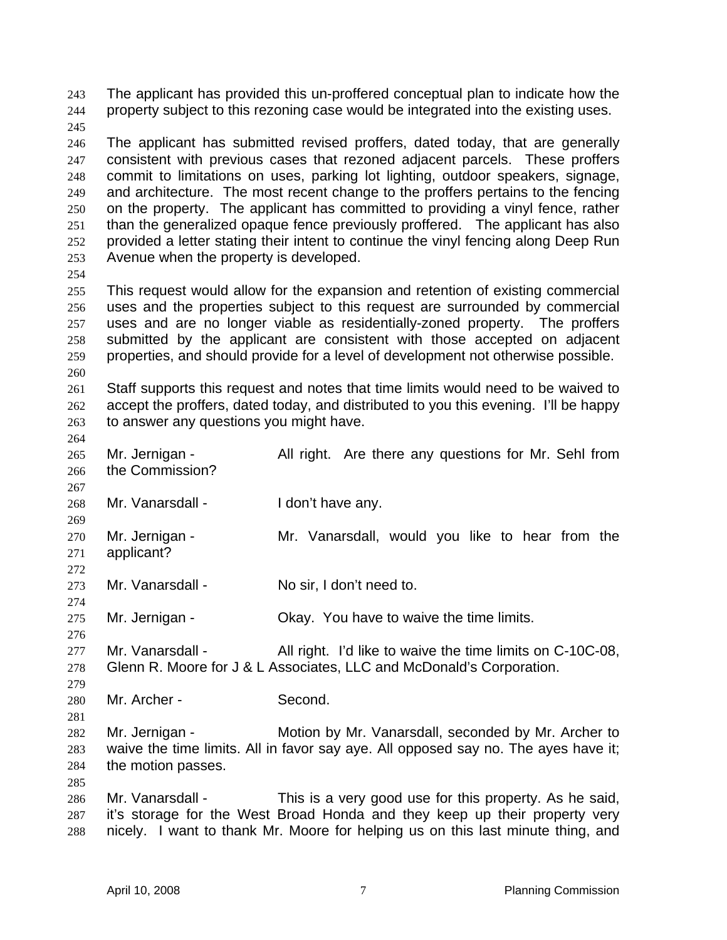The applicant has provided this un-proffered conceptual plan to indicate how the property subject to this rezoning case would be integrated into the existing uses. 243 244

245

246 247 248 249 250 251 252 253 The applicant has submitted revised proffers, dated today, that are generally consistent with previous cases that rezoned adjacent parcels. These proffers commit to limitations on uses, parking lot lighting, outdoor speakers, signage, and architecture. The most recent change to the proffers pertains to the fencing on the property. The applicant has committed to providing a vinyl fence, rather than the generalized opaque fence previously proffered. The applicant has also provided a letter stating their intent to continue the vinyl fencing along Deep Run Avenue when the property is developed.

254

255 256 257 258 259 260 This request would allow for the expansion and retention of existing commercial uses and the properties subject to this request are surrounded by commercial uses and are no longer viable as residentially-zoned property. The proffers submitted by the applicant are consistent with those accepted on adjacent properties, and should provide for a level of development not otherwise possible.

261 262 263 Staff supports this request and notes that time limits would need to be waived to accept the proffers, dated today, and distributed to you this evening. I'll be happy to answer any questions you might have.

264

267

272

274

279

281

- 265 266 Mr. Jernigan - All right. Are there any questions for Mr. Sehl from the Commission?
- 268 Mr. Vanarsdall - I don't have any.
- 269 270 271 Mr. Jernigan - Mr. Vanarsdall, would you like to hear from the applicant?
- 273 Mr. Vanarsdall - No sir, I don't need to.
- 275 Mr. Jernigan - Ckay. You have to waive the time limits.

- 280 Mr. Archer - Second.
- 282 283 284 Mr. Jernigan - Motion by Mr. Vanarsdall, seconded by Mr. Archer to waive the time limits. All in favor say aye. All opposed say no. The ayes have it; the motion passes.
- 286 287 288 Mr. Vanarsdall - This is a very good use for this property. As he said, it's storage for the West Broad Honda and they keep up their property very nicely. I want to thank Mr. Moore for helping us on this last minute thing, and

<sup>276</sup>  277 278 Mr. Vanarsdall - All right. I'd like to waive the time limits on C-10C-08, Glenn R. Moore for J & L Associates, LLC and McDonald's Corporation.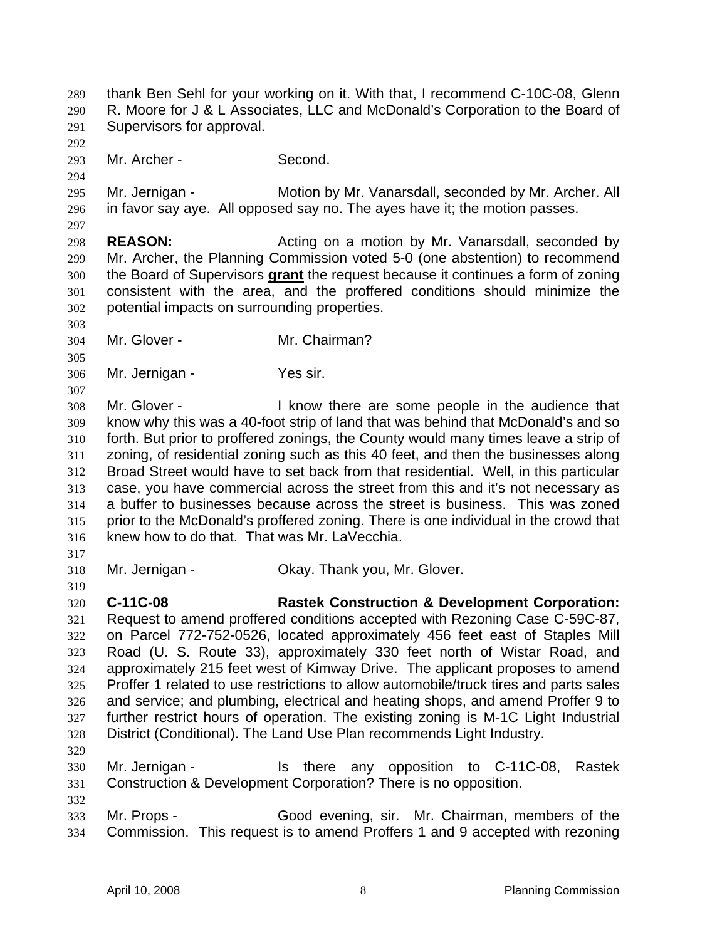thank Ben Sehl for your working on it. With that, I recommend C-10C-08, Glenn R. Moore for J & L Associates, LLC and McDonald's Corporation to the Board of Supervisors for approval. 289 290 291 292 293 294 295 296 297 298 299 Mr. Archer - Second. Mr. Jernigan - Motion by Mr. Vanarsdall, seconded by Mr. Archer. All in favor say aye. All opposed say no. The ayes have it; the motion passes. **REASON:** Acting on a motion by Mr. Vanarsdall, seconded by Mr. Archer, the Planning Commission voted 5-0 (one abstention) to recommend the Board of Supervisors **grant** the request because it continues a form of zoning consistent with the area, and the proffered conditions should minimize the potential impacts on surrounding properties. 300 301 302 303 304 305 306 307 308 309 310 311 312 313 314 315 316 317 318 319 320 321 322 323 324 325 326 327 328 329 330 331 332 333 334 Mr. Glover - Mr. Chairman? Mr. Jernigan - Yes sir. Mr. Glover - I know there are some people in the audience that know why this was a 40-foot strip of land that was behind that McDonald's and so forth. But prior to proffered zonings, the County would many times leave a strip of zoning, of residential zoning such as this 40 feet, and then the businesses along Broad Street would have to set back from that residential. Well, in this particular case, you have commercial across the street from this and it's not necessary as a buffer to businesses because across the street is business. This was zoned prior to the McDonald's proffered zoning. There is one individual in the crowd that knew how to do that. That was Mr. LaVecchia. Mr. Jernigan - Ckay. Thank you, Mr. Glover. **C-11C-08 Rastek Construction & Development Corporation:** Request to amend proffered conditions accepted with Rezoning Case C-59C-87, on Parcel 772-752-0526, located approximately 456 feet east of Staples Mill Road (U. S. Route 33), approximately 330 feet north of Wistar Road, and approximately 215 feet west of Kimway Drive. The applicant proposes to amend Proffer 1 related to use restrictions to allow automobile/truck tires and parts sales and service; and plumbing, electrical and heating shops, and amend Proffer 9 to further restrict hours of operation. The existing zoning is M-1C Light Industrial District (Conditional). The Land Use Plan recommends Light Industry. Mr. Jernigan - Is there any opposition to C-11C-08, Rastek Construction & Development Corporation? There is no opposition. Mr. Props - Good evening, sir. Mr. Chairman, members of the Commission. This request is to amend Proffers 1 and 9 accepted with rezoning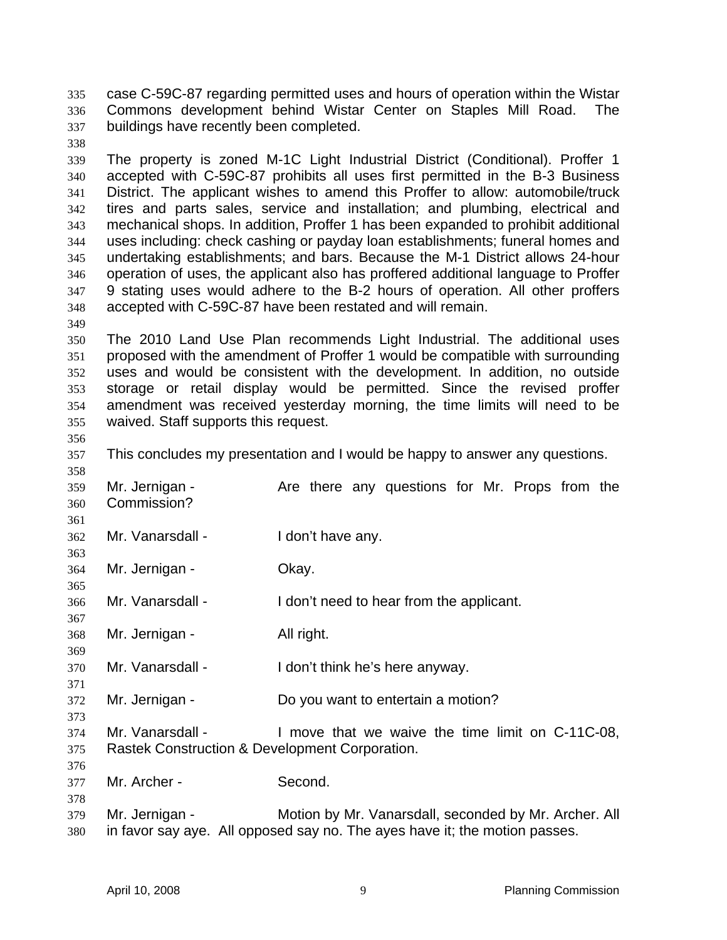case C-59C-87 regarding permitted uses and hours of operation within the Wistar Commons development behind Wistar Center on Staples Mill Road. The buildings have recently been completed. 335 336 337

- 339 340 341 342 343 344 345 346 347 348 The property is zoned M-1C Light Industrial District (Conditional). Proffer 1 accepted with C-59C-87 prohibits all uses first permitted in the B-3 Business District. The applicant wishes to amend this Proffer to allow: automobile/truck tires and parts sales, service and installation; and plumbing, electrical and mechanical shops. In addition, Proffer 1 has been expanded to prohibit additional uses including: check cashing or payday loan establishments; funeral homes and undertaking establishments; and bars. Because the M-1 District allows 24-hour operation of uses, the applicant also has proffered additional language to Proffer 9 stating uses would adhere to the B-2 hours of operation. All other proffers accepted with C-59C-87 have been restated and will remain.
- 349

338

- 350 351 352 353 354 355 The 2010 Land Use Plan recommends Light Industrial. The additional uses proposed with the amendment of Proffer 1 would be compatible with surrounding uses and would be consistent with the development. In addition, no outside storage or retail display would be permitted. Since the revised proffer amendment was received yesterday morning, the time limits will need to be waived. Staff supports this request.
- 356

358

361

363

365

367

369

371

373

376

- 357 This concludes my presentation and I would be happy to answer any questions.
- 359 360 Mr. Jernigan - The Are there any questions for Mr. Props from the Commission?
- 362 Mr. Vanarsdall - I don't have any.
- 364 Mr. Jernigan - **Okay.**
- 366 Mr. Vanarsdall - I don't need to hear from the applicant.
- 368 Mr. Jernigan - All right.
- 370 Mr. Vanarsdall - I don't think he's here anyway.
- 372 Mr. Jernigan - Do you want to entertain a motion?
- 374 375 Mr. Vanarsdall - The limove that we waive the time limit on C-11C-08. Rastek Construction & Development Corporation.
- 377 Mr. Archer - Second.
- 379 380 Mr. Jernigan - **Motion by Mr. Vanarsdall, seconded by Mr. Archer. All** in favor say aye. All opposed say no. The ayes have it; the motion passes.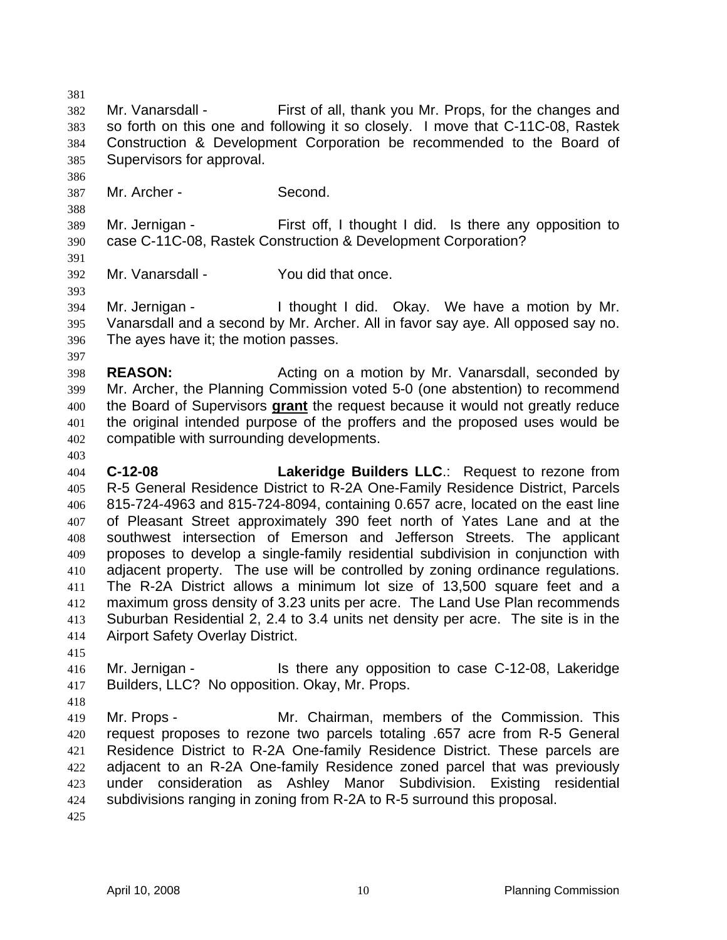381 382 383 384 385 386 387 388 389 390 391 392 393 394 395 396 397 398 399 Mr. Vanarsdall - First of all, thank you Mr. Props, for the changes and so forth on this one and following it so closely. I move that C-11C-08, Rastek Construction & Development Corporation be recommended to the Board of Supervisors for approval. Mr. Archer - Second. Mr. Jernigan - First off, I thought I did. Is there any opposition to case C-11C-08, Rastek Construction & Development Corporation? Mr. Vanarsdall - You did that once. Mr. Jernigan - The Multimought I did. Okay. We have a motion by Mr. Vanarsdall and a second by Mr. Archer. All in favor say aye. All opposed say no. The ayes have it; the motion passes. **REASON:** Acting on a motion by Mr. Vanarsdall, seconded by Mr. Archer, the Planning Commission voted 5-0 (one abstention) to recommend the Board of Supervisors **grant** the request because it would not greatly reduce the original intended purpose of the proffers and the proposed uses would be compatible with surrounding developments. 400 401 402 403 404 405 406 407 408 409 410 411 412 413 414 415 416 417 418 419 420 421 422 423 424 425 **C-12-08 Lakeridge Builders LLC**.: Request to rezone from R-5 General Residence District to R-2A One-Family Residence District, Parcels 815-724-4963 and 815-724-8094, containing 0.657 acre, located on the east line of Pleasant Street approximately 390 feet north of Yates Lane and at the southwest intersection of Emerson and Jefferson Streets. The applicant proposes to develop a single-family residential subdivision in conjunction with adjacent property. The use will be controlled by zoning ordinance regulations. The R-2A District allows a minimum lot size of 13,500 square feet and a maximum gross density of 3.23 units per acre. The Land Use Plan recommends Suburban Residential 2, 2.4 to 3.4 units net density per acre. The site is in the Airport Safety Overlay District. Mr. Jernigan - Is there any opposition to case C-12-08, Lakeridge Builders, LLC? No opposition. Okay, Mr. Props. Mr. Props - Mr. Chairman, members of the Commission. This request proposes to rezone two parcels totaling .657 acre from R-5 General Residence District to R-2A One-family Residence District. These parcels are adjacent to an R-2A One-family Residence zoned parcel that was previously under consideration as Ashley Manor Subdivision. Existing residential subdivisions ranging in zoning from R-2A to R-5 surround this proposal.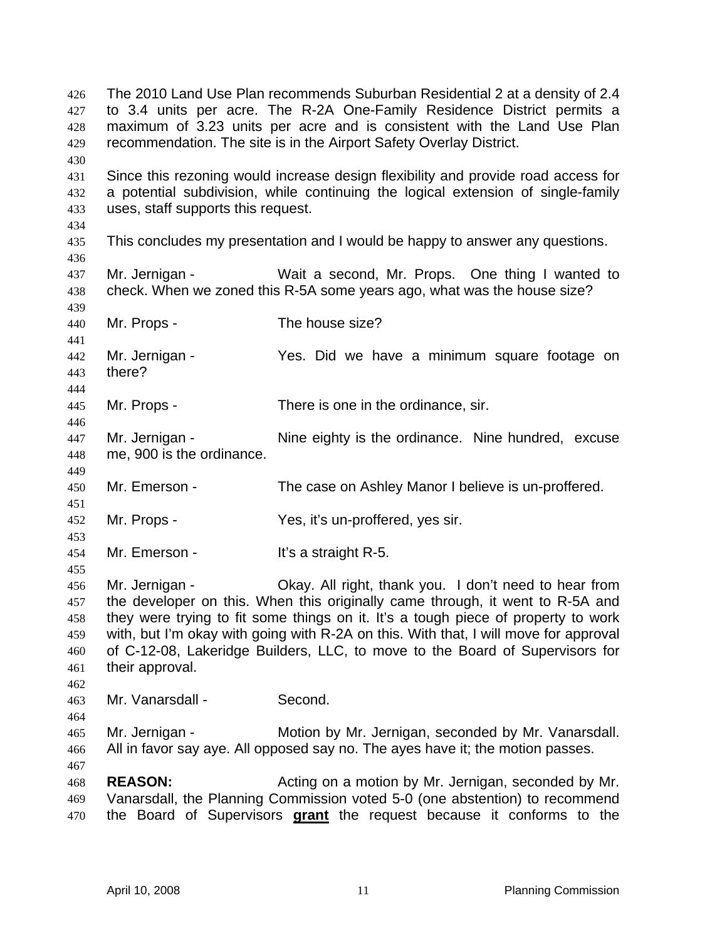The 2010 Land Use Plan recommends Suburban Residential 2 at a density of 2.4 to 3.4 units per acre. The R-2A One-Family Residence District permits a maximum of 3.23 units per acre and is consistent with the Land Use Plan recommendation. The site is in the Airport Safety Overlay District. 426 427 428 429 430 431 432 433 434 435 436 437 438 439 440 441 442 443 444 445 446 447 448 449 450 451 452 453 454 455 456 457 458 459 460 461 462 463 464 465 466 467 468 469 Since this rezoning would increase design flexibility and provide road access for a potential subdivision, while continuing the logical extension of single-family uses, staff supports this request. This concludes my presentation and I would be happy to answer any questions. Mr. Jernigan - Wait a second, Mr. Props. One thing I wanted to check. When we zoned this R-5A some years ago, what was the house size? Mr. Props - The house size? Mr. Jernigan - Yes. Did we have a minimum square footage on there? Mr. Props - There is one in the ordinance, sir. Mr. Jernigan - The eighty is the ordinance. Nine hundred, excuse me, 900 is the ordinance. Mr. Emerson - The case on Ashley Manor I believe is un-proffered. Mr. Props - Yes, it's un-proffered, yes sir. Mr. Emerson - It's a straight R-5. Mr. Jernigan - Okay. All right, thank you. I don't need to hear from the developer on this. When this originally came through, it went to R-5A and they were trying to fit some things on it. It's a tough piece of property to work with, but I'm okay with going with R-2A on this. With that, I will move for approval of C-12-08, Lakeridge Builders, LLC, to move to the Board of Supervisors for their approval. Mr. Vanarsdall - Second. Mr. Jernigan - Motion by Mr. Jernigan, seconded by Mr. Vanarsdall. All in favor say aye. All opposed say no. The ayes have it; the motion passes. **REASON:** Acting on a motion by Mr. Jernigan, seconded by Mr. Vanarsdall, the Planning Commission voted 5-0 (one abstention) to recommend 470 the Board of Supervisors **grant** the request because it conforms to the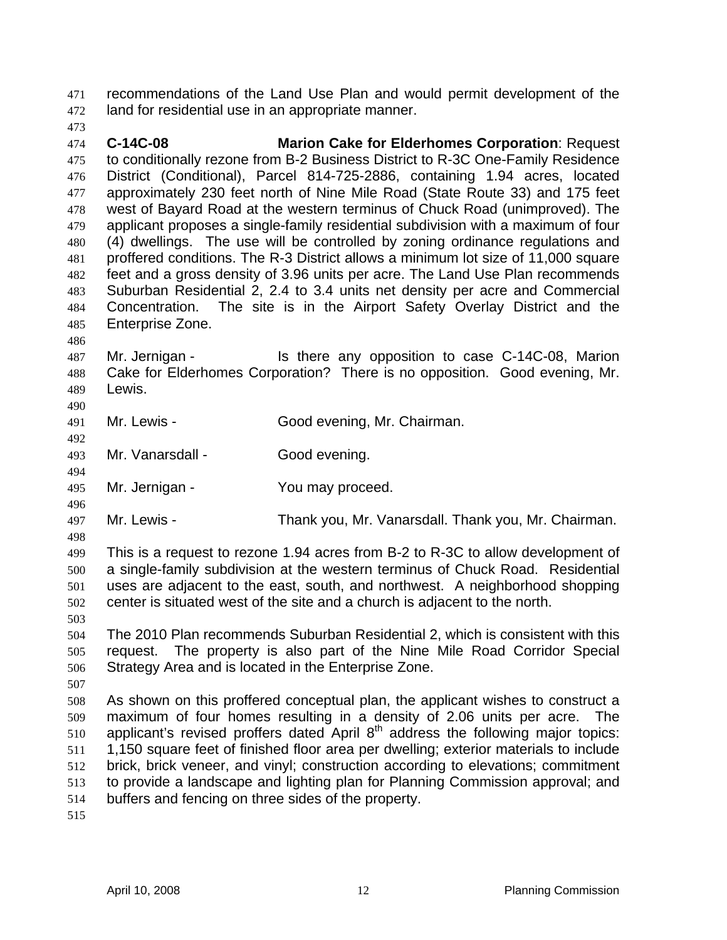recommendations of the Land Use Plan and would permit development of the land for residential use in an appropriate manner. 471 472

473

474 475 476 477 478 479 480 481 482 483 484 485 **C-14C-08 Marion Cake for Elderhomes Corporation**: Request to conditionally rezone from B-2 Business District to R-3C One-Family Residence District (Conditional), Parcel 814-725-2886, containing 1.94 acres, located approximately 230 feet north of Nine Mile Road (State Route 33) and 175 feet west of Bayard Road at the western terminus of Chuck Road (unimproved). The applicant proposes a single-family residential subdivision with a maximum of four (4) dwellings. The use will be controlled by zoning ordinance regulations and proffered conditions. The R-3 District allows a minimum lot size of 11,000 square feet and a gross density of 3.96 units per acre. The Land Use Plan recommends Suburban Residential 2, 2.4 to 3.4 units net density per acre and Commercial Concentration. The site is in the Airport Safety Overlay District and the Enterprise Zone.

486 487 488 489 Mr. Jernigan - Is there any opposition to case C-14C-08, Marion Cake for Elderhomes Corporation? There is no opposition. Good evening, Mr. Lewis.

491 Mr. Lewis - Good evening, Mr. Chairman.

493 Mr. Vanarsdall - Good evening.

495 Mr. Jernigan - You may proceed.

497 Mr. Lewis - Thank you, Mr. Vanarsdall. Thank you, Mr. Chairman.

498

490

492

494

496

499 500 501 502 This is a request to rezone 1.94 acres from B-2 to R-3C to allow development of a single-family subdivision at the western terminus of Chuck Road. Residential uses are adjacent to the east, south, and northwest. A neighborhood shopping center is situated west of the site and a church is adjacent to the north.

503 504 505 506 The 2010 Plan recommends Suburban Residential 2, which is consistent with this request. The property is also part of the Nine Mile Road Corridor Special Strategy Area and is located in the Enterprise Zone.

507

508 509 510 511 512 513 514 As shown on this proffered conceptual plan, the applicant wishes to construct a maximum of four homes resulting in a density of 2.06 units per acre. The applicant's revised proffers dated April  $8<sup>th</sup>$  address the following major topics: 1,150 square feet of finished floor area per dwelling; exterior materials to include brick, brick veneer, and vinyl; construction according to elevations; commitment to provide a landscape and lighting plan for Planning Commission approval; and buffers and fencing on three sides of the property.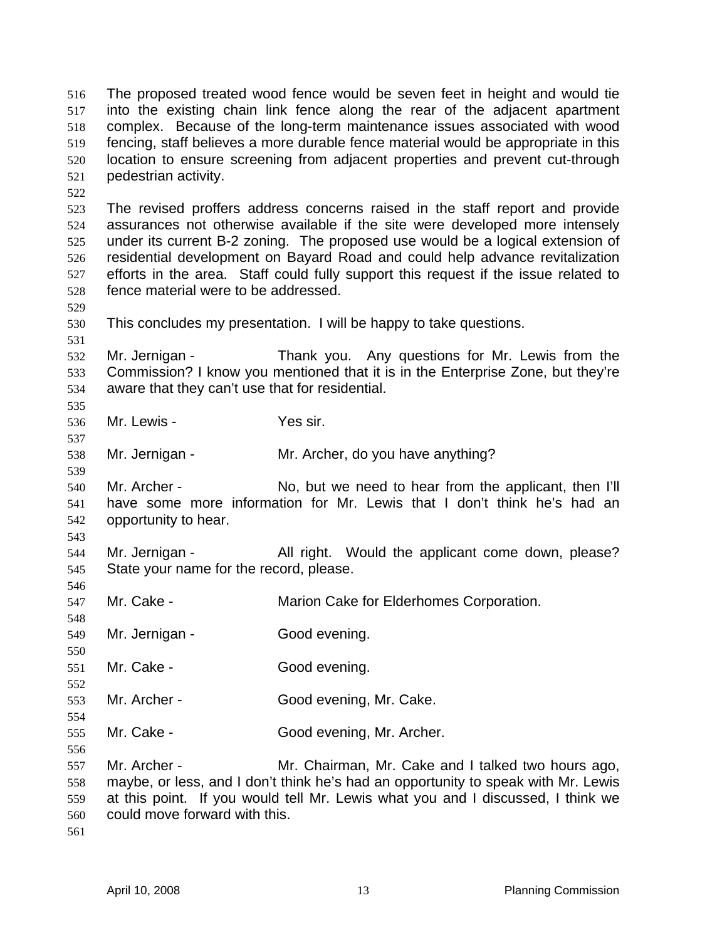The proposed treated wood fence would be seven feet in height and would tie into the existing chain link fence along the rear of the adjacent apartment complex. Because of the long-term maintenance issues associated with wood fencing, staff believes a more durable fence material would be appropriate in this location to ensure screening from adjacent properties and prevent cut-through pedestrian activity. 516 517 518 519 520 521 522 523 524 525 526 527 528 529 530 531 532 533 534 535 536 537 538 539 540 541 542 543 544 545 546 547 548 549 550 551 552 553 554 555 556 557 558 559 560 561 The revised proffers address concerns raised in the staff report and provide assurances not otherwise available if the site were developed more intensely under its current B-2 zoning. The proposed use would be a logical extension of residential development on Bayard Road and could help advance revitalization efforts in the area. Staff could fully support this request if the issue related to fence material were to be addressed. This concludes my presentation. I will be happy to take questions. Mr. Jernigan - Thank you. Any questions for Mr. Lewis from the Commission? I know you mentioned that it is in the Enterprise Zone, but they're aware that they can't use that for residential. Mr. Lewis - Yes sir. Mr. Jernigan - Mr. Archer, do you have anything? Mr. Archer - No, but we need to hear from the applicant, then I'll have some more information for Mr. Lewis that I don't think he's had an opportunity to hear. Mr. Jernigan - The All right. Would the applicant come down, please? State your name for the record, please. Mr. Cake - **Marion Cake for Elderhomes Corporation.** Mr. Jernigan - Good evening. Mr. Cake - Good evening. Mr. Archer - Good evening, Mr. Cake. Mr. Cake - Good evening, Mr. Archer. Mr. Archer - Mr. Chairman, Mr. Cake and I talked two hours ago, maybe, or less, and I don't think he's had an opportunity to speak with Mr. Lewis at this point. If you would tell Mr. Lewis what you and I discussed, I think we could move forward with this.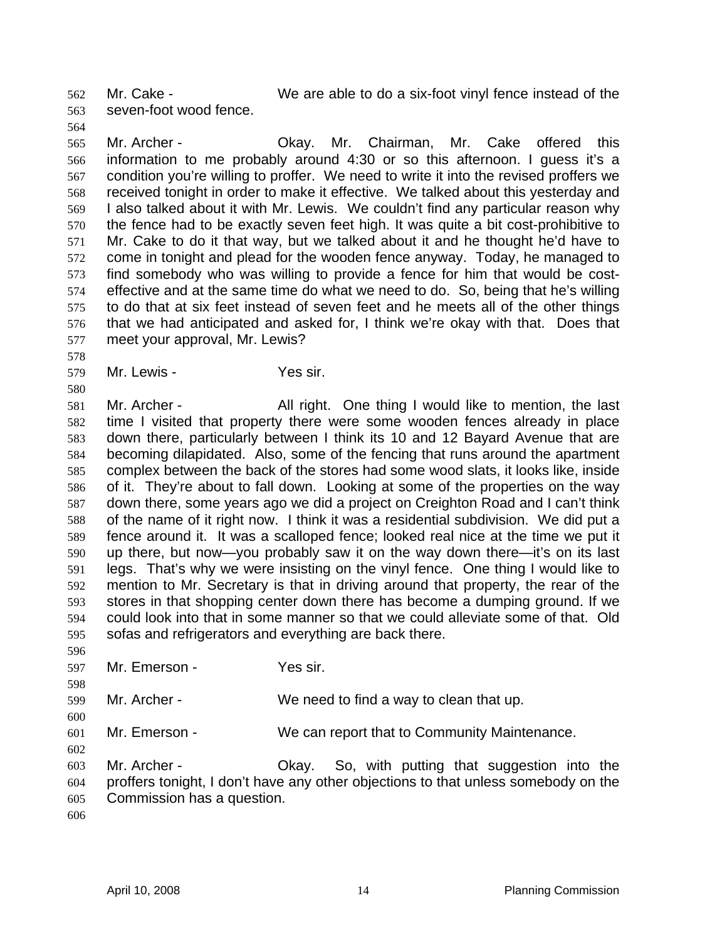seven-foot wood fence. 562 563

564

578

580

Mr. Cake - We are able to do a six-foot vinyl fence instead of the

565 566 567 568 569 570 571 572 573 574 575 576 577 Mr. Archer - Okay. Mr. Chairman, Mr. Cake offered this information to me probably around 4:30 or so this afternoon. I guess it's a condition you're willing to proffer. We need to write it into the revised proffers we received tonight in order to make it effective. We talked about this yesterday and I also talked about it with Mr. Lewis. We couldn't find any particular reason why the fence had to be exactly seven feet high. It was quite a bit cost-prohibitive to Mr. Cake to do it that way, but we talked about it and he thought he'd have to come in tonight and plead for the wooden fence anyway. Today, he managed to find somebody who was willing to provide a fence for him that would be costeffective and at the same time do what we need to do. So, being that he's willing to do that at six feet instead of seven feet and he meets all of the other things that we had anticipated and asked for, I think we're okay with that. Does that meet your approval, Mr. Lewis?

579 Mr. Lewis - The Yes sir.

581 582 583 584 585 586 587 588 589 590 591 592 593 594 595 Mr. Archer - All right. One thing I would like to mention, the last time I visited that property there were some wooden fences already in place down there, particularly between I think its 10 and 12 Bayard Avenue that are becoming dilapidated. Also, some of the fencing that runs around the apartment complex between the back of the stores had some wood slats, it looks like, inside of it. They're about to fall down. Looking at some of the properties on the way down there, some years ago we did a project on Creighton Road and I can't think of the name of it right now. I think it was a residential subdivision. We did put a fence around it. It was a scalloped fence; looked real nice at the time we put it up there, but now—you probably saw it on the way down there—it's on its last legs. That's why we were insisting on the vinyl fence. One thing I would like to mention to Mr. Secretary is that in driving around that property, the rear of the stores in that shopping center down there has become a dumping ground. If we could look into that in some manner so that we could alleviate some of that. Old sofas and refrigerators and everything are back there.

596 597 598 599 600 601 602 603 604 605 606 Mr. Emerson - Yes sir. Mr. Archer - We need to find a way to clean that up. Mr. Emerson - We can report that to Community Maintenance. Mr. Archer - Okay. So, with putting that suggestion into the proffers tonight, I don't have any other objections to that unless somebody on the Commission has a question.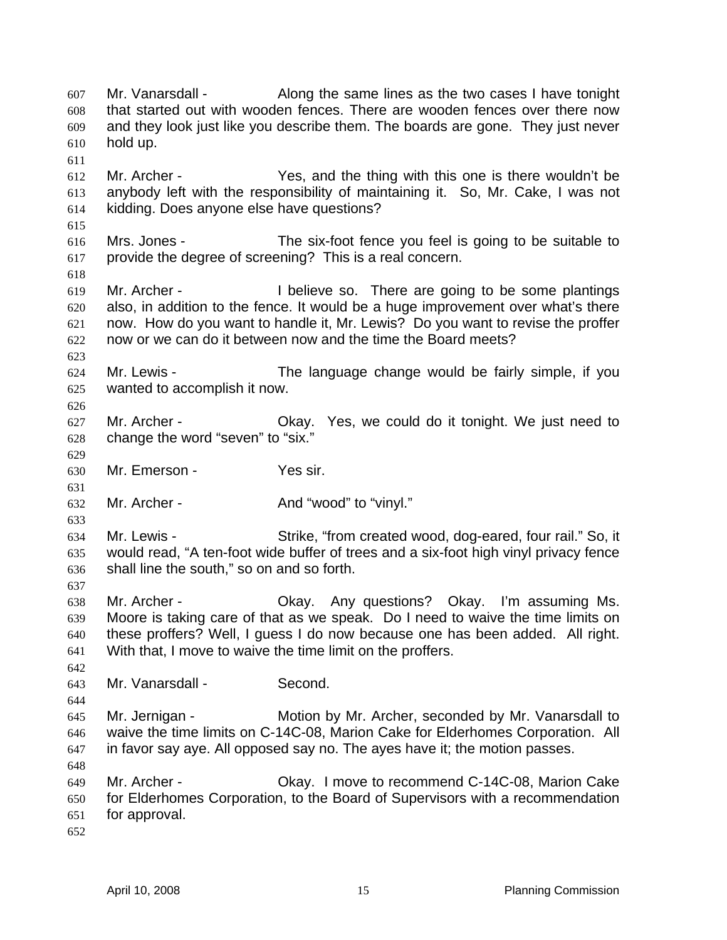Mr. Vanarsdall - Along the same lines as the two cases I have tonight that started out with wooden fences. There are wooden fences over there now and they look just like you describe them. The boards are gone. They just never hold up. 607 608 609 610 611 612 613 614 615 616 617 618 619 620 621 622 623 624 625 626 627 628 629 630 631 632 633 634 635 636 637 638 639 640 641 642 643 644 645 646 647 648 649 650 651 652 Mr. Archer - Yes, and the thing with this one is there wouldn't be anybody left with the responsibility of maintaining it. So, Mr. Cake, I was not kidding. Does anyone else have questions? Mrs. Jones - The six-foot fence you feel is going to be suitable to provide the degree of screening? This is a real concern. Mr. Archer - I believe so. There are going to be some plantings also, in addition to the fence. It would be a huge improvement over what's there now. How do you want to handle it, Mr. Lewis? Do you want to revise the proffer now or we can do it between now and the time the Board meets? Mr. Lewis - The language change would be fairly simple, if you wanted to accomplish it now. Mr. Archer - Okay. Yes, we could do it tonight. We just need to change the word "seven" to "six." Mr. Emerson - Yes sir. Mr. Archer - And "wood" to "vinyl." Mr. Lewis - Strike, "from created wood, dog-eared, four rail." So, it would read, "A ten-foot wide buffer of trees and a six-foot high vinyl privacy fence shall line the south," so on and so forth. Mr. Archer - Chay. Any questions? Okay. I'm assuming Ms. Moore is taking care of that as we speak. Do I need to waive the time limits on these proffers? Well, I guess I do now because one has been added. All right. With that, I move to waive the time limit on the proffers. Mr. Vanarsdall - Second. Mr. Jernigan - Motion by Mr. Archer, seconded by Mr. Vanarsdall to waive the time limits on C-14C-08, Marion Cake for Elderhomes Corporation. All in favor say aye. All opposed say no. The ayes have it; the motion passes. Mr. Archer - Okay. I move to recommend C-14C-08, Marion Cake for Elderhomes Corporation, to the Board of Supervisors with a recommendation for approval.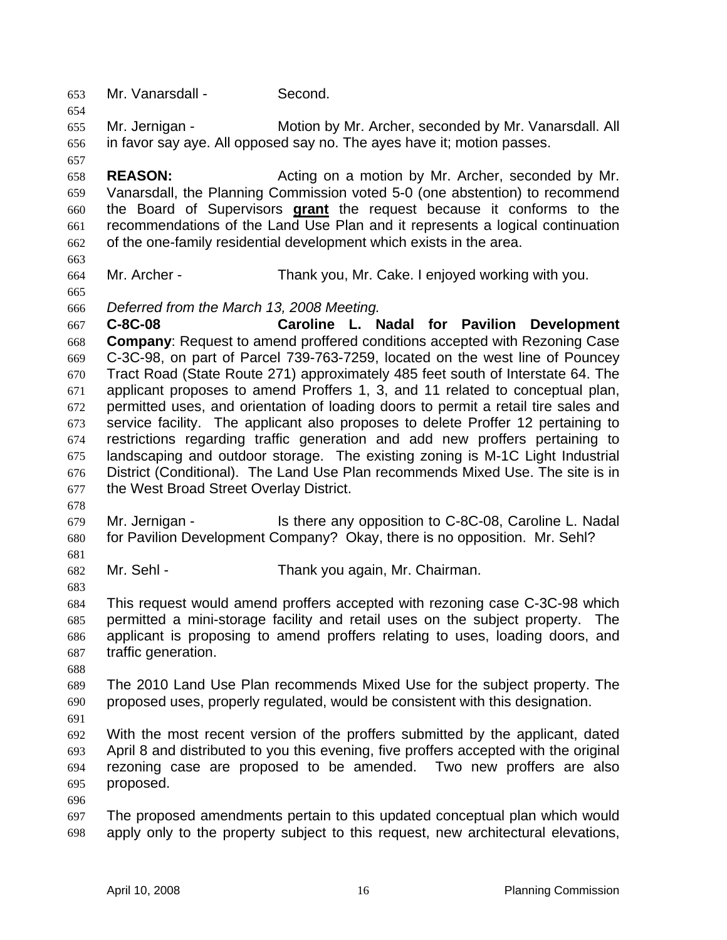653 Mr. Vanarsdall - Second.

655 656 Mr. Jernigan - **Motion by Mr. Archer, seconded by Mr. Vanarsdall. All** in favor say aye. All opposed say no. The ayes have it; motion passes.

658 659 **REASON:** Acting on a motion by Mr. Archer, seconded by Mr. Vanarsdall, the Planning Commission voted 5-0 (one abstention) to recommend the Board of Supervisors **grant** the request because it conforms to the recommendations of the Land Use Plan and it represents a logical continuation of the one-family residential development which exists in the area. 660 661 662

663 664

665

654

657

Mr. Archer - Thank you, Mr. Cake. I enjoyed working with you.

666 *Deferred from the March 13, 2008 Meeting.* 

667 668 669 670 671 672 673 674 675 676 677 **C-8C-08 Caroline L. Nadal for Pavilion Development Company**: Request to amend proffered conditions accepted with Rezoning Case C-3C-98, on part of Parcel 739-763-7259, located on the west line of Pouncey Tract Road (State Route 271) approximately 485 feet south of Interstate 64. The applicant proposes to amend Proffers 1, 3, and 11 related to conceptual plan, permitted uses, and orientation of loading doors to permit a retail tire sales and service facility. The applicant also proposes to delete Proffer 12 pertaining to restrictions regarding traffic generation and add new proffers pertaining to landscaping and outdoor storage. The existing zoning is M-1C Light Industrial District (Conditional). The Land Use Plan recommends Mixed Use. The site is in the West Broad Street Overlay District.

678

679 680 Mr. Jernigan - The Is there any opposition to C-8C-08, Caroline L. Nadal for Pavilion Development Company? Okay, there is no opposition. Mr. Sehl?

681

682 Mr. Sehl - Thank you again, Mr. Chairman.

683

684 685 686 687 This request would amend proffers accepted with rezoning case C-3C-98 which permitted a mini-storage facility and retail uses on the subject property. The applicant is proposing to amend proffers relating to uses, loading doors, and traffic generation.

688

689 690 The 2010 Land Use Plan recommends Mixed Use for the subject property. The proposed uses, properly regulated, would be consistent with this designation.

691

692 693 694 695 With the most recent version of the proffers submitted by the applicant, dated April 8 and distributed to you this evening, five proffers accepted with the original rezoning case are proposed to be amended. Two new proffers are also proposed.

696

697 698 The proposed amendments pertain to this updated conceptual plan which would apply only to the property subject to this request, new architectural elevations,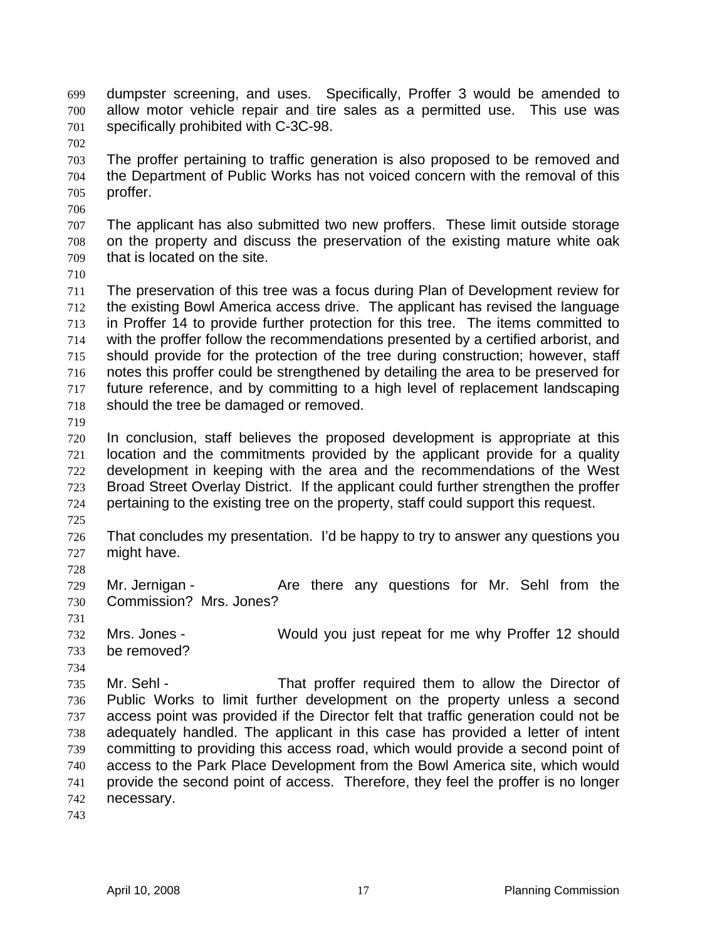dumpster screening, and uses. Specifically, Proffer 3 would be amended to allow motor vehicle repair and tire sales as a permitted use. This use was specifically prohibited with C-3C-98. 699 700 701

- 703 704 705 The proffer pertaining to traffic generation is also proposed to be removed and the Department of Public Works has not voiced concern with the removal of this proffer.
- 707 708 709 The applicant has also submitted two new proffers. These limit outside storage on the property and discuss the preservation of the existing mature white oak that is located on the site.
- 710

702

706

711 712 713 714 715 716 717 718 The preservation of this tree was a focus during Plan of Development review for the existing Bowl America access drive. The applicant has revised the language in Proffer 14 to provide further protection for this tree. The items committed to with the proffer follow the recommendations presented by a certified arborist, and should provide for the protection of the tree during construction; however, staff notes this proffer could be strengthened by detailing the area to be preserved for future reference, and by committing to a high level of replacement landscaping should the tree be damaged or removed.

719

720 721 722 723 724 In conclusion, staff believes the proposed development is appropriate at this location and the commitments provided by the applicant provide for a quality development in keeping with the area and the recommendations of the West Broad Street Overlay District. If the applicant could further strengthen the proffer pertaining to the existing tree on the property, staff could support this request.

725

726 727 That concludes my presentation. I'd be happy to try to answer any questions you might have.

728

729 730 Mr. Jernigan - Are there any questions for Mr. Sehl from the Commission? Mrs. Jones?

731

734

732 733 Mrs. Jones - Would you just repeat for me why Proffer 12 should be removed?

735 736 737 738 739 740 741 742 Mr. Sehl - That proffer required them to allow the Director of Public Works to limit further development on the property unless a second access point was provided if the Director felt that traffic generation could not be adequately handled. The applicant in this case has provided a letter of intent committing to providing this access road, which would provide a second point of access to the Park Place Development from the Bowl America site, which would provide the second point of access. Therefore, they feel the proffer is no longer necessary.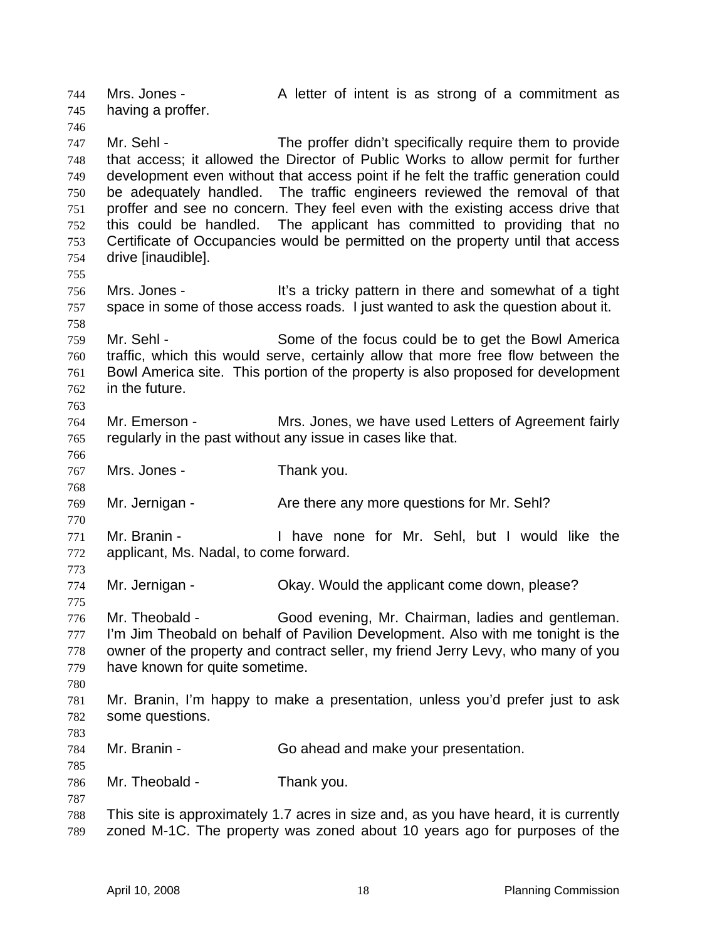Mrs. Jones - A letter of intent is as strong of a commitment as having a proffer. 744 745 746 747 748 749 750 751 752 753 754 755 756 757 758 759 760 761 762 763 764 765 766 767 768 769 770 771 772 773 774 775 776 777 778 779 780 781 782 783 784 785 786 787 788 789 Mr. Sehl - The proffer didn't specifically require them to provide that access; it allowed the Director of Public Works to allow permit for further development even without that access point if he felt the traffic generation could be adequately handled. The traffic engineers reviewed the removal of that proffer and see no concern. They feel even with the existing access drive that this could be handled. The applicant has committed to providing that no Certificate of Occupancies would be permitted on the property until that access drive [inaudible]. Mrs. Jones - It's a tricky pattern in there and somewhat of a tight space in some of those access roads. I just wanted to ask the question about it. Mr. Sehl - Some of the focus could be to get the Bowl America traffic, which this would serve, certainly allow that more free flow between the Bowl America site. This portion of the property is also proposed for development in the future. Mr. Emerson - Mrs. Jones, we have used Letters of Agreement fairly regularly in the past without any issue in cases like that. Mrs. Jones - Thank you. Mr. Jernigan - The State there any more questions for Mr. Sehl? Mr. Branin - Thave none for Mr. Sehl, but I would like the applicant, Ms. Nadal, to come forward. Mr. Jernigan - Okay. Would the applicant come down, please? Mr. Theobald - Good evening, Mr. Chairman, ladies and gentleman. I'm Jim Theobald on behalf of Pavilion Development. Also with me tonight is the owner of the property and contract seller, my friend Jerry Levy, who many of you have known for quite sometime. Mr. Branin, I'm happy to make a presentation, unless you'd prefer just to ask some questions. Mr. Branin - Go ahead and make your presentation. Mr. Theobald - Thank you. This site is approximately 1.7 acres in size and, as you have heard, it is currently zoned M-1C. The property was zoned about 10 years ago for purposes of the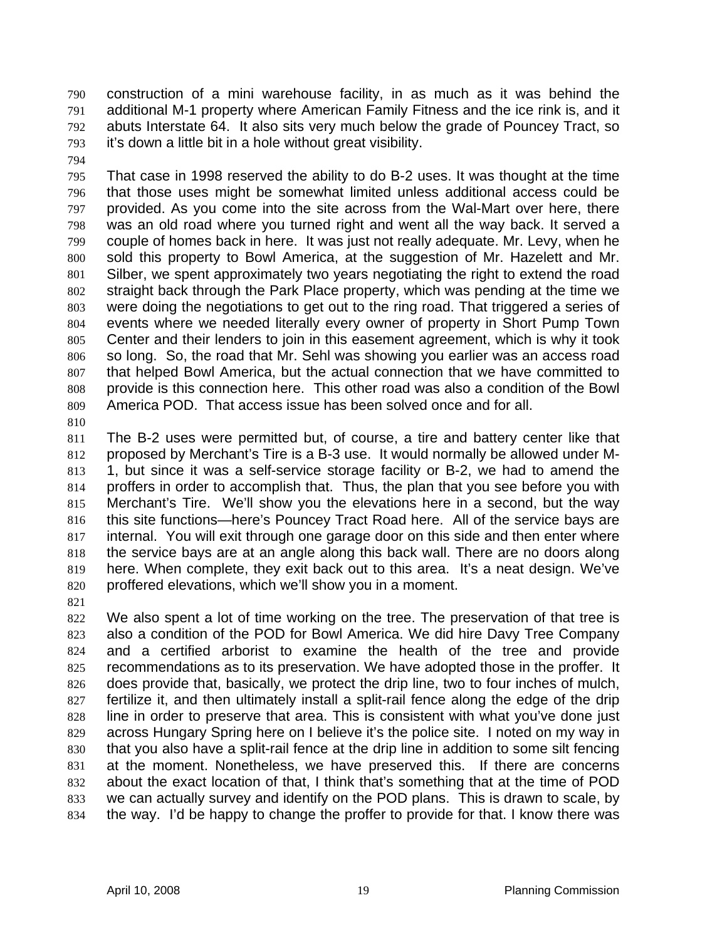construction of a mini warehouse facility, in as much as it was behind the additional M-1 property where American Family Fitness and the ice rink is, and it abuts Interstate 64. It also sits very much below the grade of Pouncey Tract, so it's down a little bit in a hole without great visibility. 790 791 792 793

794

795 796 797 798 799 800 801 802 803 804 805 806 807 808 809 That case in 1998 reserved the ability to do B-2 uses. It was thought at the time that those uses might be somewhat limited unless additional access could be provided. As you come into the site across from the Wal-Mart over here, there was an old road where you turned right and went all the way back. It served a couple of homes back in here. It was just not really adequate. Mr. Levy, when he sold this property to Bowl America, at the suggestion of Mr. Hazelett and Mr. Silber, we spent approximately two years negotiating the right to extend the road straight back through the Park Place property, which was pending at the time we were doing the negotiations to get out to the ring road. That triggered a series of events where we needed literally every owner of property in Short Pump Town Center and their lenders to join in this easement agreement, which is why it took so long. So, the road that Mr. Sehl was showing you earlier was an access road that helped Bowl America, but the actual connection that we have committed to provide is this connection here. This other road was also a condition of the Bowl America POD. That access issue has been solved once and for all.

810

811 812 813 814 815 816 817 818 819 820 The B-2 uses were permitted but, of course, a tire and battery center like that proposed by Merchant's Tire is a B-3 use. It would normally be allowed under M-1, but since it was a self-service storage facility or B-2, we had to amend the proffers in order to accomplish that. Thus, the plan that you see before you with Merchant's Tire. We'll show you the elevations here in a second, but the way this site functions—here's Pouncey Tract Road here. All of the service bays are internal. You will exit through one garage door on this side and then enter where the service bays are at an angle along this back wall. There are no doors along here. When complete, they exit back out to this area. It's a neat design. We've proffered elevations, which we'll show you in a moment.

821

822 823 824 825 826 827 828 829 830 831 832 833 834 We also spent a lot of time working on the tree. The preservation of that tree is also a condition of the POD for Bowl America. We did hire Davy Tree Company and a certified arborist to examine the health of the tree and provide recommendations as to its preservation. We have adopted those in the proffer. It does provide that, basically, we protect the drip line, two to four inches of mulch, fertilize it, and then ultimately install a split-rail fence along the edge of the drip line in order to preserve that area. This is consistent with what you've done just across Hungary Spring here on I believe it's the police site. I noted on my way in that you also have a split-rail fence at the drip line in addition to some silt fencing at the moment. Nonetheless, we have preserved this. If there are concerns about the exact location of that, I think that's something that at the time of POD we can actually survey and identify on the POD plans. This is drawn to scale, by the way. I'd be happy to change the proffer to provide for that. I know there was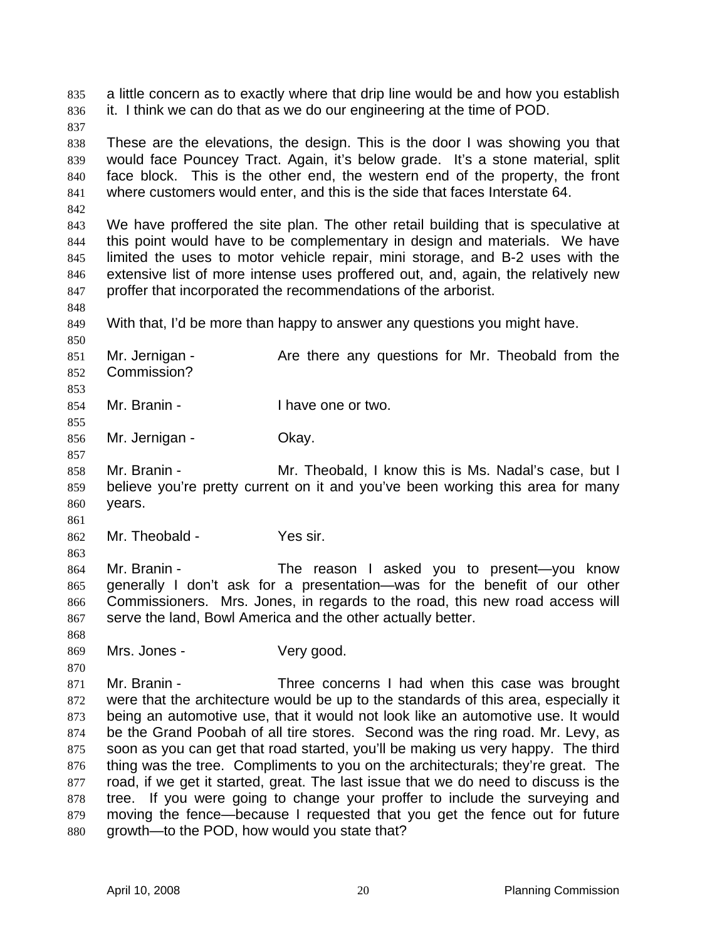a little concern as to exactly where that drip line would be and how you establish it. I think we can do that as we do our engineering at the time of POD. 835 836

837

842

848

850

853

855

857

838 839 840 841 These are the elevations, the design. This is the door I was showing you that would face Pouncey Tract. Again, it's below grade. It's a stone material, split face block. This is the other end, the western end of the property, the front where customers would enter, and this is the side that faces Interstate 64.

843 844 845 846 847 We have proffered the site plan. The other retail building that is speculative at this point would have to be complementary in design and materials. We have limited the uses to motor vehicle repair, mini storage, and B-2 uses with the extensive list of more intense uses proffered out, and, again, the relatively new proffer that incorporated the recommendations of the arborist.

849 With that, I'd be more than happy to answer any questions you might have.

851 852 Mr. Jernigan - The Are there any questions for Mr. Theobald from the Commission?

- 854 Mr. Branin - Thave one or two.
- 856 Mr. Jernigan - **Okay.**

858 859 860 Mr. Branin - Theobald, I know this is Ms. Nadal's case, but I believe you're pretty current on it and you've been working this area for many years.

861

863

870

862 Mr. Theobald - Yes sir.

864 865 866 867 Mr. Branin - The reason I asked you to present—you know generally I don't ask for a presentation—was for the benefit of our other Commissioners. Mrs. Jones, in regards to the road, this new road access will serve the land, Bowl America and the other actually better.

868 869 Mrs. Jones - Very good.

871 872 873 874 875 876 877 878 879 880 Mr. Branin - Three concerns I had when this case was brought were that the architecture would be up to the standards of this area, especially it being an automotive use, that it would not look like an automotive use. It would be the Grand Poobah of all tire stores. Second was the ring road. Mr. Levy, as soon as you can get that road started, you'll be making us very happy. The third thing was the tree. Compliments to you on the architecturals; they're great. The road, if we get it started, great. The last issue that we do need to discuss is the tree. If you were going to change your proffer to include the surveying and moving the fence—because I requested that you get the fence out for future growth—to the POD, how would you state that?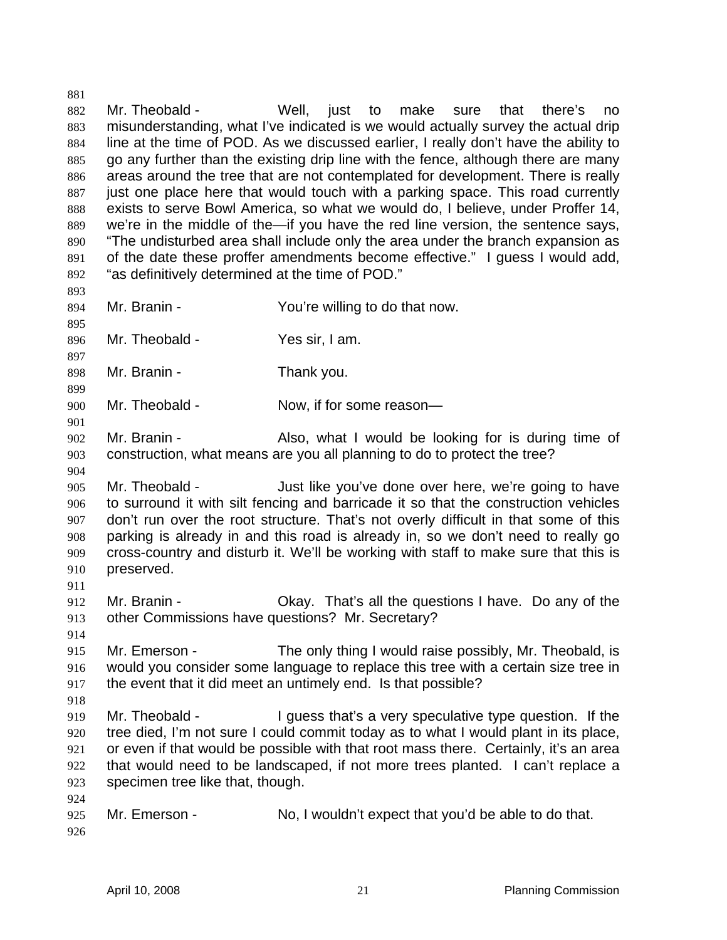882 883 884 885 886 887 888 889 890 891 892 893 894 895 896 Mr. Theobald - Well, just to make sure that there's no misunderstanding, what I've indicated is we would actually survey the actual drip line at the time of POD. As we discussed earlier, I really don't have the ability to go any further than the existing drip line with the fence, although there are many areas around the tree that are not contemplated for development. There is really just one place here that would touch with a parking space. This road currently exists to serve Bowl America, so what we would do, I believe, under Proffer 14, we're in the middle of the—if you have the red line version, the sentence says, "The undisturbed area shall include only the area under the branch expansion as of the date these proffer amendments become effective." I guess I would add, "as definitively determined at the time of POD." Mr. Branin - The Sou're willing to do that now. Mr. Theobald - Yes sir, I am.

897 898 Mr. Branin - Thank you.

900 Mr. Theobald - Now, if for some reason-

- 902 903 Mr. Branin - The Also, what I would be looking for is during time of construction, what means are you all planning to do to protect the tree?
- 905 906 907 908 909 910 Mr. Theobald - Just like you've done over here, we're going to have to surround it with silt fencing and barricade it so that the construction vehicles don't run over the root structure. That's not overly difficult in that some of this parking is already in and this road is already in, so we don't need to really go cross-country and disturb it. We'll be working with staff to make sure that this is preserved.
- 912 913 Mr. Branin - Okay. That's all the questions I have. Do any of the other Commissions have questions? Mr. Secretary?
- 914

911

899

901

904

- 915 916 917 Mr. Emerson - The only thing I would raise possibly, Mr. Theobald, is would you consider some language to replace this tree with a certain size tree in the event that it did meet an untimely end. Is that possible?
- 918
- 919 920 921 922 923 Mr. Theobald - I guess that's a very speculative type question. If the tree died, I'm not sure I could commit today as to what I would plant in its place, or even if that would be possible with that root mass there. Certainly, it's an area that would need to be landscaped, if not more trees planted. I can't replace a specimen tree like that, though.
- 924 925 926 Mr. Emerson - No, I wouldn't expect that you'd be able to do that.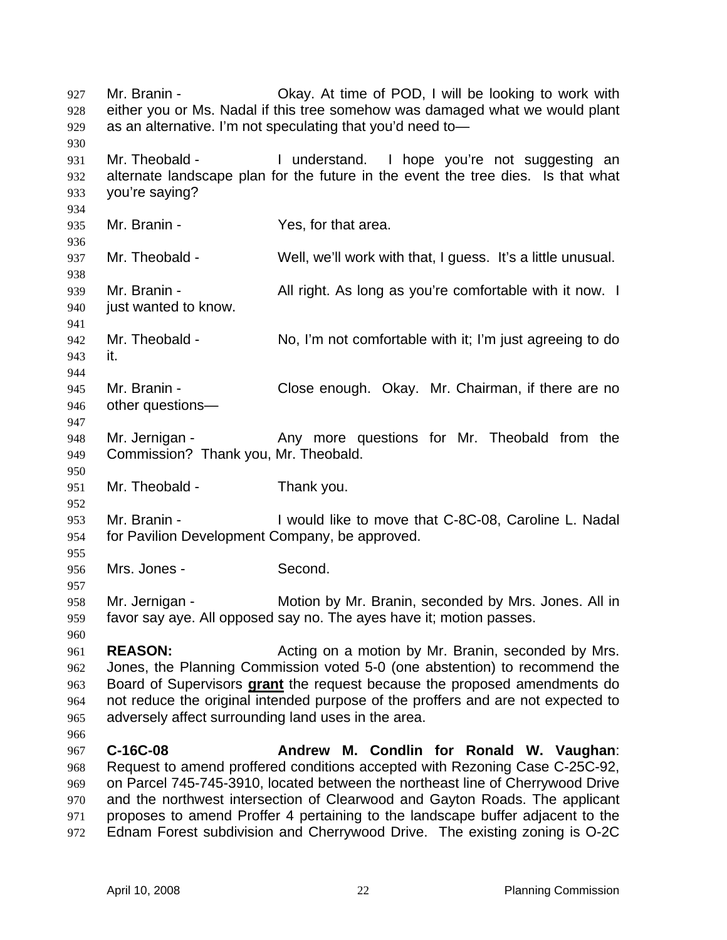Mr. Branin - Ckay. At time of POD, I will be looking to work with either you or Ms. Nadal if this tree somehow was damaged what we would plant as an alternative. I'm not speculating that you'd need to— 927 928 929 930 931 932 933 934 935 936 937 938 939 940 941 942 943 944 945 946 947 948 949 950 951 952 953 954 955 956 957 958 959 960 961 962 Mr. Theobald - Theore is and all understand. I hope you're not suggesting an alternate landscape plan for the future in the event the tree dies. Is that what you're saying? Mr. Branin - The Yes, for that area. Mr. Theobald - Well, we'll work with that, I guess. It's a little unusual. Mr. Branin - **All right.** As long as you're comfortable with it now. I just wanted to know. Mr. Theobald - No, I'm not comfortable with it; I'm just agreeing to do it. Mr. Branin - Close enough. Okay. Mr. Chairman, if there are no other questions— Mr. Jernigan - The Any more questions for Mr. Theobald from the Commission? Thank you, Mr. Theobald. Mr. Theobald - Thank you. Mr. Branin - I would like to move that C-8C-08, Caroline L. Nadal for Pavilion Development Company, be approved. Mrs. Jones - Second. Mr. Jernigan - Motion by Mr. Branin, seconded by Mrs. Jones. All in favor say aye. All opposed say no. The ayes have it; motion passes. **REASON:** Acting on a motion by Mr. Branin, seconded by Mrs. Jones, the Planning Commission voted 5-0 (one abstention) to recommend the Board of Supervisors **grant** the request because the proposed amendments do not reduce the original intended purpose of the proffers and are not expected to adversely affect surrounding land uses in the area. 963 964 965 966 967 968 969 970 971 972 **C-16C-08 Andrew M. Condlin for Ronald W. Vaughan**: Request to amend proffered conditions accepted with Rezoning Case C-25C-92, on Parcel 745-745-3910, located between the northeast line of Cherrywood Drive and the northwest intersection of Clearwood and Gayton Roads. The applicant proposes to amend Proffer 4 pertaining to the landscape buffer adjacent to the Ednam Forest subdivision and Cherrywood Drive. The existing zoning is O-2C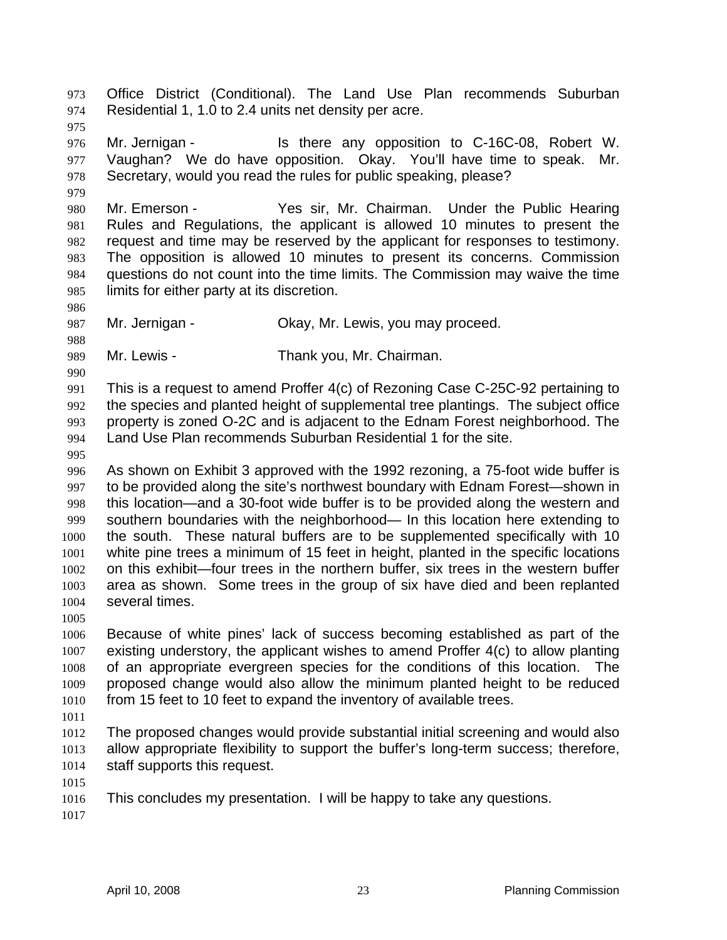Office District (Conditional). The Land Use Plan recommends Suburban Residential 1, 1.0 to 2.4 units net density per acre. 973 974 975 976 977 978 979 980 981 982 983 984 985 986 987 988 989 990 991 992 993 994 995 996 997 998 999 1000 1001 1002 1003 1004 1005 1006 1007 1008 1009 1010 1011 1012 1013 1014 1015 1016 1017 Mr. Jernigan - The State any opposition to C-16C-08, Robert W. Vaughan? We do have opposition. Okay. You'll have time to speak. Mr. Secretary, would you read the rules for public speaking, please? Mr. Emerson - The Yes sir, Mr. Chairman. Under the Public Hearing Rules and Regulations, the applicant is allowed 10 minutes to present the request and time may be reserved by the applicant for responses to testimony. The opposition is allowed 10 minutes to present its concerns. Commission questions do not count into the time limits. The Commission may waive the time limits for either party at its discretion. Mr. Jernigan - Ckay, Mr. Lewis, you may proceed. Mr. Lewis - Thank you, Mr. Chairman. This is a request to amend Proffer 4(c) of Rezoning Case C-25C-92 pertaining to the species and planted height of supplemental tree plantings. The subject office property is zoned O-2C and is adjacent to the Ednam Forest neighborhood. The Land Use Plan recommends Suburban Residential 1 for the site. As shown on Exhibit 3 approved with the 1992 rezoning, a 75-foot wide buffer is to be provided along the site's northwest boundary with Ednam Forest—shown in this location—and a 30-foot wide buffer is to be provided along the western and southern boundaries with the neighborhood— In this location here extending to the south. These natural buffers are to be supplemented specifically with 10 white pine trees a minimum of 15 feet in height, planted in the specific locations on this exhibit—four trees in the northern buffer, six trees in the western buffer area as shown. Some trees in the group of six have died and been replanted several times. Because of white pines' lack of success becoming established as part of the existing understory, the applicant wishes to amend Proffer 4(c) to allow planting of an appropriate evergreen species for the conditions of this location. The proposed change would also allow the minimum planted height to be reduced from 15 feet to 10 feet to expand the inventory of available trees. The proposed changes would provide substantial initial screening and would also allow appropriate flexibility to support the buffer's long-term success; therefore, staff supports this request. This concludes my presentation. I will be happy to take any questions.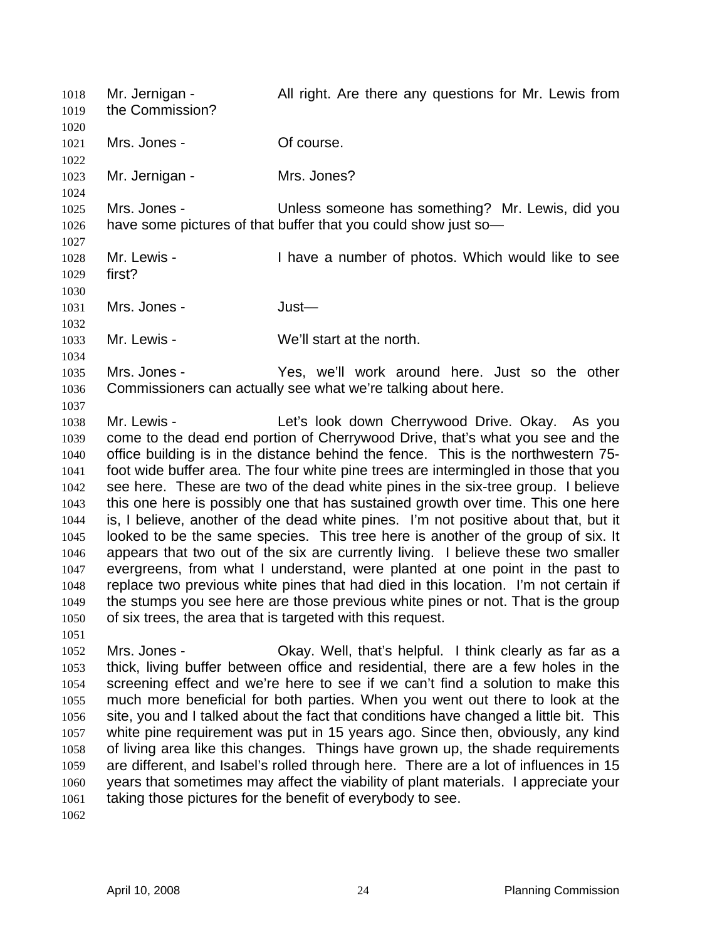Mr. Jernigan - All right. Are there any questions for Mr. Lewis from the Commission? 1018 1019 1020 1021 1022 1023 1024 1025 1026 1027 1028 1029 1030 1031 1032 1033 1034 1035 1036 1037 1038 1039 1040 1041 1042 1043 1044 1045 1046 1047 1048 1049 1050 1051 1052 1053 1054 1055 1056 1057 1058 1059 1060 1061 1062 Mrs. Jones - **Of course.** Mr. Jernigan - Mrs. Jones? Mrs. Jones - Unless someone has something? Mr. Lewis, did you have some pictures of that buffer that you could show just so-Mr. Lewis - Thave a number of photos. Which would like to see first? Mrs. Jones - Just— Mr. Lewis - We'll start at the north. Mrs. Jones - The Yes, we'll work around here. Just so the other Commissioners can actually see what we're talking about here. Mr. Lewis - Let's look down Cherrywood Drive. Okay. As you come to the dead end portion of Cherrywood Drive, that's what you see and the office building is in the distance behind the fence. This is the northwestern 75 foot wide buffer area. The four white pine trees are intermingled in those that you see here. These are two of the dead white pines in the six-tree group. I believe this one here is possibly one that has sustained growth over time. This one here is, I believe, another of the dead white pines. I'm not positive about that, but it looked to be the same species. This tree here is another of the group of six. It appears that two out of the six are currently living. I believe these two smaller evergreens, from what I understand, were planted at one point in the past to replace two previous white pines that had died in this location. I'm not certain if the stumps you see here are those previous white pines or not. That is the group of six trees, the area that is targeted with this request. Mrs. Jones - Okay. Well, that's helpful. I think clearly as far as a thick, living buffer between office and residential, there are a few holes in the screening effect and we're here to see if we can't find a solution to make this much more beneficial for both parties. When you went out there to look at the site, you and I talked about the fact that conditions have changed a little bit. This white pine requirement was put in 15 years ago. Since then, obviously, any kind of living area like this changes. Things have grown up, the shade requirements are different, and Isabel's rolled through here. There are a lot of influences in 15 years that sometimes may affect the viability of plant materials. I appreciate your taking those pictures for the benefit of everybody to see.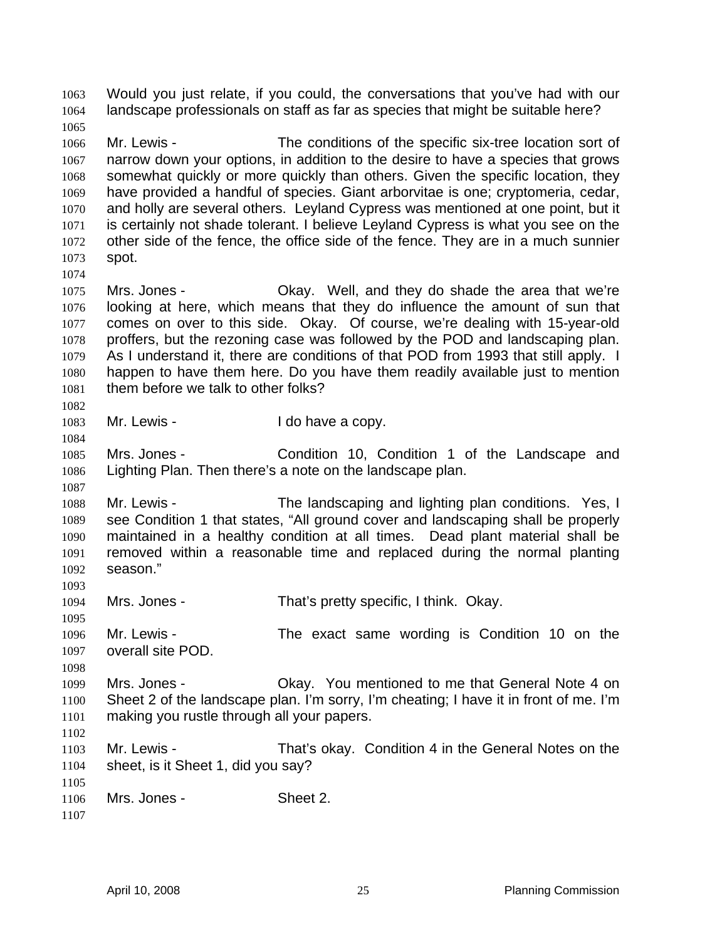Would you just relate, if you could, the conversations that you've had with our landscape professionals on staff as far as species that might be suitable here? 1063 1064 1065 1066 1067 1068 1069 1070 1071 1072 1073 1074 1075 1076 1077 1078 1079 1080 1081 1082 1083 1084 1085 1086 1087 1088 1089 1090 1091 1092 1093 1094 1095 1096 1097 1098 1099 1100 1101 1102 1103 1104 1105 1106 1107 Mr. Lewis - The conditions of the specific six-tree location sort of narrow down your options, in addition to the desire to have a species that grows somewhat quickly or more quickly than others. Given the specific location, they have provided a handful of species. Giant arborvitae is one; cryptomeria, cedar, and holly are several others. Leyland Cypress was mentioned at one point, but it is certainly not shade tolerant. I believe Leyland Cypress is what you see on the other side of the fence, the office side of the fence. They are in a much sunnier spot. Mrs. Jones - Okay. Well, and they do shade the area that we're looking at here, which means that they do influence the amount of sun that comes on over to this side. Okay. Of course, we're dealing with 15-year-old proffers, but the rezoning case was followed by the POD and landscaping plan. As I understand it, there are conditions of that POD from 1993 that still apply. I happen to have them here. Do you have them readily available just to mention them before we talk to other folks? Mr. Lewis - The Lewis - The Lewis - The Lewis and Lewis and Lewis and Lewis and Lewis and Lewis and Lewis and L Mrs. Jones - Condition 10, Condition 1 of the Landscape and Lighting Plan. Then there's a note on the landscape plan. Mr. Lewis - The landscaping and lighting plan conditions. Yes, I see Condition 1 that states, "All ground cover and landscaping shall be properly maintained in a healthy condition at all times. Dead plant material shall be removed within a reasonable time and replaced during the normal planting season." Mrs. Jones - That's pretty specific, I think. Okay. Mr. Lewis - The exact same wording is Condition 10 on the overall site POD. Mrs. Jones - Ckay. You mentioned to me that General Note 4 on Sheet 2 of the landscape plan. I'm sorry, I'm cheating; I have it in front of me. I'm making you rustle through all your papers. Mr. Lewis - That's okay. Condition 4 in the General Notes on the sheet, is it Sheet 1, did you say? Mrs. Jones - Sheet 2.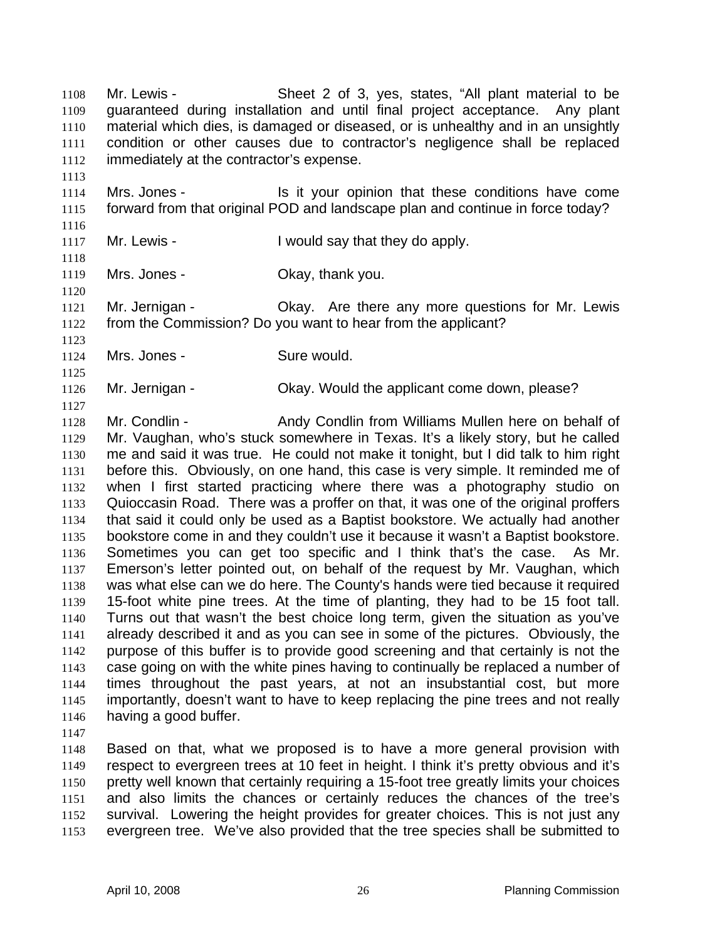Mr. Lewis - Sheet 2 of 3, yes, states, "All plant material to be guaranteed during installation and until final project acceptance. Any plant material which dies, is damaged or diseased, or is unhealthy and in an unsightly condition or other causes due to contractor's negligence shall be replaced immediately at the contractor's expense. 1108 1109 1110 1111 1112

1114 1115 Mrs. Jones - Is it your opinion that these conditions have come forward from that original POD and landscape plan and continue in force today?

1117 Mr. Lewis - Twould say that they do apply.

1118

1120

1116

1113

1119 Mrs. Jones - Ckay, thank you.

1121 1122 Mr. Jernigan - Okay. Are there any more questions for Mr. Lewis from the Commission? Do you want to hear from the applicant?

1123 1124 1125

1127

Mrs. Jones - Sure would.

1126 Mr. Jernigan - Okay. Would the applicant come down, please?

1128 1129 1130 1131 1132 1133 1134 1135 1136 1137 1138 1139 1140 1141 1142 1143 1144 1145 1146 Mr. Condlin - Andy Condlin from Williams Mullen here on behalf of Mr. Vaughan, who's stuck somewhere in Texas. It's a likely story, but he called me and said it was true. He could not make it tonight, but I did talk to him right before this. Obviously, on one hand, this case is very simple. It reminded me of when I first started practicing where there was a photography studio on Quioccasin Road. There was a proffer on that, it was one of the original proffers that said it could only be used as a Baptist bookstore. We actually had another bookstore come in and they couldn't use it because it wasn't a Baptist bookstore. Sometimes you can get too specific and I think that's the case. As Mr. Emerson's letter pointed out, on behalf of the request by Mr. Vaughan, which was what else can we do here. The County's hands were tied because it required 15-foot white pine trees. At the time of planting, they had to be 15 foot tall. Turns out that wasn't the best choice long term, given the situation as you've already described it and as you can see in some of the pictures. Obviously, the purpose of this buffer is to provide good screening and that certainly is not the case going on with the white pines having to continually be replaced a number of times throughout the past years, at not an insubstantial cost, but more importantly, doesn't want to have to keep replacing the pine trees and not really having a good buffer.

1147

1148 1149 1150 1151 1152 1153 Based on that, what we proposed is to have a more general provision with respect to evergreen trees at 10 feet in height. I think it's pretty obvious and it's pretty well known that certainly requiring a 15-foot tree greatly limits your choices and also limits the chances or certainly reduces the chances of the tree's survival. Lowering the height provides for greater choices. This is not just any evergreen tree. We've also provided that the tree species shall be submitted to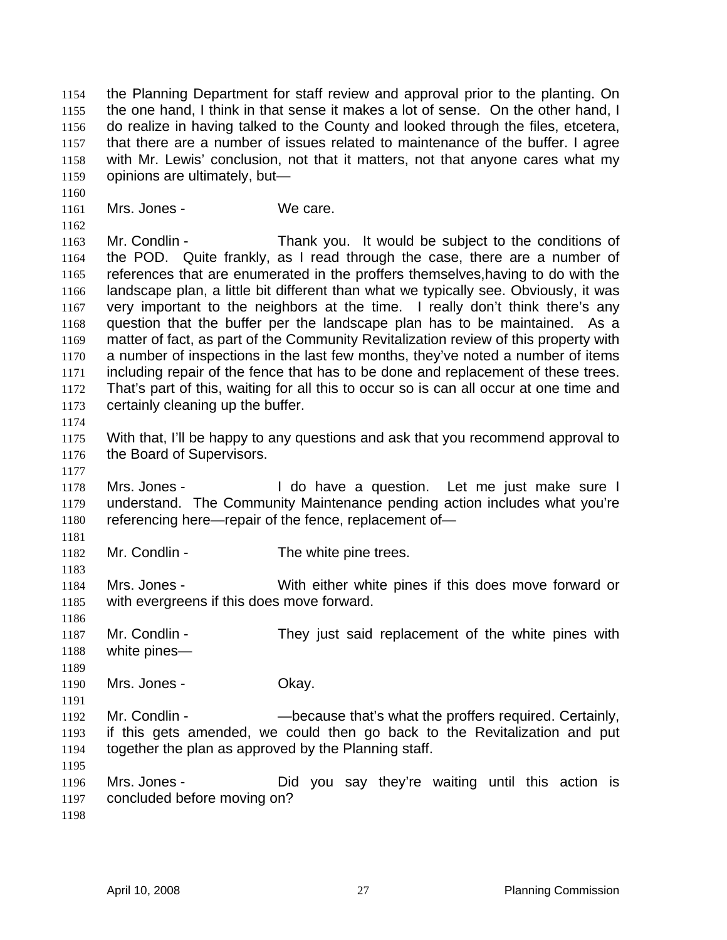the Planning Department for staff review and approval prior to the planting. On the one hand, I think in that sense it makes a lot of sense. On the other hand, I do realize in having talked to the County and looked through the files, etcetera, that there are a number of issues related to maintenance of the buffer. I agree with Mr. Lewis' conclusion, not that it matters, not that anyone cares what my opinions are ultimately, but— 1154 1155 1156 1157 1158 1159

1161 Mrs. Jones - We care.

1163 1164 1165 1166 1167 1168 1169 1170 1171 1172 1173 Mr. Condlin - Thank you. It would be subject to the conditions of the POD. Quite frankly, as I read through the case, there are a number of references that are enumerated in the proffers themselves,having to do with the landscape plan, a little bit different than what we typically see. Obviously, it was very important to the neighbors at the time. I really don't think there's any question that the buffer per the landscape plan has to be maintained. As a matter of fact, as part of the Community Revitalization review of this property with a number of inspections in the last few months, they've noted a number of items including repair of the fence that has to be done and replacement of these trees. That's part of this, waiting for all this to occur so is can all occur at one time and certainly cleaning up the buffer.

- 1175 1176 With that, I'll be happy to any questions and ask that you recommend approval to the Board of Supervisors.
- 1178 1179 1180 Mrs. Jones - I do have a question. Let me just make sure I understand. The Community Maintenance pending action includes what you're referencing here—repair of the fence, replacement of—
- 1182 Mr. Condlin - The white pine trees.

1184 1185 Mrs. Jones - With either white pines if this does move forward or with evergreens if this does move forward.

1187 1188 Mr. Condlin - They just said replacement of the white pines with white pines—

- 1190 Mrs. Jones - Chay.
- 1192 1193 1194 Mr. Condlin - The Cause that's what the proffers required. Certainly, if this gets amended, we could then go back to the Revitalization and put together the plan as approved by the Planning staff.
- 1196 1197 Mrs. Jones - Did you say they're waiting until this action is concluded before moving on?
- 1198

1195

1160

1162

1174

1177

1181

1183

1186

1189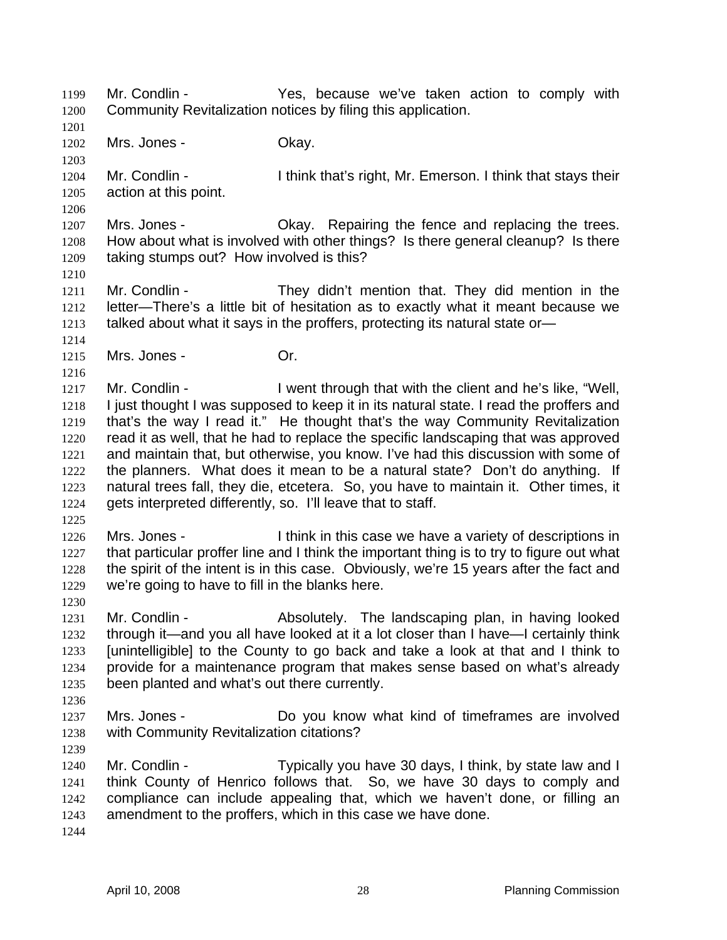Mr. Condlin - Yes, because we've taken action to comply with Community Revitalization notices by filing this application. 1199 1200

1201 1202

1203

1206

Mrs. Jones - Chay.

1204 1205 Mr. Condlin - Ithink that's right, Mr. Emerson. I think that stays their action at this point.

1207 1208 1209 Mrs. Jones - Okay. Repairing the fence and replacing the trees. How about what is involved with other things? Is there general cleanup? Is there taking stumps out? How involved is this?

1210

1214

1216

1211 1212 1213 Mr. Condlin - They didn't mention that. They did mention in the letter—There's a little bit of hesitation as to exactly what it meant because we talked about what it says in the proffers, protecting its natural state or—

1215 Mrs. Jones - Or.

1217 1218 1219 1220 1221 1222 1223 1224 Mr. Condlin - I went through that with the client and he's like, "Well, I just thought I was supposed to keep it in its natural state. I read the proffers and that's the way I read it." He thought that's the way Community Revitalization read it as well, that he had to replace the specific landscaping that was approved and maintain that, but otherwise, you know. I've had this discussion with some of the planners. What does it mean to be a natural state? Don't do anything. If natural trees fall, they die, etcetera. So, you have to maintain it. Other times, it gets interpreted differently, so. I'll leave that to staff.

1225

1230

1236

1239

1226 1227 1228 1229 Mrs. Jones - I think in this case we have a variety of descriptions in that particular proffer line and I think the important thing is to try to figure out what the spirit of the intent is in this case. Obviously, we're 15 years after the fact and we're going to have to fill in the blanks here.

1231 1232 1233 1234 1235 Mr. Condlin - Absolutely. The landscaping plan, in having looked through it—and you all have looked at it a lot closer than I have—I certainly think [unintelligible] to the County to go back and take a look at that and I think to provide for a maintenance program that makes sense based on what's already been planted and what's out there currently.

1237 1238 Mrs. Jones - Do you know what kind of timeframes are involved with Community Revitalization citations?

- 1240 1241 1242 1243 Mr. Condlin - Typically you have 30 days, I think, by state law and I think County of Henrico follows that. So, we have 30 days to comply and compliance can include appealing that, which we haven't done, or filling an amendment to the proffers, which in this case we have done.
- 1244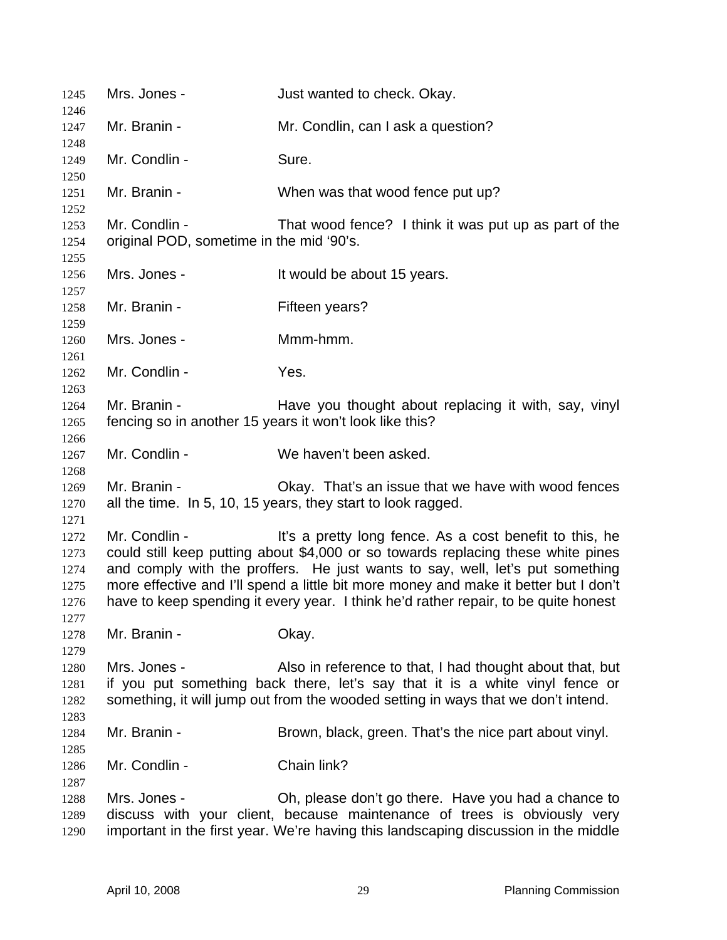| 1245                                                                            | Mrs. Jones -                                                                                                                                                                                                                                                                                                                                                                                                                 | Just wanted to check. Okay.                                                                                                                                                                                                   |  |
|---------------------------------------------------------------------------------|------------------------------------------------------------------------------------------------------------------------------------------------------------------------------------------------------------------------------------------------------------------------------------------------------------------------------------------------------------------------------------------------------------------------------|-------------------------------------------------------------------------------------------------------------------------------------------------------------------------------------------------------------------------------|--|
| 1246<br>1247                                                                    | Mr. Branin -                                                                                                                                                                                                                                                                                                                                                                                                                 | Mr. Condlin, can I ask a question?                                                                                                                                                                                            |  |
| 1248<br>1249                                                                    | Mr. Condlin -                                                                                                                                                                                                                                                                                                                                                                                                                | Sure.                                                                                                                                                                                                                         |  |
| 1250<br>1251                                                                    | Mr. Branin -                                                                                                                                                                                                                                                                                                                                                                                                                 | When was that wood fence put up?                                                                                                                                                                                              |  |
| 1252<br>1253<br>1254                                                            | Mr. Condlin -<br>original POD, sometime in the mid '90's.                                                                                                                                                                                                                                                                                                                                                                    | That wood fence? I think it was put up as part of the                                                                                                                                                                         |  |
| 1255<br>1256                                                                    | Mrs. Jones -                                                                                                                                                                                                                                                                                                                                                                                                                 | It would be about 15 years.                                                                                                                                                                                                   |  |
| 1257<br>1258                                                                    | Mr. Branin -                                                                                                                                                                                                                                                                                                                                                                                                                 | Fifteen years?                                                                                                                                                                                                                |  |
| 1259<br>1260                                                                    | Mrs. Jones -                                                                                                                                                                                                                                                                                                                                                                                                                 | Mmm-hmm.                                                                                                                                                                                                                      |  |
| 1261<br>1262                                                                    | Mr. Condlin -                                                                                                                                                                                                                                                                                                                                                                                                                | Yes.                                                                                                                                                                                                                          |  |
| 1263                                                                            | Mr. Branin -                                                                                                                                                                                                                                                                                                                                                                                                                 | Have you thought about replacing it with, say, vinyl                                                                                                                                                                          |  |
| 1264<br>fencing so in another 15 years it won't look like this?<br>1265<br>1266 |                                                                                                                                                                                                                                                                                                                                                                                                                              |                                                                                                                                                                                                                               |  |
| 1267<br>1268                                                                    | Mr. Condlin -                                                                                                                                                                                                                                                                                                                                                                                                                | We haven't been asked.                                                                                                                                                                                                        |  |
| 1269<br>1270                                                                    | Mr. Branin -                                                                                                                                                                                                                                                                                                                                                                                                                 | Okay. That's an issue that we have with wood fences<br>all the time. In 5, 10, 15 years, they start to look ragged.                                                                                                           |  |
| 1271<br>1272<br>1273<br>1274<br>1275<br>1276<br>1277                            | Mr. Condlin -<br>It's a pretty long fence. As a cost benefit to this, he<br>could still keep putting about \$4,000 or so towards replacing these white pines<br>and comply with the proffers. He just wants to say, well, let's put something<br>more effective and I'll spend a little bit more money and make it better but I don't<br>have to keep spending it every year. I think he'd rather repair, to be quite honest |                                                                                                                                                                                                                               |  |
| 1278                                                                            | Mr. Branin -                                                                                                                                                                                                                                                                                                                                                                                                                 | Okay.                                                                                                                                                                                                                         |  |
| 1279<br>1280<br>1281<br>1282<br>1283                                            | Mrs. Jones -                                                                                                                                                                                                                                                                                                                                                                                                                 | Also in reference to that, I had thought about that, but<br>if you put something back there, let's say that it is a white vinyl fence or<br>something, it will jump out from the wooded setting in ways that we don't intend. |  |
| 1284<br>1285                                                                    | Mr. Branin -                                                                                                                                                                                                                                                                                                                                                                                                                 | Brown, black, green. That's the nice part about vinyl.                                                                                                                                                                        |  |
| 1286<br>1287                                                                    | Mr. Condlin -                                                                                                                                                                                                                                                                                                                                                                                                                | Chain link?                                                                                                                                                                                                                   |  |
| 1288<br>1289<br>1290                                                            | Mrs. Jones -                                                                                                                                                                                                                                                                                                                                                                                                                 | Oh, please don't go there. Have you had a chance to<br>discuss with your client, because maintenance of trees is obviously very<br>important in the first year. We're having this landscaping discussion in the middle        |  |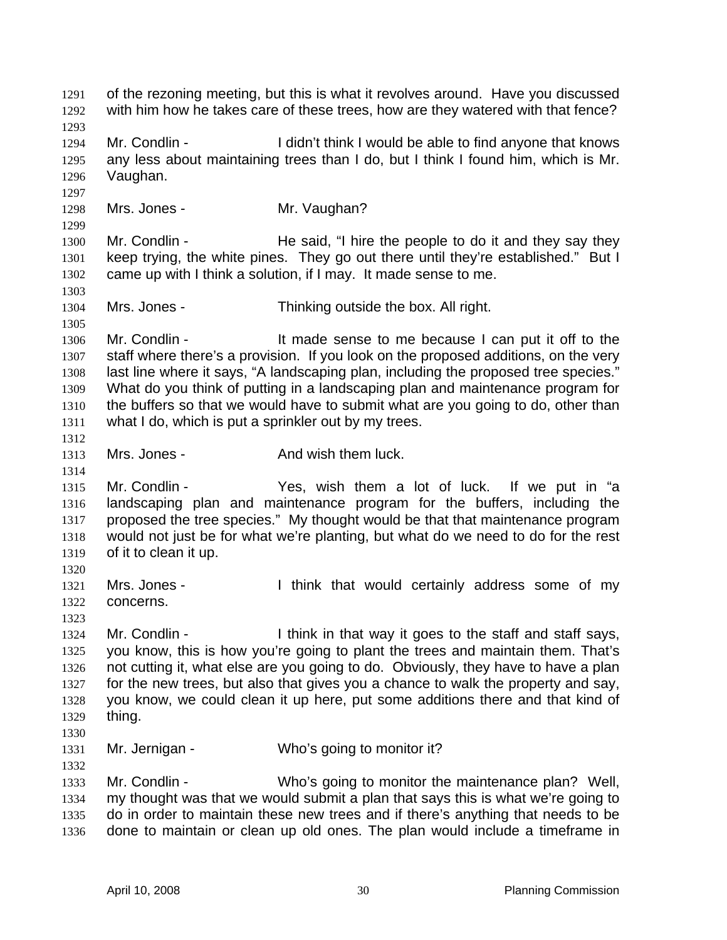of the rezoning meeting, but this is what it revolves around. Have you discussed with him how he takes care of these trees, how are they watered with that fence? 1291 1292 1293 1294 1295 1296 1297 1298 1299 1300 1301 1302 1303 1304 1305 1306 1307 1308 1309 1310 1311 1312 1313 1314 1315 1316 1317 1318 1319 1320 1321 1322 1323 1324 1325 1326 1327 1328 1329 1330 1331 1332 1333 1334 1335 1336 Mr. Condlin - I didn't think I would be able to find anyone that knows any less about maintaining trees than I do, but I think I found him, which is Mr. Vaughan. Mrs. Jones - **Mr. Vaughan?** Mr. Condlin - He said, "I hire the people to do it and they say they keep trying, the white pines. They go out there until they're established." But I came up with I think a solution, if I may. It made sense to me. Mrs. Jones - Thinking outside the box. All right. Mr. Condlin - It made sense to me because I can put it off to the staff where there's a provision. If you look on the proposed additions, on the very last line where it says, "A landscaping plan, including the proposed tree species." What do you think of putting in a landscaping plan and maintenance program for the buffers so that we would have to submit what are you going to do, other than what I do, which is put a sprinkler out by my trees. Mrs. Jones - The Contract And wish them luck. Mr. Condlin - Yes, wish them a lot of luck. If we put in "a landscaping plan and maintenance program for the buffers, including the proposed the tree species." My thought would be that that maintenance program would not just be for what we're planting, but what do we need to do for the rest of it to clean it up. Mrs. Jones - Think that would certainly address some of my concerns. Mr. Condlin - I think in that way it goes to the staff and staff says, you know, this is how you're going to plant the trees and maintain them. That's not cutting it, what else are you going to do. Obviously, they have to have a plan for the new trees, but also that gives you a chance to walk the property and say, you know, we could clean it up here, put some additions there and that kind of thing. Mr. Jernigan - Who's going to monitor it? Mr. Condlin - Who's going to monitor the maintenance plan? Well, my thought was that we would submit a plan that says this is what we're going to do in order to maintain these new trees and if there's anything that needs to be done to maintain or clean up old ones. The plan would include a timeframe in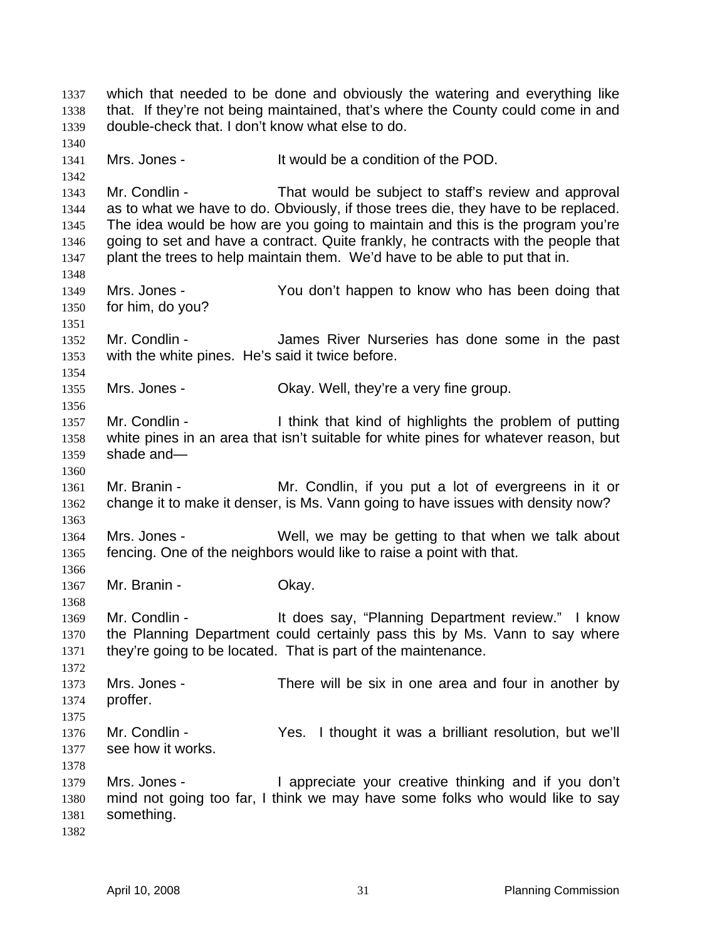which that needed to be done and obviously the watering and everything like that. If they're not being maintained, that's where the County could come in and double-check that. I don't know what else to do. 1337 1338 1339 1340 1341 1342 1343 1344 1345 1346 1347 1348 1349 1350 1351 1352 1353 1354 1355 1356 1357 1358 1359 1360 1361 1362 1363 1364 1365 1366 1367 1368 1369 1370 1371 1372 1373 1374 1375 1376 1377 1378 1379 1380 1381 1382 Mrs. Jones - It would be a condition of the POD. Mr. Condlin - That would be subject to staff's review and approval as to what we have to do. Obviously, if those trees die, they have to be replaced. The idea would be how are you going to maintain and this is the program you're going to set and have a contract. Quite frankly, he contracts with the people that plant the trees to help maintain them. We'd have to be able to put that in. Mrs. Jones - You don't happen to know who has been doing that for him, do you? Mr. Condlin - The James River Nurseries has done some in the past with the white pines. He's said it twice before. Mrs. Jones - Ckay. Well, they're a very fine group. Mr. Condlin - I think that kind of highlights the problem of putting white pines in an area that isn't suitable for white pines for whatever reason, but shade and— Mr. Branin - The Mr. Condlin, if you put a lot of evergreens in it or change it to make it denser, is Ms. Vann going to have issues with density now? Mrs. Jones - Well, we may be getting to that when we talk about fencing. One of the neighbors would like to raise a point with that. Mr. Branin - Chay. Mr. Condlin - It does say, "Planning Department review." I know the Planning Department could certainly pass this by Ms. Vann to say where they're going to be located. That is part of the maintenance. Mrs. Jones - There will be six in one area and four in another by proffer. Mr. Condlin - The Yes. I thought it was a brilliant resolution, but we'll see how it works. Mrs. Jones - I appreciate your creative thinking and if you don't mind not going too far, I think we may have some folks who would like to say something.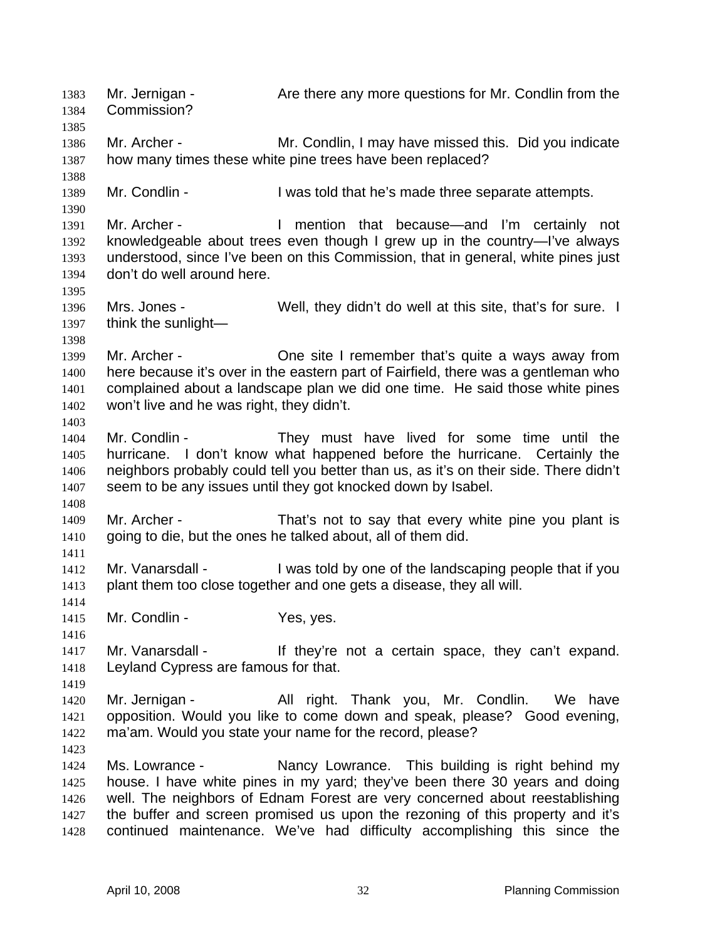Mr. Jernigan - Are there any more questions for Mr. Condlin from the Commission? 1383 1384 1385 1386 1387 1388 1389 1390 1391 1392 1393 1394 1395 1396 1397 1398 1399 1400 1401 1402 1403 1404 1405 1406 1407 1408 1409 1410 1411 1412 1413 1414 1415 1416 1417 1418 1419 1420 1421 1422 1423 1424 1425 1426 1427 1428 Mr. Archer - **Mr. Condlin, I may have missed this.** Did you indicate how many times these white pine trees have been replaced? Mr. Condlin - The State of that he's made three separate attempts. Mr. Archer - Thention that because—and I'm certainly not knowledgeable about trees even though I grew up in the country—I've always understood, since I've been on this Commission, that in general, white pines just don't do well around here. Mrs. Jones - Well, they didn't do well at this site, that's for sure. I think the sunlight— Mr. Archer - One site I remember that's quite a ways away from here because it's over in the eastern part of Fairfield, there was a gentleman who complained about a landscape plan we did one time. He said those white pines won't live and he was right, they didn't. Mr. Condlin - They must have lived for some time until the hurricane. I don't know what happened before the hurricane. Certainly the neighbors probably could tell you better than us, as it's on their side. There didn't seem to be any issues until they got knocked down by Isabel. Mr. Archer - That's not to say that every white pine you plant is going to die, but the ones he talked about, all of them did. Mr. Vanarsdall - I was told by one of the landscaping people that if you plant them too close together and one gets a disease, they all will. Mr. Condlin - Yes, yes. Mr. Vanarsdall - If they're not a certain space, they can't expand. Leyland Cypress are famous for that. Mr. Jernigan - Thank Thank you, Mr. Condlin. We have opposition. Would you like to come down and speak, please? Good evening, ma'am. Would you state your name for the record, please? Ms. Lowrance - This building is right behind my house. I have white pines in my yard; they've been there 30 years and doing well. The neighbors of Ednam Forest are very concerned about reestablishing the buffer and screen promised us upon the rezoning of this property and it's continued maintenance. We've had difficulty accomplishing this since the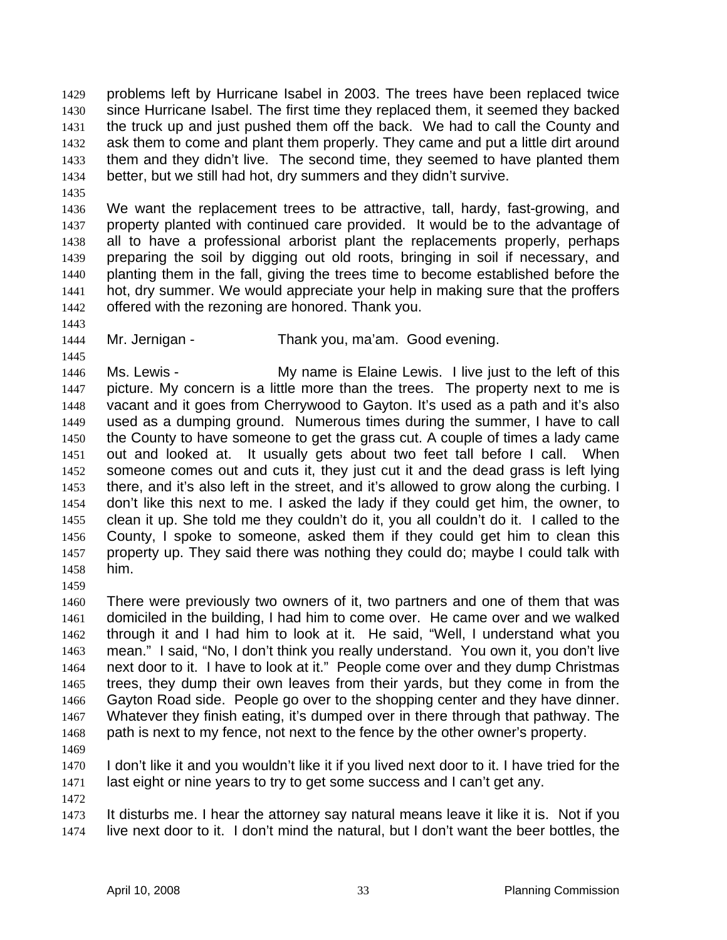problems left by Hurricane Isabel in 2003. The trees have been replaced twice since Hurricane Isabel. The first time they replaced them, it seemed they backed the truck up and just pushed them off the back. We had to call the County and ask them to come and plant them properly. They came and put a little dirt around them and they didn't live. The second time, they seemed to have planted them better, but we still had hot, dry summers and they didn't survive. 1429 1430 1431 1432 1433 1434

1435

1436 1437 1438 1439 1440 1441 1442 We want the replacement trees to be attractive, tall, hardy, fast-growing, and property planted with continued care provided. It would be to the advantage of all to have a professional arborist plant the replacements properly, perhaps preparing the soil by digging out old roots, bringing in soil if necessary, and planting them in the fall, giving the trees time to become established before the hot, dry summer. We would appreciate your help in making sure that the proffers offered with the rezoning are honored. Thank you.

- 1443
- 1444 1445

Mr. Jernigan - Thank you, ma'am. Good evening.

1446 1447 1448 1449 1450 1451 1452 1453 1454 1455 1456 1457 1458 Ms. Lewis - The My name is Elaine Lewis. I live just to the left of this picture. My concern is a little more than the trees. The property next to me is vacant and it goes from Cherrywood to Gayton. It's used as a path and it's also used as a dumping ground. Numerous times during the summer, I have to call the County to have someone to get the grass cut. A couple of times a lady came out and looked at. It usually gets about two feet tall before I call. When someone comes out and cuts it, they just cut it and the dead grass is left lying there, and it's also left in the street, and it's allowed to grow along the curbing. I don't like this next to me. I asked the lady if they could get him, the owner, to clean it up. She told me they couldn't do it, you all couldn't do it. I called to the County, I spoke to someone, asked them if they could get him to clean this property up. They said there was nothing they could do; maybe I could talk with him.

1459

1460 1461 1462 1463 1464 1465 1466 1467 1468 There were previously two owners of it, two partners and one of them that was domiciled in the building, I had him to come over. He came over and we walked through it and I had him to look at it. He said, "Well, I understand what you mean." I said, "No, I don't think you really understand. You own it, you don't live next door to it. I have to look at it." People come over and they dump Christmas trees, they dump their own leaves from their yards, but they come in from the Gayton Road side. People go over to the shopping center and they have dinner. Whatever they finish eating, it's dumped over in there through that pathway. The path is next to my fence, not next to the fence by the other owner's property.

1469

1470 1471 I don't like it and you wouldn't like it if you lived next door to it. I have tried for the last eight or nine years to try to get some success and I can't get any.

1472

1473 1474 It disturbs me. I hear the attorney say natural means leave it like it is. Not if you live next door to it. I don't mind the natural, but I don't want the beer bottles, the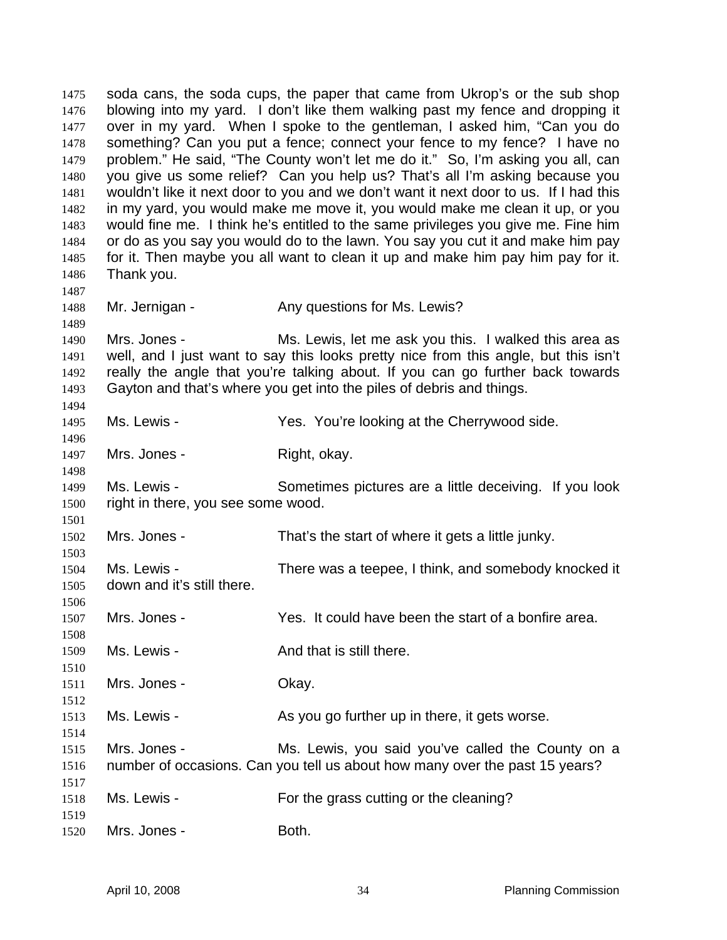soda cans, the soda cups, the paper that came from Ukrop's or the sub shop blowing into my yard. I don't like them walking past my fence and dropping it over in my yard. When I spoke to the gentleman, I asked him, "Can you do something? Can you put a fence; connect your fence to my fence? I have no problem." He said, "The County won't let me do it." So, I'm asking you all, can you give us some relief? Can you help us? That's all I'm asking because you wouldn't like it next door to you and we don't want it next door to us. If I had this in my yard, you would make me move it, you would make me clean it up, or you would fine me. I think he's entitled to the same privileges you give me. Fine him or do as you say you would do to the lawn. You say you cut it and make him pay for it. Then maybe you all want to clean it up and make him pay him pay for it. Thank you. 1475 1476 1477 1478 1479 1480 1481 1482 1483 1484 1485 1486 1487 1488 1489 1490 1491 1492 1493 1494 1495 1496 1497 1498 1499 1500 1501 1502 1503 1504 1505 1506 1507 1508 1509 1510 1511 1512 1513 1514 1515 1516 1517 1518 1519 1520 Mr. Jernigan - The Any questions for Ms. Lewis? Mrs. Jones - Ms. Lewis, let me ask you this. I walked this area as well, and I just want to say this looks pretty nice from this angle, but this isn't really the angle that you're talking about. If you can go further back towards Gayton and that's where you get into the piles of debris and things. Ms. Lewis - Yes. You're looking at the Cherrywood side. Mrs. Jones - Right, okay. Ms. Lewis - Sometimes pictures are a little deceiving. If you look right in there, you see some wood. Mrs. Jones - That's the start of where it gets a little junky. Ms. Lewis - There was a teepee, I think, and somebody knocked it down and it's still there. Mrs. Jones - Yes. It could have been the start of a bonfire area. Ms. Lewis - The Contract And that is still there. Mrs. Jones - Ckay. Ms. Lewis - The As you go further up in there, it gets worse. Mrs. Jones - Ms. Lewis, you said you've called the County on a number of occasions. Can you tell us about how many over the past 15 years? Ms. Lewis - For the grass cutting or the cleaning? Mrs. Jones - Both.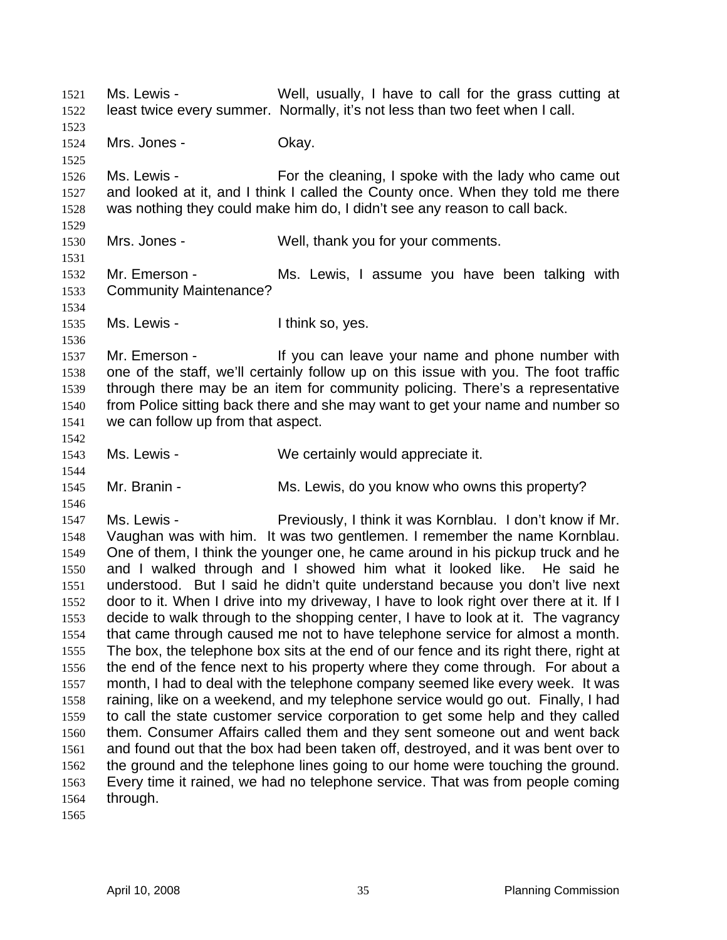Ms. Lewis - Well, usually, I have to call for the grass cutting at least twice every summer. Normally, it's not less than two feet when I call. 1521 1522 1523 1524 1525 1526 1527 1528 1529 1530 1531 1532 1533 1534 1535 1536 1537 1538 1539 1540 1541 1542 1543 1544 1545 1546 1547 1548 1549 1550 1551 1552 1553 1554 1555 1556 1557 1558 1559 1560 1561 1562 1563 1564 1565 Mrs. Jones - Chay. Ms. Lewis - For the cleaning, I spoke with the lady who came out and looked at it, and I think I called the County once. When they told me there was nothing they could make him do, I didn't see any reason to call back. Mrs. Jones - Well, thank you for your comments. Mr. Emerson - Ms. Lewis, I assume you have been talking with Community Maintenance? Ms. Lewis - Think so, yes. Mr. Emerson - The Mulli you can leave your name and phone number with one of the staff, we'll certainly follow up on this issue with you. The foot traffic through there may be an item for community policing. There's a representative from Police sitting back there and she may want to get your name and number so we can follow up from that aspect. Ms. Lewis - We certainly would appreciate it. Mr. Branin - The Ms. Lewis, do you know who owns this property? Ms. Lewis - Previously, I think it was Kornblau. I don't know if Mr. Vaughan was with him. It was two gentlemen. I remember the name Kornblau. One of them, I think the younger one, he came around in his pickup truck and he and I walked through and I showed him what it looked like. He said he understood. But I said he didn't quite understand because you don't live next door to it. When I drive into my driveway, I have to look right over there at it. If I decide to walk through to the shopping center, I have to look at it. The vagrancy that came through caused me not to have telephone service for almost a month. The box, the telephone box sits at the end of our fence and its right there, right at the end of the fence next to his property where they come through. For about a month, I had to deal with the telephone company seemed like every week. It was raining, like on a weekend, and my telephone service would go out. Finally, I had to call the state customer service corporation to get some help and they called them. Consumer Affairs called them and they sent someone out and went back and found out that the box had been taken off, destroyed, and it was bent over to the ground and the telephone lines going to our home were touching the ground. Every time it rained, we had no telephone service. That was from people coming through.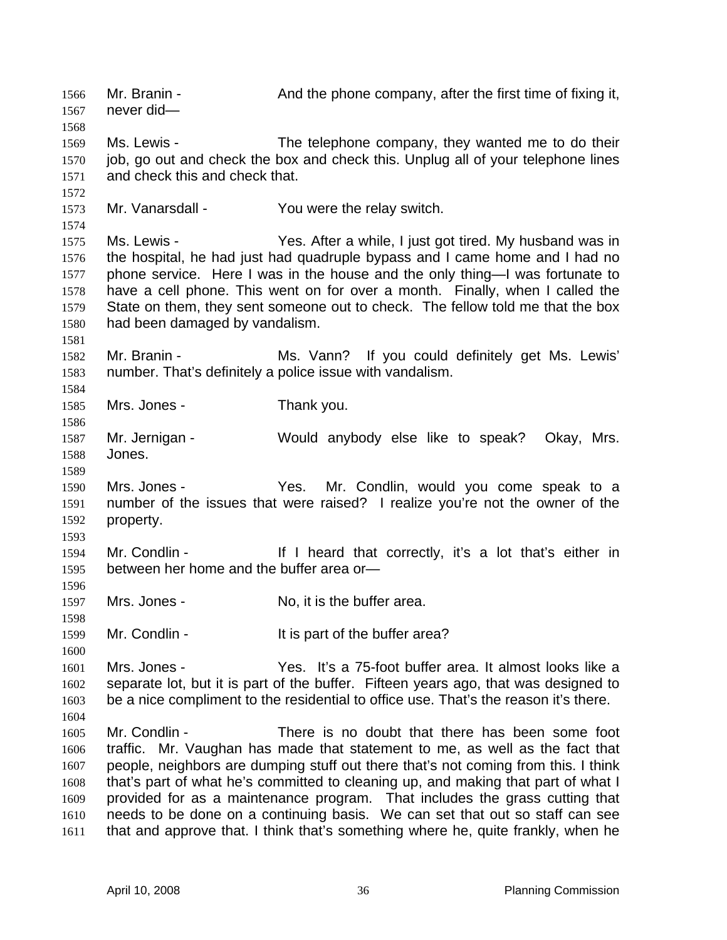Mr. Branin - The And the phone company, after the first time of fixing it, never did— 1566 1567 1568 1569 1570 1571 1572 1573 1574 1575 1576 1577 1578 1579 1580 1581 1582 1583 1584 1585 1586 1587 1588 1589 1590 1591 1592 1593 1594 1595 1596 1597 1598 1599 1600 1601 1602 1603 1604 1605 1606 1607 1608 1609 1610 1611 Ms. Lewis - The telephone company, they wanted me to do their job, go out and check the box and check this. Unplug all of your telephone lines and check this and check that. Mr. Vanarsdall - You were the relay switch. Ms. Lewis - Yes. After a while, I just got tired. My husband was in the hospital, he had just had quadruple bypass and I came home and I had no phone service. Here I was in the house and the only thing—I was fortunate to have a cell phone. This went on for over a month. Finally, when I called the State on them, they sent someone out to check. The fellow told me that the box had been damaged by vandalism. Mr. Branin - The Ms. Vann? If you could definitely get Ms. Lewis' number. That's definitely a police issue with vandalism. Mrs. Jones - Thank you. Mr. Jernigan - Would anybody else like to speak? Okay, Mrs. Jones. Mrs. Jones - The Yes. Mr. Condlin, would you come speak to a number of the issues that were raised? I realize you're not the owner of the property. Mr. Condlin - If I heard that correctly, it's a lot that's either in between her home and the buffer area or— Mrs. Jones - No. it is the buffer area. Mr. Condlin - The South State of the buffer area? Mrs. Jones - Yes. It's a 75-foot buffer area. It almost looks like a separate lot, but it is part of the buffer. Fifteen years ago, that was designed to be a nice compliment to the residential to office use. That's the reason it's there. Mr. Condlin - There is no doubt that there has been some foot traffic. Mr. Vaughan has made that statement to me, as well as the fact that people, neighbors are dumping stuff out there that's not coming from this. I think that's part of what he's committed to cleaning up, and making that part of what I provided for as a maintenance program. That includes the grass cutting that needs to be done on a continuing basis. We can set that out so staff can see that and approve that. I think that's something where he, quite frankly, when he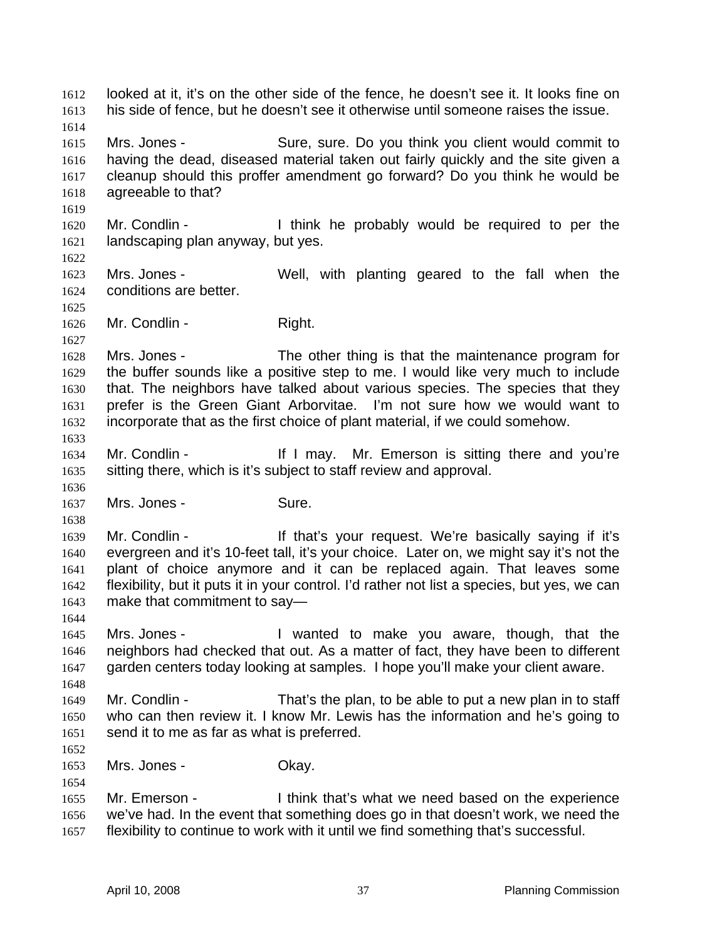looked at it, it's on the other side of the fence, he doesn't see it. It looks fine on his side of fence, but he doesn't see it otherwise until someone raises the issue. 1612 1613 1614 1615 1616 1617 1618 1619 1620 1621 1622 1623 1624 1625 1626 1627 1628 1629 1630 1631 1632 1633 1634 1635 1636 1637 1638 1639 1640 1641 1642 1643 1644 1645 1646 1647 1648 1649 1650 1651 1652 1653 1654 1655 1656 1657 Mrs. Jones - Sure, sure. Do you think you client would commit to having the dead, diseased material taken out fairly quickly and the site given a cleanup should this proffer amendment go forward? Do you think he would be agreeable to that? Mr. Condlin - Think he probably would be required to per the landscaping plan anyway, but yes. Mrs. Jones - Well, with planting geared to the fall when the conditions are better. Mr. Condlin - Right. Mrs. Jones - The other thing is that the maintenance program for the buffer sounds like a positive step to me. I would like very much to include that. The neighbors have talked about various species. The species that they prefer is the Green Giant Arborvitae. I'm not sure how we would want to incorporate that as the first choice of plant material, if we could somehow. Mr. Condlin - The Mr. How Mr. Emerson is sitting there and you're sitting there, which is it's subject to staff review and approval. Mrs. Jones - Sure. Mr. Condlin - The Muslim of that's your request. We're basically saying if it's evergreen and it's 10-feet tall, it's your choice. Later on, we might say it's not the plant of choice anymore and it can be replaced again. That leaves some flexibility, but it puts it in your control. I'd rather not list a species, but yes, we can make that commitment to say— Mrs. Jones - I wanted to make you aware, though, that the neighbors had checked that out. As a matter of fact, they have been to different garden centers today looking at samples. I hope you'll make your client aware. Mr. Condlin - That's the plan, to be able to put a new plan in to staff who can then review it. I know Mr. Lewis has the information and he's going to send it to me as far as what is preferred. Mrs. Jones - Chay. Mr. Emerson - I think that's what we need based on the experience we've had. In the event that something does go in that doesn't work, we need the flexibility to continue to work with it until we find something that's successful.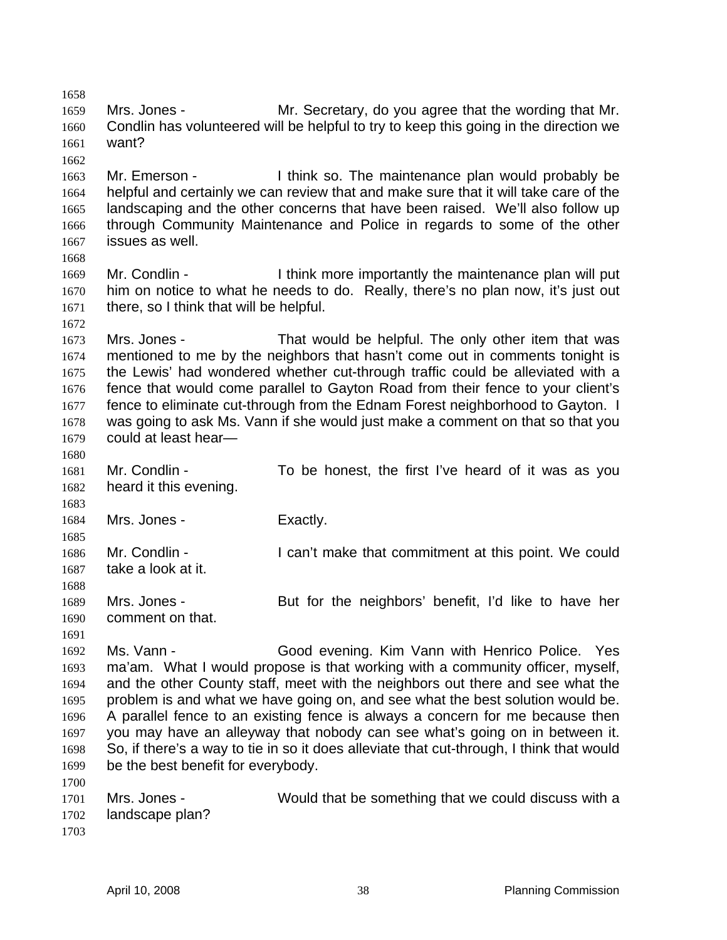1658 1659 1660 1661 1662 1663 1664 1665 1666 1667 1668 1669 1670 1671 1672 1673 1674 1675 1676 1677 1678 1679 1680 1681 1682 1683 1684 1685 1686 1687 1688 1689 1690 1691 1692 1693 1694 1695 1696 1697 1698 1699 1700 1701 1702 1703 Mrs. Jones - The Mr. Secretary, do you agree that the wording that Mr. Condlin has volunteered will be helpful to try to keep this going in the direction we want? Mr. Emerson - I think so. The maintenance plan would probably be helpful and certainly we can review that and make sure that it will take care of the landscaping and the other concerns that have been raised. We'll also follow up through Community Maintenance and Police in regards to some of the other issues as well. Mr. Condlin - I think more importantly the maintenance plan will put him on notice to what he needs to do. Really, there's no plan now, it's just out there, so I think that will be helpful. Mrs. Jones - That would be helpful. The only other item that was mentioned to me by the neighbors that hasn't come out in comments tonight is the Lewis' had wondered whether cut-through traffic could be alleviated with a fence that would come parallel to Gayton Road from their fence to your client's fence to eliminate cut-through from the Ednam Forest neighborhood to Gayton. I was going to ask Ms. Vann if she would just make a comment on that so that you could at least hear— Mr. Condlin - To be honest, the first I've heard of it was as you heard it this evening. Mrs. Jones - Exactly. Mr. Condlin - I can't make that commitment at this point. We could take a look at it. Mrs. Jones - But for the neighbors' benefit, I'd like to have her comment on that. Ms. Vann - Good evening. Kim Vann with Henrico Police. Yes ma'am. What I would propose is that working with a community officer, myself, and the other County staff, meet with the neighbors out there and see what the problem is and what we have going on, and see what the best solution would be. A parallel fence to an existing fence is always a concern for me because then you may have an alleyway that nobody can see what's going on in between it. So, if there's a way to tie in so it does alleviate that cut-through, I think that would be the best benefit for everybody. Mrs. Jones - Would that be something that we could discuss with a landscape plan?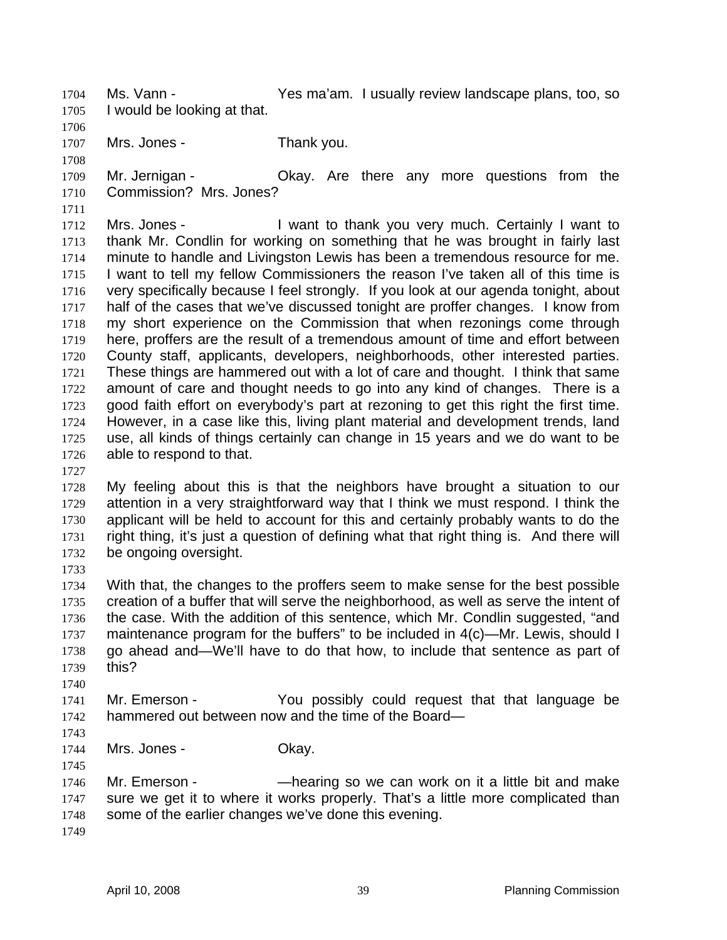Ms. Vann - The Yes ma'am. I usually review landscape plans, too, so I would be looking at that. 1704 1705

1706

- 1707 1708
- Mrs. Jones Thank you.

1709 1710 Mr. Jernigan - Ckay. Are there any more questions from the Commission? Mrs. Jones?

1711 1712 1713 1714 1715 1716 1717 1718 1719 1720 1721 1722 1723 1724 1725 1726 Mrs. Jones - I want to thank you very much. Certainly I want to thank Mr. Condlin for working on something that he was brought in fairly last minute to handle and Livingston Lewis has been a tremendous resource for me. I want to tell my fellow Commissioners the reason I've taken all of this time is very specifically because I feel strongly. If you look at our agenda tonight, about half of the cases that we've discussed tonight are proffer changes. I know from my short experience on the Commission that when rezonings come through here, proffers are the result of a tremendous amount of time and effort between County staff, applicants, developers, neighborhoods, other interested parties. These things are hammered out with a lot of care and thought. I think that same amount of care and thought needs to go into any kind of changes. There is a good faith effort on everybody's part at rezoning to get this right the first time. However, in a case like this, living plant material and development trends, land use, all kinds of things certainly can change in 15 years and we do want to be able to respond to that.

1727

1728 1729 1730 1731 1732 My feeling about this is that the neighbors have brought a situation to our attention in a very straightforward way that I think we must respond. I think the applicant will be held to account for this and certainly probably wants to do the right thing, it's just a question of defining what that right thing is. And there will be ongoing oversight.

1733

1734 1735 1736 1737 1738 1739 With that, the changes to the proffers seem to make sense for the best possible creation of a buffer that will serve the neighborhood, as well as serve the intent of the case. With the addition of this sentence, which Mr. Condlin suggested, "and maintenance program for the buffers" to be included in 4(c)—Mr. Lewis, should I go ahead and—We'll have to do that how, to include that sentence as part of this?

1741 1742 Mr. Emerson - The You possibly could request that that language be hammered out between now and the time of the Board—

1743

1745

1740

1744 Mrs. Jones - Chay.

1746 1747 1748 Mr. Emerson - Thearing so we can work on it a little bit and make sure we get it to where it works properly. That's a little more complicated than some of the earlier changes we've done this evening.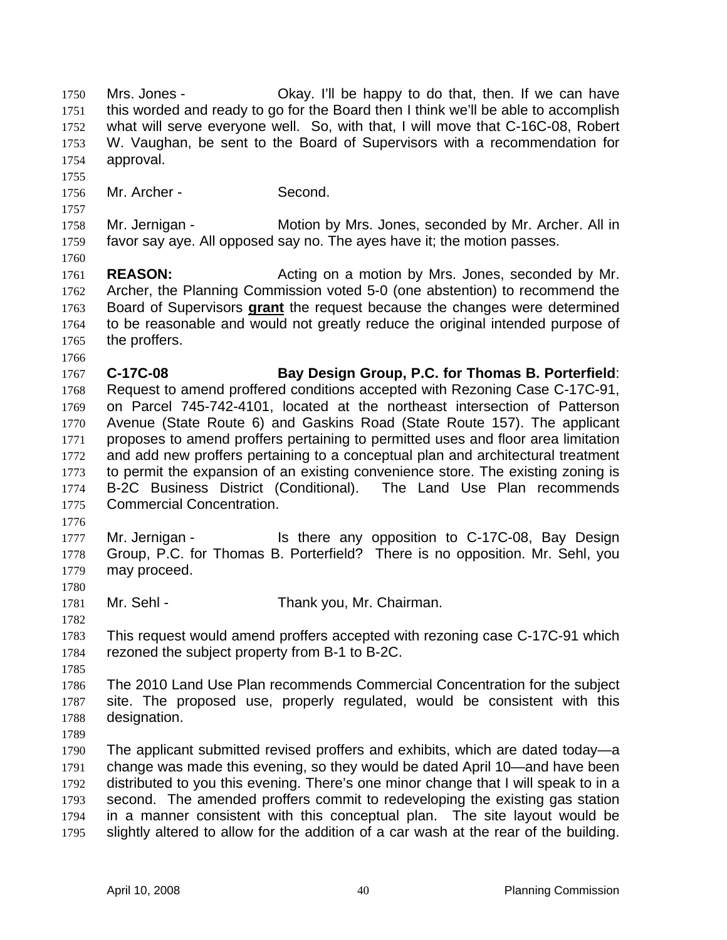Mrs. Jones - Okay. I'll be happy to do that, then. If we can have this worded and ready to go for the Board then I think we'll be able to accomplish what will serve everyone well. So, with that, I will move that C-16C-08, Robert W. Vaughan, be sent to the Board of Supervisors with a recommendation for approval. 1750 1751 1752 1753 1754 1755 1756 1757 1758 1759 1760 1761 1762 Mr. Archer - Second. Mr. Jernigan - **Motion by Mrs. Jones, seconded by Mr. Archer. All in** favor say aye. All opposed say no. The ayes have it; the motion passes. **REASON:** Acting on a motion by Mrs. Jones, seconded by Mr. Archer, the Planning Commission voted 5-0 (one abstention) to recommend the Board of Supervisors **grant** the request because the changes were determined to be reasonable and would not greatly reduce the original intended purpose of the proffers. 1763 1764 1765 1766 1767 1768 1769 1770 1771 1772 1773 1774 1775 1776 1777 1778 1779 1780 1781 1782 1783 1784 1785 1786 1787 1788 1789 1790 1791 1792 1793 1794 1795 **C-17C-08 Bay Design Group, P.C. for Thomas B. Porterfield**: Request to amend proffered conditions accepted with Rezoning Case C-17C-91, on Parcel 745-742-4101, located at the northeast intersection of Patterson Avenue (State Route 6) and Gaskins Road (State Route 157). The applicant proposes to amend proffers pertaining to permitted uses and floor area limitation and add new proffers pertaining to a conceptual plan and architectural treatment to permit the expansion of an existing convenience store. The existing zoning is B-2C Business District (Conditional). The Land Use Plan recommends Commercial Concentration. Mr. Jernigan - Is there any opposition to C-17C-08, Bay Design Group, P.C. for Thomas B. Porterfield? There is no opposition. Mr. Sehl, you may proceed. Mr. Sehl - Thank you, Mr. Chairman. This request would amend proffers accepted with rezoning case C-17C-91 which rezoned the subject property from B-1 to B-2C. The 2010 Land Use Plan recommends Commercial Concentration for the subject site. The proposed use, properly regulated, would be consistent with this designation. The applicant submitted revised proffers and exhibits, which are dated today—a change was made this evening, so they would be dated April 10—and have been distributed to you this evening. There's one minor change that I will speak to in a second. The amended proffers commit to redeveloping the existing gas station in a manner consistent with this conceptual plan. The site layout would be slightly altered to allow for the addition of a car wash at the rear of the building.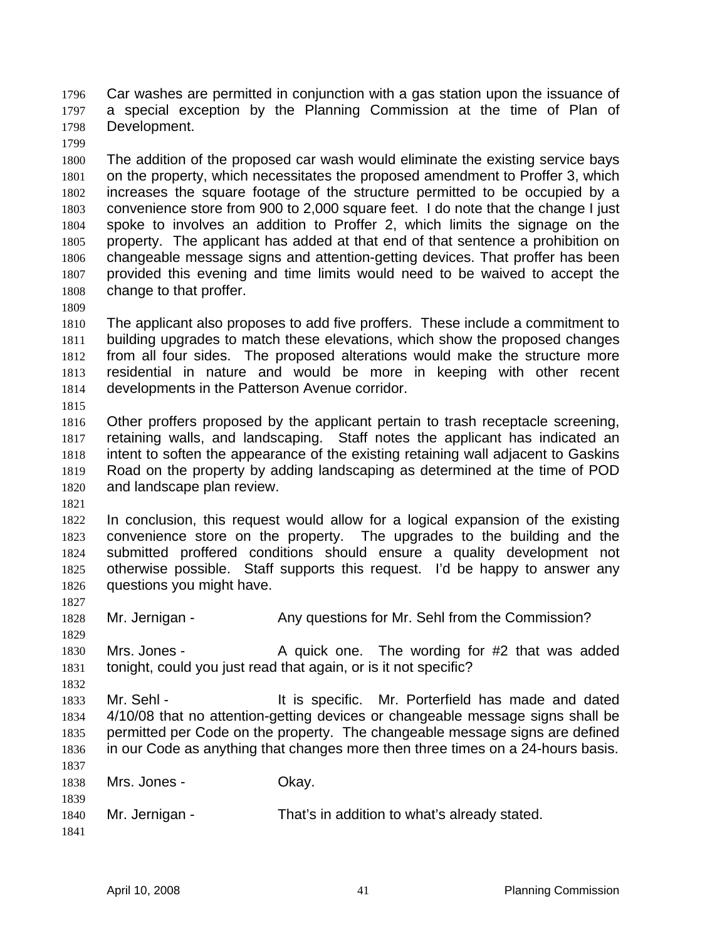Car washes are permitted in conjunction with a gas station upon the issuance of a special exception by the Planning Commission at the time of Plan of Development. 1796 1797 1798

1799

1800 1801 1802 1803 1804 1805 1806 1807 1808 The addition of the proposed car wash would eliminate the existing service bays on the property, which necessitates the proposed amendment to Proffer 3, which increases the square footage of the structure permitted to be occupied by a convenience store from 900 to 2,000 square feet. I do note that the change I just spoke to involves an addition to Proffer 2, which limits the signage on the property. The applicant has added at that end of that sentence a prohibition on changeable message signs and attention-getting devices. That proffer has been provided this evening and time limits would need to be waived to accept the change to that proffer.

1809

1810 1811 1812 1813 1814 1815 The applicant also proposes to add five proffers. These include a commitment to building upgrades to match these elevations, which show the proposed changes from all four sides. The proposed alterations would make the structure more residential in nature and would be more in keeping with other recent developments in the Patterson Avenue corridor.

1816 1817 1818 1819 1820 Other proffers proposed by the applicant pertain to trash receptacle screening, retaining walls, and landscaping. Staff notes the applicant has indicated an intent to soften the appearance of the existing retaining wall adjacent to Gaskins Road on the property by adding landscaping as determined at the time of POD and landscape plan review.

1821

1822 1823 1824 1825 1826 In conclusion, this request would allow for a logical expansion of the existing convenience store on the property. The upgrades to the building and the submitted proffered conditions should ensure a quality development not otherwise possible. Staff supports this request. I'd be happy to answer any questions you might have.

1827

1829

1832

1828 Mr. Jernigan - Any questions for Mr. Sehl from the Commission?

1830 1831 Mrs. Jones - A quick one. The wording for #2 that was added tonight, could you just read that again, or is it not specific?

1833 1834 1835 1836 1837 Mr. Sehl - The State of the Specific. Mr. Porterfield has made and dated 4/10/08 that no attention-getting devices or changeable message signs shall be permitted per Code on the property. The changeable message signs are defined in our Code as anything that changes more then three times on a 24-hours basis.

1838 1839 1840 1841 Mrs. Jones - Chay. Mr. Jernigan - That's in addition to what's already stated.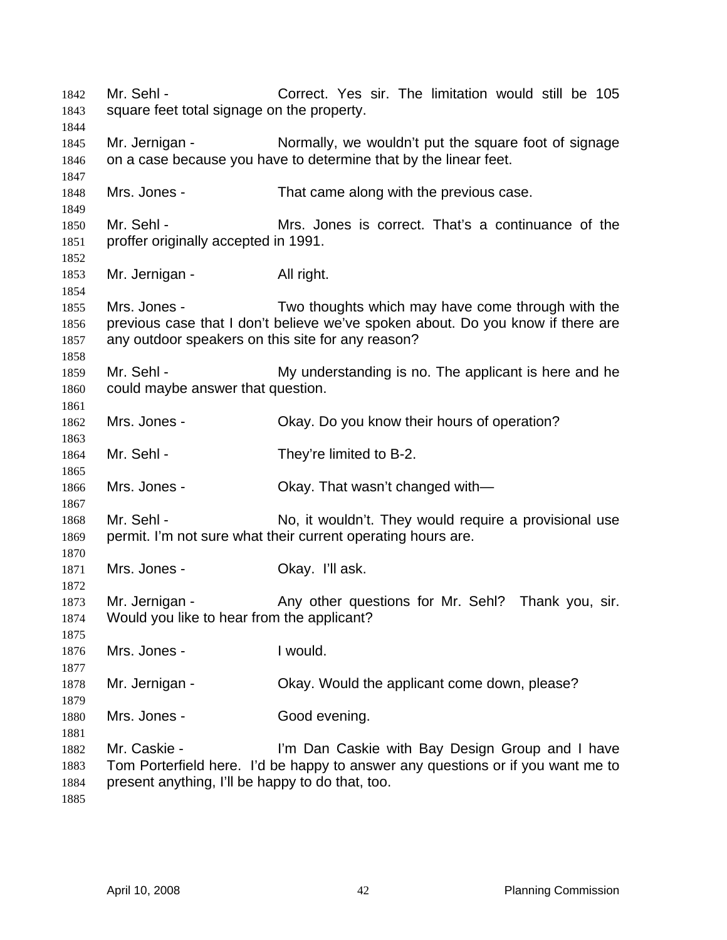Mr. Sehl - Correct. Yes sir. The limitation would still be 105 square feet total signage on the property. Mr. Jernigan - Normally, we wouldn't put the square foot of signage on a case because you have to determine that by the linear feet. Mrs. Jones - That came along with the previous case. Mr. Sehl - Mrs. Jones is correct. That's a continuance of the proffer originally accepted in 1991. Mr. Jernigan - All right. Mrs. Jones - Two thoughts which may have come through with the previous case that I don't believe we've spoken about. Do you know if there are any outdoor speakers on this site for any reason? Mr. Sehl - My understanding is no. The applicant is here and he could maybe answer that question. Mrs. Jones - Okay. Do you know their hours of operation? Mr. Sehl - They're limited to B-2. Mrs. Jones - Ckay. That wasn't changed with— Mr. Sehl - No, it wouldn't. They would require a provisional use permit. I'm not sure what their current operating hours are. Mrs. Jones - Ckay. I'll ask. Mr. Jernigan - Any other questions for Mr. Sehl? Thank you, sir. Would you like to hear from the applicant? Mrs. Jones - Twould. Mr. Jernigan - Ckay. Would the applicant come down, please? Mrs. Jones - Good evening. Mr. Caskie - I'm Dan Caskie with Bay Design Group and I have Tom Porterfield here. I'd be happy to answer any questions or if you want me to present anything, I'll be happy to do that, too.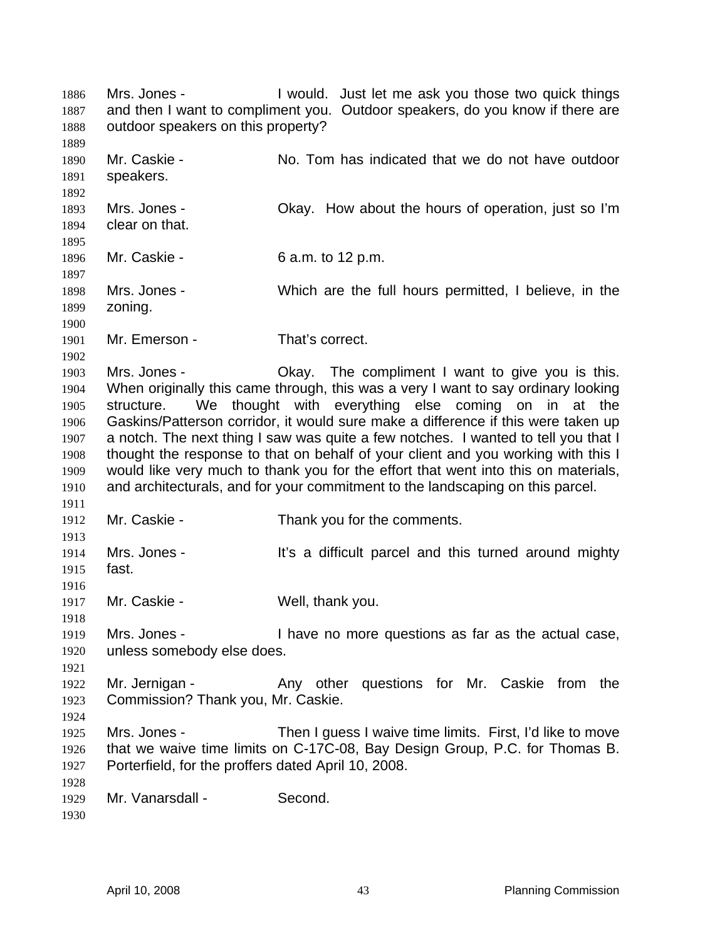Mrs. Jones - I would. Just let me ask you those two quick things and then I want to compliment you. Outdoor speakers, do you know if there are outdoor speakers on this property? 1886 1887 1888 1889 1890 1891 1892 1893 1894 1895 1896 1897 1898 1899 1900 1901 1902 1903 1904 1905 1906 1907 1908 1909 1910 1911 1912 1913 1914 1915 1916 1917 1918 1919 1920 1921 1922 1923 1924 1925 1926 1927 1928 1929 1930 Mr. Caskie - No. Tom has indicated that we do not have outdoor speakers. Mrs. Jones - Ckay. How about the hours of operation, just so I'm clear on that. Mr. Caskie - 6 a.m. to 12 p.m. Mrs. Jones - Which are the full hours permitted, I believe, in the zoning. Mr. Emerson - That's correct. Mrs. Jones - Okay. The compliment I want to give you is this. When originally this came through, this was a very I want to say ordinary looking structure. We thought with everything else coming on in at the Gaskins/Patterson corridor, it would sure make a difference if this were taken up a notch. The next thing I saw was quite a few notches. I wanted to tell you that I thought the response to that on behalf of your client and you working with this I would like very much to thank you for the effort that went into this on materials, and architecturals, and for your commitment to the landscaping on this parcel. Mr. Caskie - Thank you for the comments. Mrs. Jones - It's a difficult parcel and this turned around mighty fast. Mr. Caskie - Well, thank you. Mrs. Jones - Thave no more questions as far as the actual case, unless somebody else does. Mr. Jernigan - The Any other questions for Mr. Caskie from the Commission? Thank you, Mr. Caskie. Mrs. Jones - Then I guess I waive time limits. First, I'd like to move that we waive time limits on C-17C-08, Bay Design Group, P.C. for Thomas B. Porterfield, for the proffers dated April 10, 2008. Mr. Vanarsdall - Second.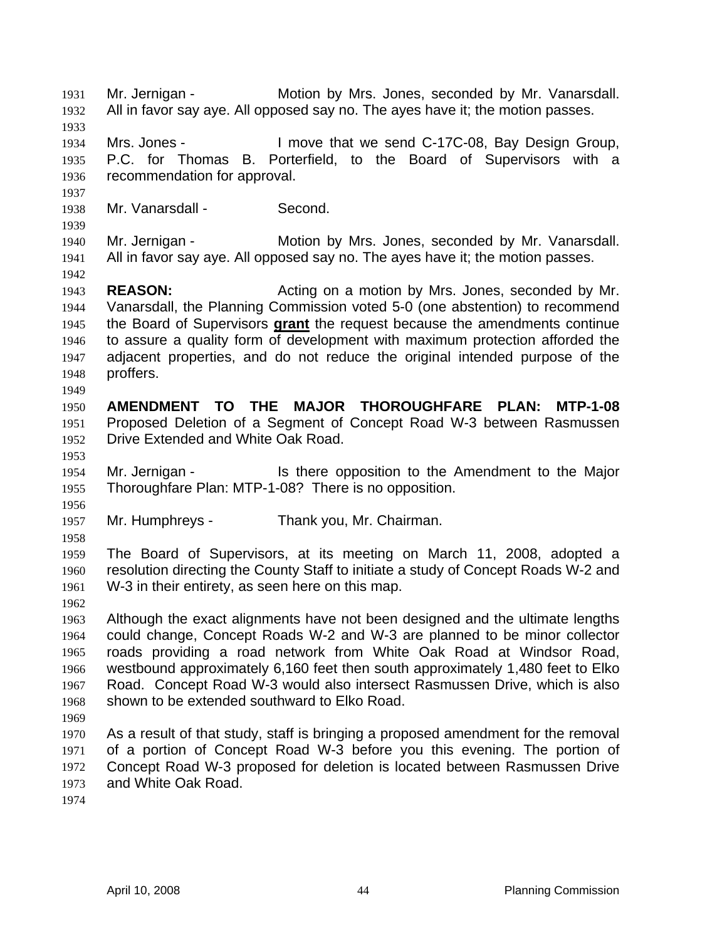Mr. Jernigan - **Motion by Mrs. Jones, seconded by Mr. Vanarsdall.** All in favor say aye. All opposed say no. The ayes have it; the motion passes. 1931 1932 1933 1934 1935 1936 1937 1938 1939 1940 1941 1942 1943 1944 Mrs. Jones - I move that we send C-17C-08, Bay Design Group, P.C. for Thomas B. Porterfield, to the Board of Supervisors with a recommendation for approval. Mr. Vanarsdall - Second. Mr. Jernigan - Motion by Mrs. Jones, seconded by Mr. Vanarsdall. All in favor say aye. All opposed say no. The ayes have it; the motion passes. **REASON:** Acting on a motion by Mrs. Jones, seconded by Mr. Vanarsdall, the Planning Commission voted 5-0 (one abstention) to recommend the Board of Supervisors **grant** the request because the amendments continue to assure a quality form of development with maximum protection afforded the adjacent properties, and do not reduce the original intended purpose of the proffers. 1945 1946 1947 1948 1949 1950 1951 1952 1953 1954 1955 1956 1957 1958 1959 1960 1961 1962 1963 1964 1965 1966 1967 1968 1969 1970 1971 1972 1973 1974 **AMENDMENT TO THE MAJOR THOROUGHFARE PLAN: MTP-1-08** Proposed Deletion of a Segment of Concept Road W-3 between Rasmussen Drive Extended and White Oak Road. Mr. Jernigan - Is there opposition to the Amendment to the Major Thoroughfare Plan: MTP-1-08? There is no opposition. Mr. Humphreys - Thank you, Mr. Chairman. The Board of Supervisors, at its meeting on March 11, 2008, adopted a resolution directing the County Staff to initiate a study of Concept Roads W-2 and W-3 in their entirety, as seen here on this map. Although the exact alignments have not been designed and the ultimate lengths could change, Concept Roads W-2 and W-3 are planned to be minor collector roads providing a road network from White Oak Road at Windsor Road, westbound approximately 6,160 feet then south approximately 1,480 feet to Elko Road. Concept Road W-3 would also intersect Rasmussen Drive, which is also shown to be extended southward to Elko Road. As a result of that study, staff is bringing a proposed amendment for the removal of a portion of Concept Road W-3 before you this evening. The portion of Concept Road W-3 proposed for deletion is located between Rasmussen Drive and White Oak Road.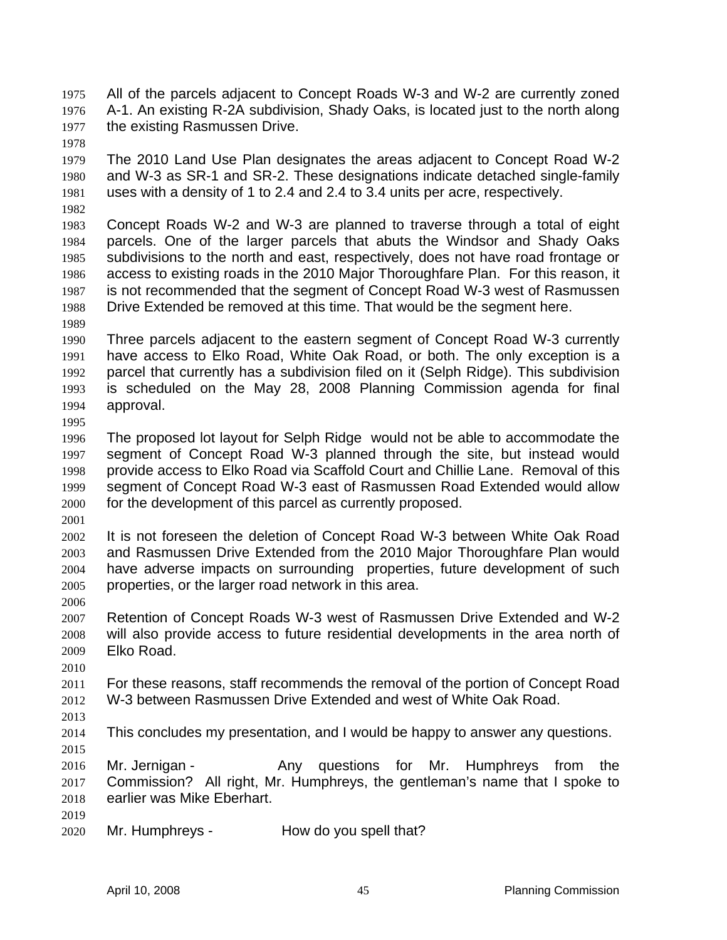All of the parcels adjacent to Concept Roads W-3 and W-2 are currently zoned A-1. An existing R-2A subdivision, Shady Oaks, is located just to the north along the existing Rasmussen Drive. 1975 1976 1977

1978

1979 1980 1981 The 2010 Land Use Plan designates the areas adjacent to Concept Road W-2 and W-3 as SR-1 and SR-2. These designations indicate detached single-family uses with a density of 1 to 2.4 and 2.4 to 3.4 units per acre, respectively.

1982

1983 1984 1985 1986 1987 1988 Concept Roads W-2 and W-3 are planned to traverse through a total of eight parcels. One of the larger parcels that abuts the Windsor and Shady Oaks subdivisions to the north and east, respectively, does not have road frontage or access to existing roads in the 2010 Major Thoroughfare Plan. For this reason, it is not recommended that the segment of Concept Road W-3 west of Rasmussen Drive Extended be removed at this time. That would be the segment here.

1989

1995

1990 1991 1992 1993 1994 Three parcels adjacent to the eastern segment of Concept Road W-3 currently have access to Elko Road, White Oak Road, or both. The only exception is a parcel that currently has a subdivision filed on it (Selph Ridge). This subdivision is scheduled on the May 28, 2008 Planning Commission agenda for final approval.

1996 1997 1998 1999 2000 The proposed lot layout for Selph Ridge would not be able to accommodate the segment of Concept Road W-3 planned through the site, but instead would provide access to Elko Road via Scaffold Court and Chillie Lane. Removal of this segment of Concept Road W-3 east of Rasmussen Road Extended would allow for the development of this parcel as currently proposed.

2001

2002 2003 2004 2005 2006 It is not foreseen the deletion of Concept Road W-3 between White Oak Road and Rasmussen Drive Extended from the 2010 Major Thoroughfare Plan would have adverse impacts on surrounding properties, future development of such properties, or the larger road network in this area.

2007 2008 2009 Retention of Concept Roads W-3 west of Rasmussen Drive Extended and W-2 will also provide access to future residential developments in the area north of Elko Road.

2010

2011 2012 For these reasons, staff recommends the removal of the portion of Concept Road W-3 between Rasmussen Drive Extended and west of White Oak Road.

2013

2014 This concludes my presentation, and I would be happy to answer any questions.

2015

2016 2017 2018 Mr. Jernigan - Any questions for Mr. Humphreys from the Commission? All right, Mr. Humphreys, the gentleman's name that I spoke to earlier was Mike Eberhart.

2019

2020 Mr. Humphreys - How do you spell that?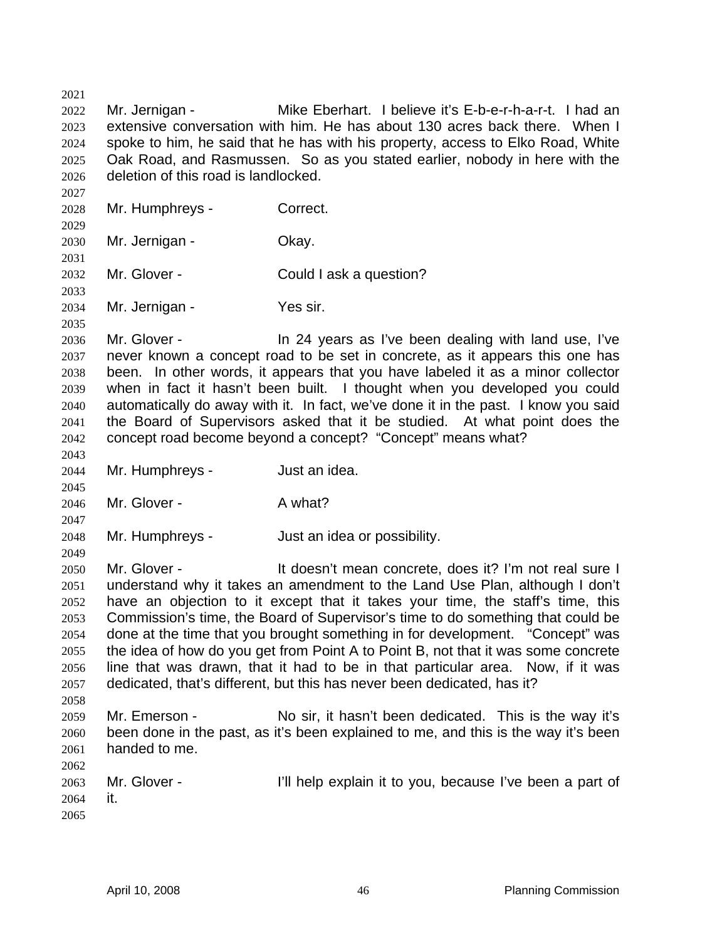2023 2024 2025 2026 2027 2028 2029 2030 2031 2032 2033 2034 2035 2036 2037 2038 2039 2040 2041 2042 2043 2044 2045 2046 2047 2048 2049 2050 2051 2052 2053 2054 2055 2056 2057 2058 2059 2060 2061 2062 2063 2064 2065 extensive conversation with him. He has about 130 acres back there. When I spoke to him, he said that he has with his property, access to Elko Road, White Oak Road, and Rasmussen. So as you stated earlier, nobody in here with the deletion of this road is landlocked. Mr. Humphreys - Correct. Mr. Jernigan - **Okay.** Mr. Glover - Could I ask a question? Mr. Jernigan - Yes sir. Mr. Glover - The 24 years as I've been dealing with land use, I've never known a concept road to be set in concrete, as it appears this one has been. In other words, it appears that you have labeled it as a minor collector when in fact it hasn't been built. I thought when you developed you could automatically do away with it. In fact, we've done it in the past. I know you said the Board of Supervisors asked that it be studied. At what point does the concept road become beyond a concept? "Concept" means what? Mr. Humphreys - Just an idea. Mr. Glover - A what? Mr. Humphreys - Just an idea or possibility. Mr. Glover - The State of the doesn't mean concrete, does it? I'm not real sure I understand why it takes an amendment to the Land Use Plan, although I don't have an objection to it except that it takes your time, the staff's time, this Commission's time, the Board of Supervisor's time to do something that could be done at the time that you brought something in for development. "Concept" was the idea of how do you get from Point A to Point B, not that it was some concrete line that was drawn, that it had to be in that particular area. Now, if it was dedicated, that's different, but this has never been dedicated, has it? Mr. Emerson - No sir, it hasn't been dedicated. This is the way it's been done in the past, as it's been explained to me, and this is the way it's been handed to me. Mr. Glover - **I'll help explain it to you, because I've been a part of** it.

Mr. Jernigan - **Mike Eberhart.** I believe it's E-b-e-r-h-a-r-t. I had an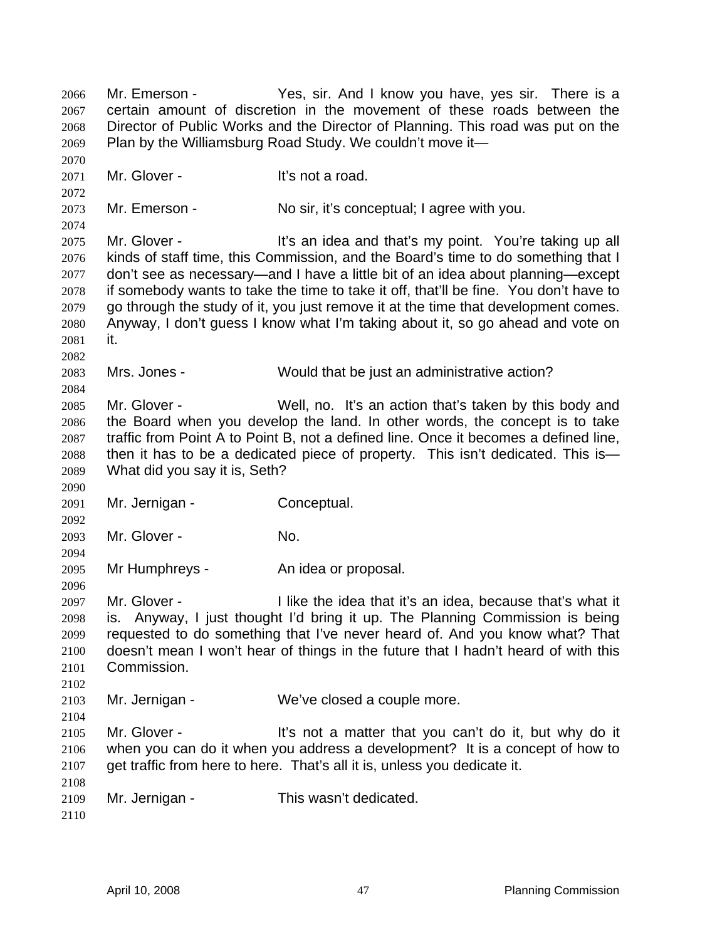Mr. Emerson - The Yes, sir. And I know you have, yes sir. There is a certain amount of discretion in the movement of these roads between the Director of Public Works and the Director of Planning. This road was put on the Plan by the Williamsburg Road Study. We couldn't move it— 2066 2067 2068 2069 2070 2071 2072 2073 2074 2075 2076 2077 2078 2079 2080 2081 2082 2083 2084 2085 2086 2087 2088 2089 2090 2091 2092 2093 2094 2095 2096 2097 2098 2099 2100 2101 2102 2103 2104 2105 2106 2107 2108 2109 2110 Mr. Glover - It's not a road. Mr. Emerson - No sir, it's conceptual; I agree with you. Mr. Glover - It's an idea and that's my point. You're taking up all kinds of staff time, this Commission, and the Board's time to do something that I don't see as necessary—and I have a little bit of an idea about planning—except if somebody wants to take the time to take it off, that'll be fine. You don't have to go through the study of it, you just remove it at the time that development comes. Anyway, I don't guess I know what I'm taking about it, so go ahead and vote on it. Mrs. Jones - Would that be just an administrative action? Mr. Glover - Well, no. It's an action that's taken by this body and the Board when you develop the land. In other words, the concept is to take traffic from Point A to Point B, not a defined line. Once it becomes a defined line, then it has to be a dedicated piece of property. This isn't dedicated. This is— What did you say it is, Seth? Mr. Jernigan - Conceptual. Mr. Glover - No. Mr Humphreys - An idea or proposal. Mr. Glover - Thike the idea that it's an idea, because that's what it is. Anyway, I just thought I'd bring it up. The Planning Commission is being requested to do something that I've never heard of. And you know what? That doesn't mean I won't hear of things in the future that I hadn't heard of with this Commission. Mr. Jernigan - We've closed a couple more. Mr. Glover - It's not a matter that you can't do it, but why do it when you can do it when you address a development? It is a concept of how to get traffic from here to here. That's all it is, unless you dedicate it. Mr. Jernigan - This wasn't dedicated.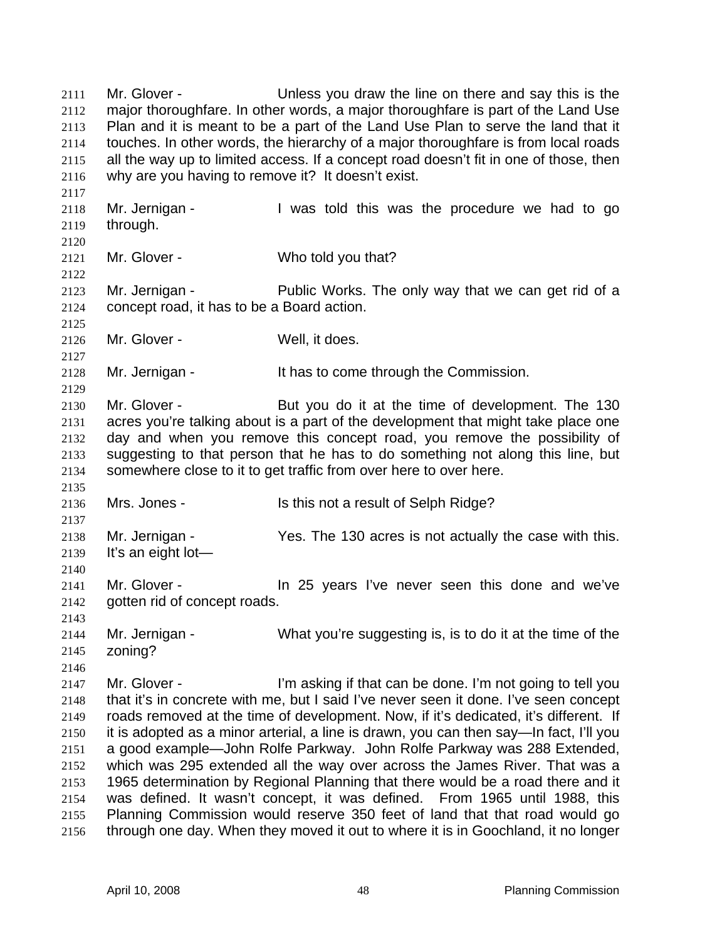Mr. Glover - Unless you draw the line on there and say this is the major thoroughfare. In other words, a major thoroughfare is part of the Land Use Plan and it is meant to be a part of the Land Use Plan to serve the land that it touches. In other words, the hierarchy of a major thoroughfare is from local roads all the way up to limited access. If a concept road doesn't fit in one of those, then why are you having to remove it? It doesn't exist. 2111 2112 2113 2114 2115 2116 2117 2118 2119 2120 2121 2122 2123 2124 2125 2126 2127 2128 2129 2130 2131 2132 2133 2134 2135 2136 2137 2138 2139 2140 2141 2142 2143 2144 2145 2146 2147 2148 2149 2150 2151 2152 2153 2154 2155 2156 Mr. Jernigan - I was told this was the procedure we had to go through. Mr. Glover - Who told you that? Mr. Jernigan - Public Works. The only way that we can get rid of a concept road, it has to be a Board action. Mr. Glover - Well, it does. Mr. Jernigan - The Muss of the Solid Hunder's Mr. Jernigan - It has to come through the Commission. Mr. Glover - But you do it at the time of development. The 130 acres you're talking about is a part of the development that might take place one day and when you remove this concept road, you remove the possibility of suggesting to that person that he has to do something not along this line, but somewhere close to it to get traffic from over here to over here. Mrs. Jones - Is this not a result of Selph Ridge? Mr. Jernigan - Yes. The 130 acres is not actually the case with this. It's an eight lot— Mr. Glover - The 25 years I've never seen this done and we've gotten rid of concept roads. Mr. Jernigan - What you're suggesting is, is to do it at the time of the zoning? Mr. Glover - I'm asking if that can be done. I'm not going to tell you that it's in concrete with me, but I said I've never seen it done. I've seen concept roads removed at the time of development. Now, if it's dedicated, it's different. If it is adopted as a minor arterial, a line is drawn, you can then say—In fact, I'll you a good example—John Rolfe Parkway. John Rolfe Parkway was 288 Extended, which was 295 extended all the way over across the James River. That was a 1965 determination by Regional Planning that there would be a road there and it was defined. It wasn't concept, it was defined. From 1965 until 1988, this Planning Commission would reserve 350 feet of land that that road would go through one day. When they moved it out to where it is in Goochland, it no longer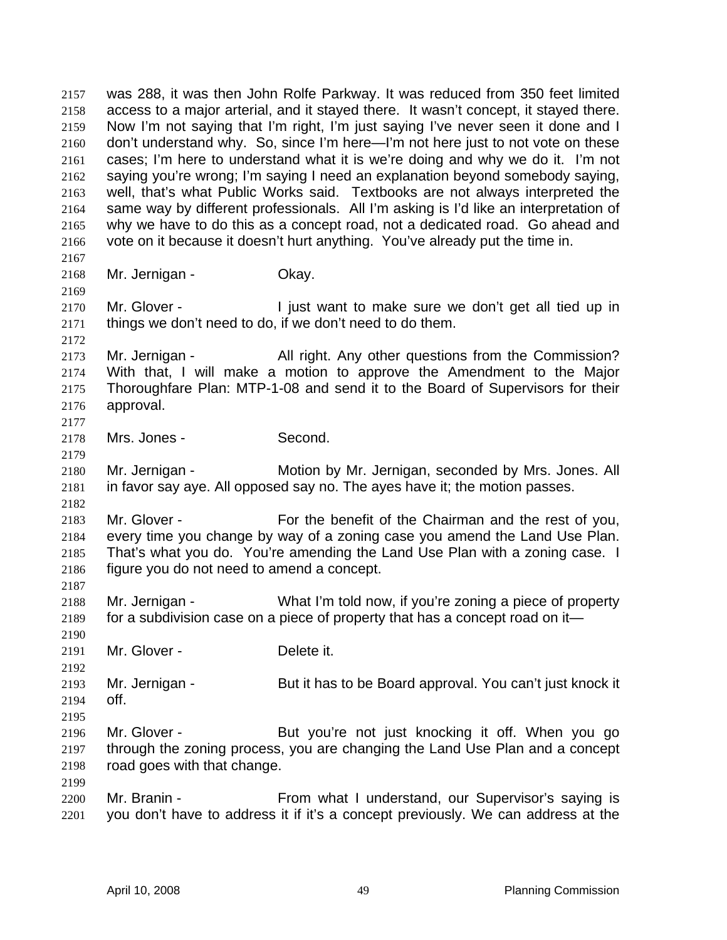was 288, it was then John Rolfe Parkway. It was reduced from 350 feet limited access to a major arterial, and it stayed there. It wasn't concept, it stayed there. Now I'm not saying that I'm right, I'm just saying I've never seen it done and I don't understand why. So, since I'm here—I'm not here just to not vote on these cases; I'm here to understand what it is we're doing and why we do it. I'm not saying you're wrong; I'm saying I need an explanation beyond somebody saying, well, that's what Public Works said. Textbooks are not always interpreted the same way by different professionals. All I'm asking is I'd like an interpretation of why we have to do this as a concept road, not a dedicated road. Go ahead and vote on it because it doesn't hurt anything. You've already put the time in. 2157 2158 2159 2160 2161 2162 2163 2164 2165 2166 2167 2168 2169 2170 2171 2172 2173 2174 2175 2176 2177 2178 2179 2180 2181 2182 2183 2184 2185 2186 2187 2188 2189 2190 2191 2192 2193 2194 2195 2196 2197 2198 2199 2200 2201 Mr. Jernigan - **Okay.** Mr. Glover - I just want to make sure we don't get all tied up in things we don't need to do, if we don't need to do them. Mr. Jernigan - All right. Any other questions from the Commission? With that, I will make a motion to approve the Amendment to the Major Thoroughfare Plan: MTP-1-08 and send it to the Board of Supervisors for their approval. Mrs. Jones - Second. Mr. Jernigan - Motion by Mr. Jernigan, seconded by Mrs. Jones. All in favor say aye. All opposed say no. The ayes have it; the motion passes. Mr. Glover - For the benefit of the Chairman and the rest of you, every time you change by way of a zoning case you amend the Land Use Plan. That's what you do. You're amending the Land Use Plan with a zoning case. I figure you do not need to amend a concept. Mr. Jernigan - What I'm told now, if you're zoning a piece of property for a subdivision case on a piece of property that has a concept road on it— Mr. Glover - **Delete** it. Mr. Jernigan - But it has to be Board approval. You can't just knock it off. Mr. Glover - The But you're not just knocking it off. When you go through the zoning process, you are changing the Land Use Plan and a concept road goes with that change. Mr. Branin - From what I understand, our Supervisor's saying is you don't have to address it if it's a concept previously. We can address at the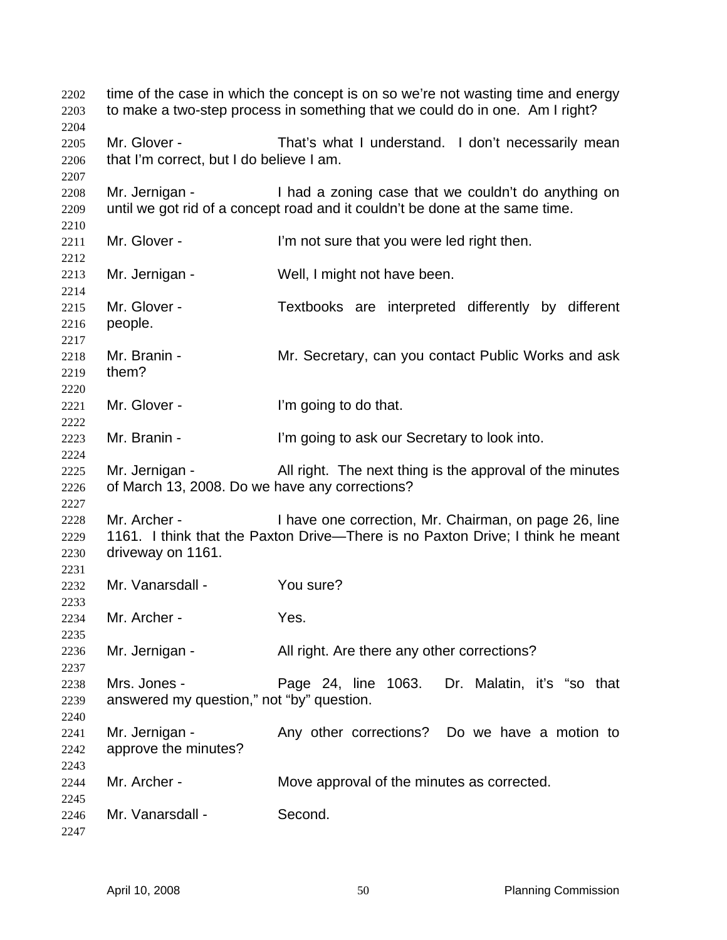time of the case in which the concept is on so we're not wasting time and energy to make a two-step process in something that we could do in one. Am I right? Mr. Glover - That's what I understand. I don't necessarily mean that I'm correct, but I do believe I am. Mr. Jernigan - I had a zoning case that we couldn't do anything on until we got rid of a concept road and it couldn't be done at the same time. Mr. Glover - I'm not sure that you were led right then. Mr. Jernigan - Well, I might not have been. Mr. Glover - Textbooks are interpreted differently by different people. Mr. Branin - **Mr.** Secretary, can you contact Public Works and ask them? Mr. Glover - The l'm going to do that. Mr. Branin - I'm going to ask our Secretary to look into. Mr. Jernigan - All right. The next thing is the approval of the minutes of March 13, 2008. Do we have any corrections? Mr. Archer - I have one correction, Mr. Chairman, on page 26, line 1161. I think that the Paxton Drive—There is no Paxton Drive; I think he meant driveway on 1161. Mr. Vanarsdall - You sure? Mr. Archer - Yes. Mr. Jernigan - All right. Are there any other corrections? Mrs. Jones - Page 24, line 1063. Dr. Malatin, it's "so that answered my question," not "by" question. Mr. Jernigan - The Any other corrections? Do we have a motion to approve the minutes? Mr. Archer - **Move approval of the minutes as corrected.** Mr. Vanarsdall - Second.